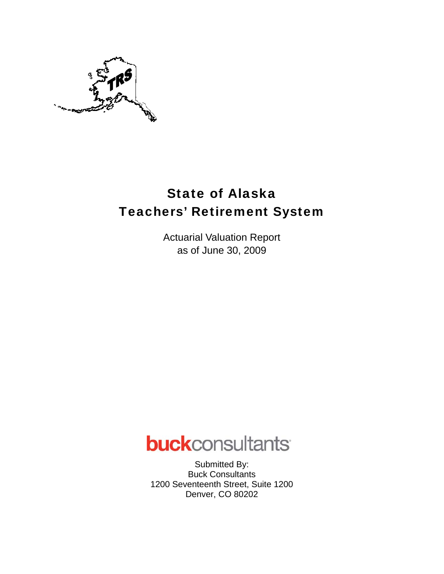

# State of Alaska Teachers' Retirement System

Actuarial Valuation Report as of June 30, 2009



Submitted By: Buck Consultants 1200 Seventeenth Street, Suite 1200 Denver, CO 80202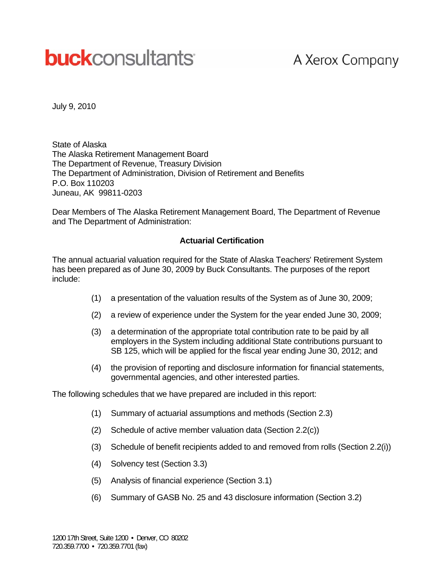# **buck**consultants

# A Xerox Company

July 9, 2010

State of Alaska The Alaska Retirement Management Board The Department of Revenue, Treasury Division The Department of Administration, Division of Retirement and Benefits P.O. Box 110203 Juneau, AK 99811-0203

Dear Members of The Alaska Retirement Management Board, The Department of Revenue and The Department of Administration:

#### **Actuarial Certification**

The annual actuarial valuation required for the State of Alaska Teachers' Retirement System has been prepared as of June 30, 2009 by Buck Consultants. The purposes of the report include:

- (1) a presentation of the valuation results of the System as of June 30, 2009;
- (2) a review of experience under the System for the year ended June 30, 2009;
- (3) a determination of the appropriate total contribution rate to be paid by all employers in the System including additional State contributions pursuant to SB 125, which will be applied for the fiscal year ending June 30, 2012; and
- (4) the provision of reporting and disclosure information for financial statements, governmental agencies, and other interested parties.

The following schedules that we have prepared are included in this report:

- (1) Summary of actuarial assumptions and methods (Section 2.3)
- (2) Schedule of active member valuation data (Section 2.2(c))
- (3) Schedule of benefit recipients added to and removed from rolls (Section 2.2(i))
- (4) Solvency test (Section 3.3)
- (5) Analysis of financial experience (Section 3.1)
- (6) Summary of GASB No. 25 and 43 disclosure information (Section 3.2)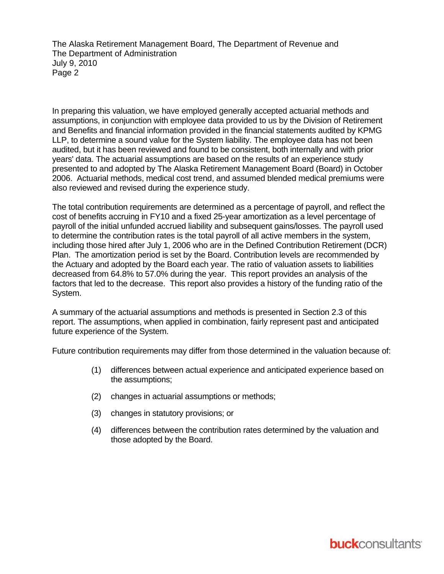The Alaska Retirement Management Board, The Department of Revenue and The Department of Administration July 9, 2010 Page 2

In preparing this valuation, we have employed generally accepted actuarial methods and assumptions, in conjunction with employee data provided to us by the Division of Retirement and Benefits and financial information provided in the financial statements audited by KPMG LLP, to determine a sound value for the System liability. The employee data has not been audited, but it has been reviewed and found to be consistent, both internally and with prior years' data. The actuarial assumptions are based on the results of an experience study presented to and adopted by The Alaska Retirement Management Board (Board) in October 2006. Actuarial methods, medical cost trend, and assumed blended medical premiums were also reviewed and revised during the experience study.

The total contribution requirements are determined as a percentage of payroll, and reflect the cost of benefits accruing in FY10 and a fixed 25-year amortization as a level percentage of payroll of the initial unfunded accrued liability and subsequent gains/losses. The payroll used to determine the contribution rates is the total payroll of all active members in the system, including those hired after July 1, 2006 who are in the Defined Contribution Retirement (DCR) Plan. The amortization period is set by the Board. Contribution levels are recommended by the Actuary and adopted by the Board each year. The ratio of valuation assets to liabilities decreased from 64.8% to 57.0% during the year. This report provides an analysis of the factors that led to the decrease. This report also provides a history of the funding ratio of the System.

A summary of the actuarial assumptions and methods is presented in Section 2.3 of this report. The assumptions, when applied in combination, fairly represent past and anticipated future experience of the System.

Future contribution requirements may differ from those determined in the valuation because of:

- (1) differences between actual experience and anticipated experience based on the assumptions;
- (2) changes in actuarial assumptions or methods;
- (3) changes in statutory provisions; or
- (4) differences between the contribution rates determined by the valuation and those adopted by the Board.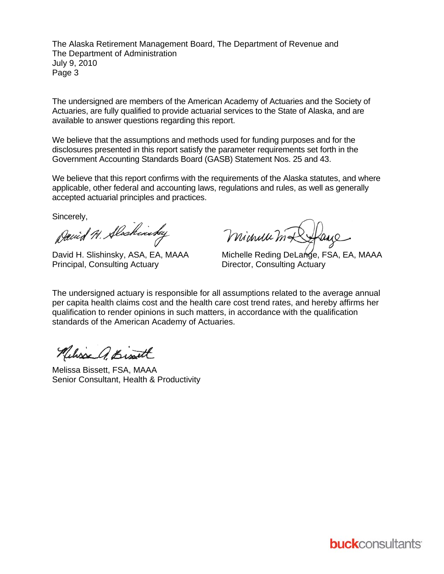The Alaska Retirement Management Board, The Department of Revenue and The Department of Administration July 9, 2010 Page 3

The undersigned are members of the American Academy of Actuaries and the Society of Actuaries, are fully qualified to provide actuarial services to the State of Alaska, and are available to answer questions regarding this report.

We believe that the assumptions and methods used for funding purposes and for the disclosures presented in this report satisfy the parameter requirements set forth in the Government Accounting Standards Board (GASB) Statement Nos. 25 and 43.

We believe that this report confirms with the requirements of the Alaska statutes, and where applicable, other federal and accounting laws, regulations and rules, as well as generally accepted actuarial principles and practices.

Sincerely,

David H. Slashinsky

Principal, Consulting Actuary **Director, Consulting Actuary** 

Minum mal

David H. Slishinsky, ASA, EA, MAAA Michelle Reding DeLange, FSA, EA, MAAA

The undersigned actuary is responsible for all assumptions related to the average annual per capita health claims cost and the health care cost trend rates, and hereby affirms her qualification to render opinions in such matters, in accordance with the qualification standards of the American Academy of Actuaries.

Kelisse a Bissett

Melissa Bissett, FSA, MAAA Senior Consultant, Health & Productivity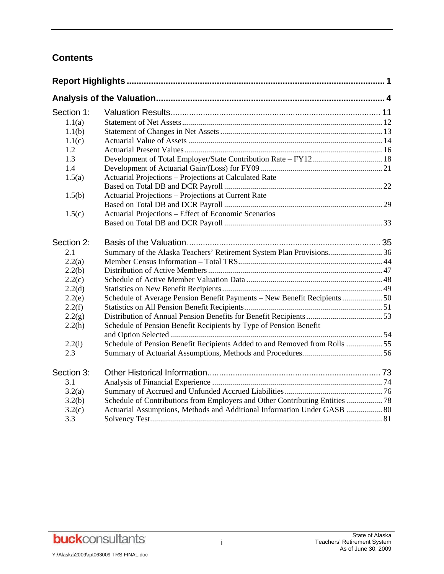### **Contents**

| Section 1: |                                                                              |  |
|------------|------------------------------------------------------------------------------|--|
| 1.1(a)     |                                                                              |  |
| 1.1(b)     |                                                                              |  |
| 1.1(c)     |                                                                              |  |
| 1.2        |                                                                              |  |
| 1.3        | Development of Total Employer/State Contribution Rate - FY12 18              |  |
| 1.4        |                                                                              |  |
| 1.5(a)     | Actuarial Projections - Projections at Calculated Rate                       |  |
|            |                                                                              |  |
| 1.5(b)     | Actuarial Projections - Projections at Current Rate                          |  |
|            |                                                                              |  |
| 1.5(c)     | Actuarial Projections – Effect of Economic Scenarios                         |  |
|            |                                                                              |  |
| Section 2: |                                                                              |  |
| 2.1        |                                                                              |  |
| 2.2(a)     |                                                                              |  |
| 2.2(b)     |                                                                              |  |
| 2.2(c)     |                                                                              |  |
| 2.2(d)     |                                                                              |  |
| 2.2(e)     | Schedule of Average Pension Benefit Payments - New Benefit Recipients  50    |  |
| 2.2(f)     |                                                                              |  |
| 2.2(g)     |                                                                              |  |
| 2.2(h)     | Schedule of Pension Benefit Recipients by Type of Pension Benefit            |  |
|            |                                                                              |  |
| 2.2(i)     | Schedule of Pension Benefit Recipients Added to and Removed from Rolls  55   |  |
| 2.3        |                                                                              |  |
| Section 3: |                                                                              |  |
| 3.1        |                                                                              |  |
| 3.2(a)     |                                                                              |  |
| 3.2(b)     | Schedule of Contributions from Employers and Other Contributing Entities  78 |  |
| 3.2(c)     | Actuarial Assumptions, Methods and Additional Information Under GASB  80     |  |
| 3.3        |                                                                              |  |

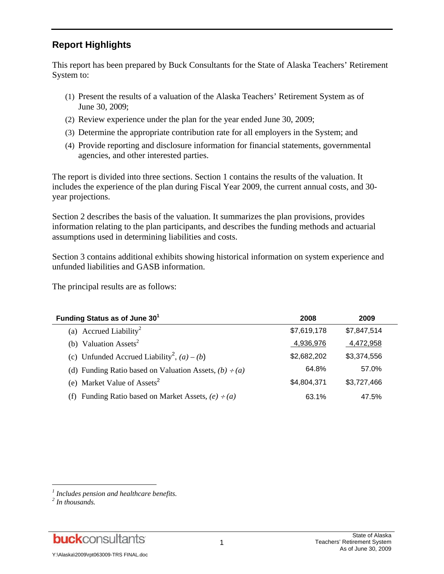### **Report Highlights**

This report has been prepared by Buck Consultants for the State of Alaska Teachers' Retirement System to:

- (1) Present the results of a valuation of the Alaska Teachers' Retirement System as of June 30, 2009;
- (2) Review experience under the plan for the year ended June 30, 2009;
- (3) Determine the appropriate contribution rate for all employers in the System; and
- (4) Provide reporting and disclosure information for financial statements, governmental agencies, and other interested parties.

The report is divided into three sections. Section 1 contains the results of the valuation. It includes the experience of the plan during Fiscal Year 2009, the current annual costs, and 30 year projections.

Section 2 describes the basis of the valuation. It summarizes the plan provisions, provides information relating to the plan participants, and describes the funding methods and actuarial assumptions used in determining liabilities and costs.

Section 3 contains additional exhibits showing historical information on system experience and unfunded liabilities and GASB information.

The principal results are as follows:

| Funding Status as of June 30 <sup>1</sup>                   | 2008        | 2009        |  |
|-------------------------------------------------------------|-------------|-------------|--|
| (a) Accrued Liability <sup>2</sup>                          | \$7,619,178 | \$7,847,514 |  |
| (b) Valuation Assets <sup>2</sup>                           | 4,936,976   | 4,472,958   |  |
| (c) Unfunded Accrued Liability <sup>2</sup> , $(a) - (b)$   | \$2,682,202 | \$3,374,556 |  |
| (d) Funding Ratio based on Valuation Assets, $(b) \div (a)$ | 64.8%       | 57.0%       |  |
| (e) Market Value of Assets <sup>2</sup>                     | \$4,804,371 | \$3,727,466 |  |
| Funding Ratio based on Market Assets, $(e) \div (a)$<br>(f) | 63.1%       | 47.5%       |  |

l

*<sup>1</sup> Includes pension and healthcare benefits.* 

*<sup>2</sup> In thousands.*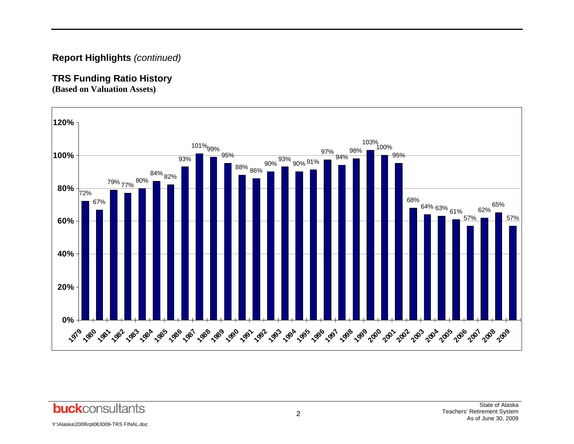### **Report Highlights** *(continued)*

### **TRS Funding Ratio History**

**(Based on Valuation Assets)** 

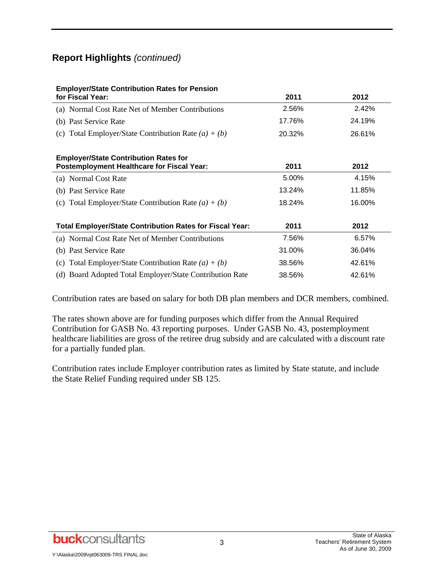### **Report Highlights** *(continued)*

# **Employer/State Contribution Rates for Pension**

| for Fiscal Year:                                                                                  | 2011   | 2012   |
|---------------------------------------------------------------------------------------------------|--------|--------|
| (a) Normal Cost Rate Net of Member Contributions                                                  | 2.56%  | 2.42%  |
| (b) Past Service Rate                                                                             | 17.76% | 24.19% |
| (c) Total Employer/State Contribution Rate $(a) + (b)$                                            | 20.32% | 26.61% |
| <b>Employer/State Contribution Rates for</b><br><b>Postemployment Healthcare for Fiscal Year:</b> | 2011   | 2012   |
| (a) Normal Cost Rate                                                                              | 5.00%  | 4.15%  |
| (b) Past Service Rate                                                                             | 13.24% | 11.85% |
| (c) Total Employer/State Contribution Rate $(a) + (b)$                                            | 18.24% | 16.00% |
| <b>Total Employer/State Contribution Rates for Fiscal Year:</b>                                   | 2011   | 2012   |
| (a) Normal Cost Rate Net of Member Contributions                                                  | 7.56%  | 6.57%  |
| (b) Past Service Rate                                                                             | 31.00% | 36.04% |
| Total Employer/State Contribution Rate $(a) + (b)$<br>(c)                                         | 38.56% | 42.61% |
| (d) Board Adopted Total Employer/State Contribution Rate                                          | 38.56% | 42.61% |
|                                                                                                   |        |        |

Contribution rates are based on salary for both DB plan members and DCR members, combined.

The rates shown above are for funding purposes which differ from the Annual Required Contribution for GASB No. 43 reporting purposes. Under GASB No. 43, postemployment healthcare liabilities are gross of the retiree drug subsidy and are calculated with a discount rate for a partially funded plan.

Contribution rates include Employer contribution rates as limited by State statute, and include the State Relief Funding required under SB 125.

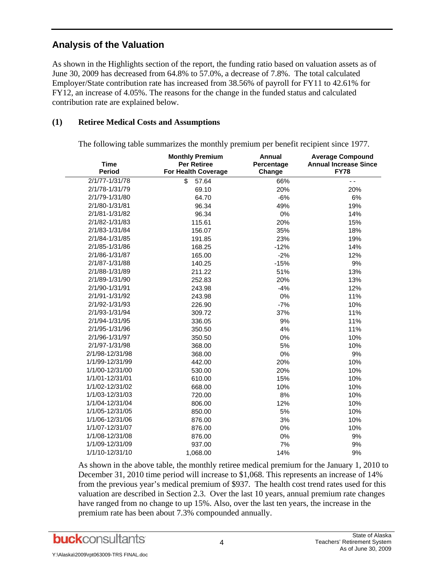### **Analysis of the Valuation**

As shown in the Highlights section of the report, the funding ratio based on valuation assets as of June 30, 2009 has decreased from 64.8% to 57.0%, a decrease of 7.8%. The total calculated Employer/State contribution rate has increased from 38.56% of payroll for FY11 to 42.61% for FY12, an increase of 4.05%. The reasons for the change in the funded status and calculated contribution rate are explained below.

#### **(1) Retiree Medical Costs and Assumptions**

The following table summarizes the monthly premium per benefit recipient since 1977.

| <b>Time</b><br>Period | <b>Monthly Premium</b><br><b>Per Retiree</b><br>For Health Coverage | <b>Annual</b><br>Percentage<br>Change | <b>Average Compound</b><br><b>Annual Increase Since</b><br><b>FY78</b> |
|-----------------------|---------------------------------------------------------------------|---------------------------------------|------------------------------------------------------------------------|
| 2/1/77-1/31/78        | \$<br>57.64                                                         | 66%                                   | $\overline{a}$                                                         |
| 2/1/78-1/31/79        | 69.10                                                               | 20%                                   | 20%                                                                    |
| 2/1/79-1/31/80        | 64.70                                                               | $-6%$                                 | 6%                                                                     |
| 2/1/80-1/31/81        | 96.34                                                               | 49%                                   | 19%                                                                    |
| 2/1/81-1/31/82        | 96.34                                                               | 0%                                    | 14%                                                                    |
| 2/1/82-1/31/83        | 115.61                                                              | 20%                                   | 15%                                                                    |
| 2/1/83-1/31/84        | 156.07                                                              | 35%                                   | 18%                                                                    |
| 2/1/84-1/31/85        | 191.85                                                              | 23%                                   | 19%                                                                    |
| 2/1/85-1/31/86        | 168.25                                                              | $-12%$                                | 14%                                                                    |
| 2/1/86-1/31/87        | 165.00                                                              | $-2%$                                 | 12%                                                                    |
| 2/1/87-1/31/88        | 140.25                                                              | $-15%$                                | 9%                                                                     |
| 2/1/88-1/31/89        | 211.22                                                              | 51%                                   | 13%                                                                    |
| 2/1/89-1/31/90        | 252.83                                                              | 20%                                   | 13%                                                                    |
| 2/1/90-1/31/91        | 243.98                                                              | $-4%$                                 | 12%                                                                    |
| 2/1/91-1/31/92        | 243.98                                                              | 0%                                    | 11%                                                                    |
| 2/1/92-1/31/93        | 226.90                                                              | $-7%$                                 | 10%                                                                    |
| 2/1/93-1/31/94        | 309.72                                                              | 37%                                   | 11%                                                                    |
| 2/1/94-1/31/95        | 336.05                                                              | 9%                                    | 11%                                                                    |
| 2/1/95-1/31/96        | 350.50                                                              | 4%                                    | 11%                                                                    |
| 2/1/96-1/31/97        | 350.50                                                              | 0%                                    | 10%                                                                    |
| 2/1/97-1/31/98        | 368.00                                                              | 5%                                    | 10%                                                                    |
| 2/1/98-12/31/98       | 368.00                                                              | 0%                                    | 9%                                                                     |
| 1/1/99-12/31/99       | 442.00                                                              | 20%                                   | 10%                                                                    |
| 1/1/00-12/31/00       | 530.00                                                              | 20%                                   | 10%                                                                    |
| 1/1/01-12/31/01       | 610.00                                                              | 15%                                   | 10%                                                                    |
| 1/1/02-12/31/02       | 668.00                                                              | 10%                                   | 10%                                                                    |
| 1/1/03-12/31/03       | 720.00                                                              | 8%                                    | 10%                                                                    |
| 1/1/04-12/31/04       | 806.00                                                              | 12%                                   | 10%                                                                    |
| 1/1/05-12/31/05       | 850.00                                                              | 5%                                    | 10%                                                                    |
| 1/1/06-12/31/06       | 876.00                                                              | 3%                                    | 10%                                                                    |
| 1/1/07-12/31/07       | 876.00                                                              | 0%                                    | 10%                                                                    |
| 1/1/08-12/31/08       | 876.00                                                              | 0%                                    | 9%                                                                     |
| 1/1/09-12/31/09       | 937.00                                                              | 7%                                    | 9%                                                                     |
| 1/1/10-12/31/10       | 1,068.00                                                            | 14%                                   | 9%                                                                     |

As shown in the above table, the monthly retiree medical premium for the January 1, 2010 to December 31, 2010 time period will increase to \$1,068. This represents an increase of 14% from the previous year's medical premium of \$937. The health cost trend rates used for this valuation are described in Section 2.3. Over the last 10 years, annual premium rate changes have ranged from no change to up 15%. Also, over the last ten years, the increase in the premium rate has been about 7.3% compounded annually.

**buck**consultants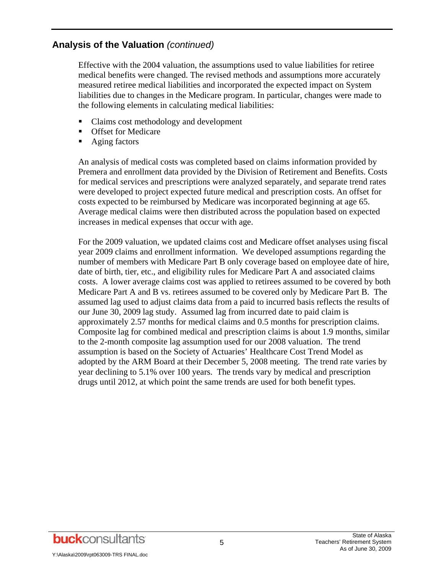Effective with the 2004 valuation, the assumptions used to value liabilities for retiree medical benefits were changed. The revised methods and assumptions more accurately measured retiree medical liabilities and incorporated the expected impact on System liabilities due to changes in the Medicare program. In particular, changes were made to the following elements in calculating medical liabilities:

- Claims cost methodology and development
- **•** Offset for Medicare
- Aging factors

An analysis of medical costs was completed based on claims information provided by Premera and enrollment data provided by the Division of Retirement and Benefits. Costs for medical services and prescriptions were analyzed separately, and separate trend rates were developed to project expected future medical and prescription costs. An offset for costs expected to be reimbursed by Medicare was incorporated beginning at age 65. Average medical claims were then distributed across the population based on expected increases in medical expenses that occur with age.

For the 2009 valuation, we updated claims cost and Medicare offset analyses using fiscal year 2009 claims and enrollment information. We developed assumptions regarding the number of members with Medicare Part B only coverage based on employee date of hire, date of birth, tier, etc., and eligibility rules for Medicare Part A and associated claims costs. A lower average claims cost was applied to retirees assumed to be covered by both Medicare Part A and B vs. retirees assumed to be covered only by Medicare Part B. The assumed lag used to adjust claims data from a paid to incurred basis reflects the results of our June 30, 2009 lag study. Assumed lag from incurred date to paid claim is approximately 2.57 months for medical claims and 0.5 months for prescription claims. Composite lag for combined medical and prescription claims is about 1.9 months, similar to the 2-month composite lag assumption used for our 2008 valuation. The trend assumption is based on the Society of Actuaries' Healthcare Cost Trend Model as adopted by the ARM Board at their December 5, 2008 meeting. The trend rate varies by year declining to 5.1% over 100 years. The trends vary by medical and prescription drugs until 2012, at which point the same trends are used for both benefit types.

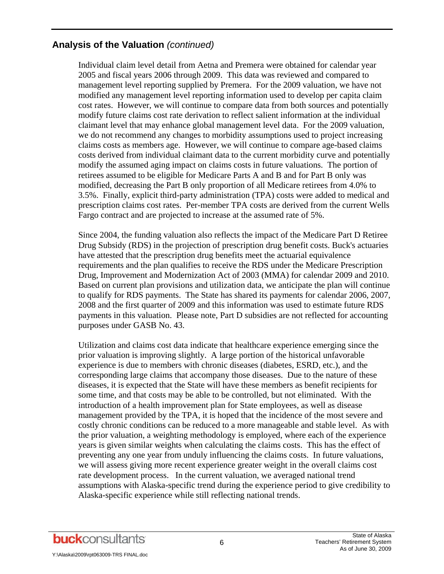Individual claim level detail from Aetna and Premera were obtained for calendar year 2005 and fiscal years 2006 through 2009. This data was reviewed and compared to management level reporting supplied by Premera. For the 2009 valuation, we have not modified any management level reporting information used to develop per capita claim cost rates. However, we will continue to compare data from both sources and potentially modify future claims cost rate derivation to reflect salient information at the individual claimant level that may enhance global management level data. For the 2009 valuation, we do not recommend any changes to morbidity assumptions used to project increasing claims costs as members age. However, we will continue to compare age-based claims costs derived from individual claimant data to the current morbidity curve and potentially modify the assumed aging impact on claims costs in future valuations. The portion of retirees assumed to be eligible for Medicare Parts A and B and for Part B only was modified, decreasing the Part B only proportion of all Medicare retirees from 4.0% to 3.5%. Finally, explicit third-party administration (TPA) costs were added to medical and prescription claims cost rates. Per-member TPA costs are derived from the current Wells Fargo contract and are projected to increase at the assumed rate of 5%.

Since 2004, the funding valuation also reflects the impact of the Medicare Part D Retiree Drug Subsidy (RDS) in the projection of prescription drug benefit costs. Buck's actuaries have attested that the prescription drug benefits meet the actuarial equivalence requirements and the plan qualifies to receive the RDS under the Medicare Prescription Drug, Improvement and Modernization Act of 2003 (MMA) for calendar 2009 and 2010. Based on current plan provisions and utilization data, we anticipate the plan will continue to qualify for RDS payments. The State has shared its payments for calendar 2006, 2007, 2008 and the first quarter of 2009 and this information was used to estimate future RDS payments in this valuation. Please note, Part D subsidies are not reflected for accounting purposes under GASB No. 43.

Utilization and claims cost data indicate that healthcare experience emerging since the prior valuation is improving slightly. A large portion of the historical unfavorable experience is due to members with chronic diseases (diabetes, ESRD, etc.), and the corresponding large claims that accompany those diseases. Due to the nature of these diseases, it is expected that the State will have these members as benefit recipients for some time, and that costs may be able to be controlled, but not eliminated. With the introduction of a health improvement plan for State employees, as well as disease management provided by the TPA, it is hoped that the incidence of the most severe and costly chronic conditions can be reduced to a more manageable and stable level. As with the prior valuation, a weighting methodology is employed, where each of the experience years is given similar weights when calculating the claims costs. This has the effect of preventing any one year from unduly influencing the claims costs. In future valuations, we will assess giving more recent experience greater weight in the overall claims cost rate development process. In the current valuation, we averaged national trend assumptions with Alaska-specific trend during the experience period to give credibility to Alaska-specific experience while still reflecting national trends.

Y:\Alaska\2009\rpt063009-TRS FINAL.doc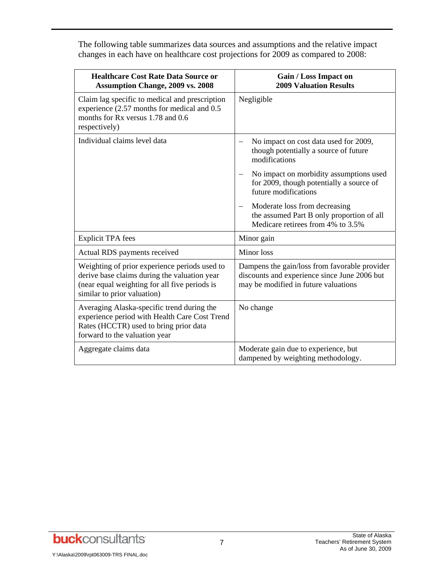The following table summarizes data sources and assumptions and the relative impact changes in each have on healthcare cost projections for 2009 as compared to 2008:

| <b>Healthcare Cost Rate Data Source or</b><br><b>Assumption Change, 2009 vs. 2008</b>                                                                                         | <b>Gain / Loss Impact on</b><br><b>2009 Valuation Results</b>                                                                         |
|-------------------------------------------------------------------------------------------------------------------------------------------------------------------------------|---------------------------------------------------------------------------------------------------------------------------------------|
| Claim lag specific to medical and prescription<br>experience (2.57 months for medical and 0.5<br>months for Rx versus 1.78 and 0.6<br>respectively)                           | Negligible                                                                                                                            |
| Individual claims level data                                                                                                                                                  | No impact on cost data used for 2009,<br>though potentially a source of future<br>modifications                                       |
|                                                                                                                                                                               | No impact on morbidity assumptions used<br>for 2009, though potentially a source of<br>future modifications                           |
|                                                                                                                                                                               | Moderate loss from decreasing<br>the assumed Part B only proportion of all<br>Medicare retirees from 4% to 3.5%                       |
| <b>Explicit TPA</b> fees                                                                                                                                                      | Minor gain                                                                                                                            |
| Actual RDS payments received                                                                                                                                                  | Minor loss                                                                                                                            |
| Weighting of prior experience periods used to<br>derive base claims during the valuation year<br>(near equal weighting for all five periods is<br>similar to prior valuation) | Dampens the gain/loss from favorable provider<br>discounts and experience since June 2006 but<br>may be modified in future valuations |
| Averaging Alaska-specific trend during the<br>experience period with Health Care Cost Trend<br>Rates (HCCTR) used to bring prior data<br>forward to the valuation year        | No change                                                                                                                             |
| Aggregate claims data                                                                                                                                                         | Moderate gain due to experience, but<br>dampened by weighting methodology.                                                            |

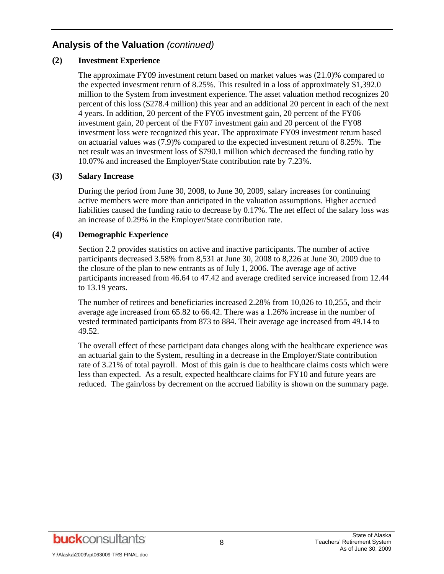#### **(2) Investment Experience**

The approximate FY09 investment return based on market values was (21.0)% compared to the expected investment return of 8.25%. This resulted in a loss of approximately \$1,392.0 million to the System from investment experience. The asset valuation method recognizes 20 percent of this loss (\$278.4 million) this year and an additional 20 percent in each of the next 4 years. In addition, 20 percent of the FY05 investment gain, 20 percent of the FY06 investment gain, 20 percent of the FY07 investment gain and 20 percent of the FY08 investment loss were recognized this year. The approximate FY09 investment return based on actuarial values was (7.9)% compared to the expected investment return of 8.25%. The net result was an investment loss of \$790.1 million which decreased the funding ratio by 10.07% and increased the Employer/State contribution rate by 7.23%.

#### **(3) Salary Increase**

During the period from June 30, 2008, to June 30, 2009, salary increases for continuing active members were more than anticipated in the valuation assumptions. Higher accrued liabilities caused the funding ratio to decrease by 0.17%. The net effect of the salary loss was an increase of 0.29% in the Employer/State contribution rate.

#### **(4) Demographic Experience**

Section 2.2 provides statistics on active and inactive participants. The number of active participants decreased 3.58% from 8,531 at June 30, 2008 to 8,226 at June 30, 2009 due to the closure of the plan to new entrants as of July 1, 2006. The average age of active participants increased from 46.64 to 47.42 and average credited service increased from 12.44 to 13.19 years.

The number of retirees and beneficiaries increased 2.28% from 10,026 to 10,255, and their average age increased from 65.82 to 66.42. There was a 1.26% increase in the number of vested terminated participants from 873 to 884. Their average age increased from 49.14 to 49.52.

The overall effect of these participant data changes along with the healthcare experience was an actuarial gain to the System, resulting in a decrease in the Employer/State contribution rate of 3.21% of total payroll. Most of this gain is due to healthcare claims costs which were less than expected. As a result, expected healthcare claims for FY10 and future years are reduced. The gain/loss by decrement on the accrued liability is shown on the summary page.

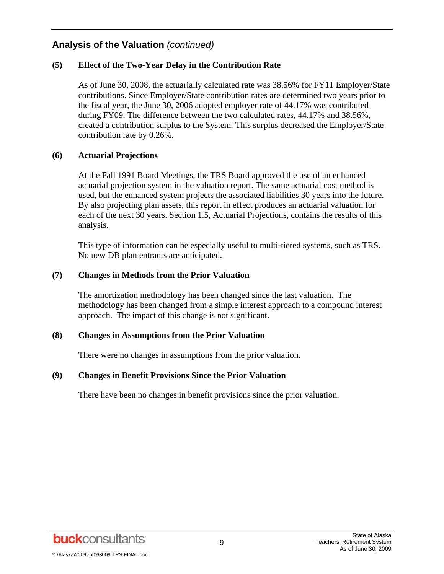#### **(5) Effect of the Two-Year Delay in the Contribution Rate**

As of June 30, 2008, the actuarially calculated rate was 38.56% for FY11 Employer/State contributions. Since Employer/State contribution rates are determined two years prior to the fiscal year, the June 30, 2006 adopted employer rate of 44.17% was contributed during FY09. The difference between the two calculated rates, 44.17% and 38.56%, created a contribution surplus to the System. This surplus decreased the Employer/State contribution rate by 0.26%.

#### **(6) Actuarial Projections**

At the Fall 1991 Board Meetings, the TRS Board approved the use of an enhanced actuarial projection system in the valuation report. The same actuarial cost method is used, but the enhanced system projects the associated liabilities 30 years into the future. By also projecting plan assets, this report in effect produces an actuarial valuation for each of the next 30 years. Section 1.5, Actuarial Projections, contains the results of this analysis.

This type of information can be especially useful to multi-tiered systems, such as TRS. No new DB plan entrants are anticipated.

#### **(7) Changes in Methods from the Prior Valuation**

The amortization methodology has been changed since the last valuation. The methodology has been changed from a simple interest approach to a compound interest approach. The impact of this change is not significant.

#### **(8) Changes in Assumptions from the Prior Valuation**

There were no changes in assumptions from the prior valuation.

#### **(9) Changes in Benefit Provisions Since the Prior Valuation**

There have been no changes in benefit provisions since the prior valuation.

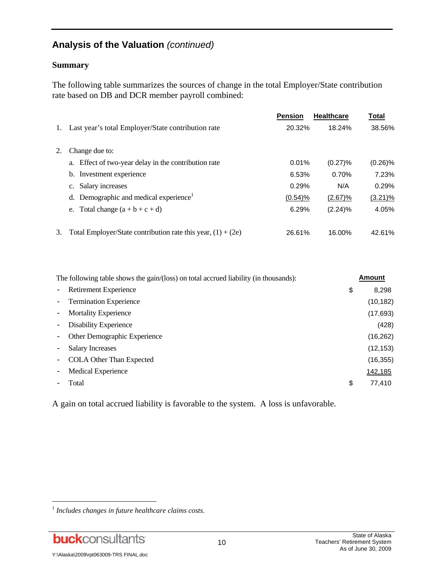#### **Summary**

The following table summarizes the sources of change in the total Employer/State contribution rate based on DB and DCR member payroll combined:

|    |                                                                | <b>Pension</b> | <b>Healthcare</b> | Total      |
|----|----------------------------------------------------------------|----------------|-------------------|------------|
| 1. | Last year's total Employer/State contribution rate             | 20.32%         | 18.24%            | 38.56%     |
| 2. | Change due to:                                                 |                |                   |            |
|    | a. Effect of two-year delay in the contribution rate           | 0.01%          | $(0.27)$ %        | $(0.26)\%$ |
|    | b. Investment experience                                       | 6.53%          | 0.70%             | 7.23%      |
|    | c. Salary increases                                            | 0.29%          | N/A               | 0.29%      |
|    | d. Demographic and medical experience <sup>1</sup>             | (0.54)%        | (2.67)%           | $(3.21)\%$ |
|    | e. Total change $(a + b + c + d)$                              | 6.29%          | $(2.24)\%$        | 4.05%      |
| 3. | Total Employer/State contribution rate this year, $(1) + (2e)$ | 26.61%         | 16.00%            | 42.61%     |

| Retirement Experience<br>\$<br><b>Termination Experience</b><br><b>Mortality Experience</b><br>Disability Experience<br>Other Demographic Experience<br><b>Salary Increases</b><br><b>COLA Other Than Expected</b><br><b>Medical Experience</b><br>Total<br>S | The following table shows the gain/(loss) on total accrued liability (in thousands): |  |           |
|---------------------------------------------------------------------------------------------------------------------------------------------------------------------------------------------------------------------------------------------------------------|--------------------------------------------------------------------------------------|--|-----------|
|                                                                                                                                                                                                                                                               |                                                                                      |  | 8,298     |
|                                                                                                                                                                                                                                                               |                                                                                      |  | (10, 182) |
|                                                                                                                                                                                                                                                               |                                                                                      |  | (17, 693) |
|                                                                                                                                                                                                                                                               |                                                                                      |  | (428)     |
|                                                                                                                                                                                                                                                               |                                                                                      |  | (16, 262) |
|                                                                                                                                                                                                                                                               |                                                                                      |  | (12, 153) |
|                                                                                                                                                                                                                                                               |                                                                                      |  | (16, 355) |
|                                                                                                                                                                                                                                                               |                                                                                      |  | 142,185   |
|                                                                                                                                                                                                                                                               |                                                                                      |  | 77.410    |

A gain on total accrued liability is favorable to the system. A loss is unfavorable.

l

*<sup>1</sup> Includes changes in future healthcare claims costs.*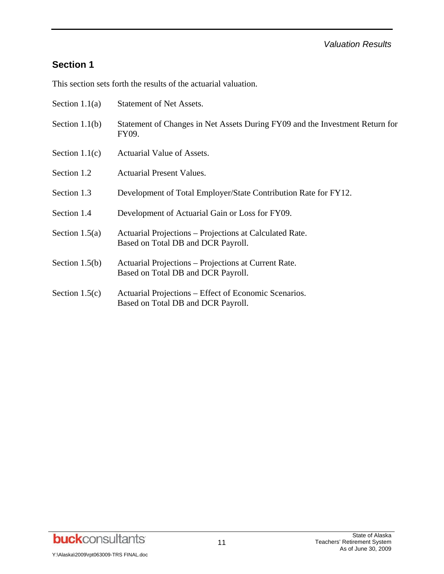#### *Valuation Results*

### **Section 1**

This section sets forth the results of the actuarial valuation.

| Section $1.1(a)$ | <b>Statement of Net Assets.</b>                                                               |
|------------------|-----------------------------------------------------------------------------------------------|
| Section $1.1(b)$ | Statement of Changes in Net Assets During FY09 and the Investment Return for<br>FY09.         |
| Section $1.1(c)$ | Actuarial Value of Assets.                                                                    |
| Section 1.2      | <b>Actuarial Present Values.</b>                                                              |
| Section 1.3      | Development of Total Employer/State Contribution Rate for FY12.                               |
| Section 1.4      | Development of Actuarial Gain or Loss for FY09.                                               |
| Section $1.5(a)$ | Actuarial Projections – Projections at Calculated Rate.<br>Based on Total DB and DCR Payroll. |
| Section $1.5(b)$ | Actuarial Projections – Projections at Current Rate.<br>Based on Total DB and DCR Payroll.    |
| Section $1.5(c)$ | Actuarial Projections – Effect of Economic Scenarios.<br>Based on Total DB and DCR Payroll.   |

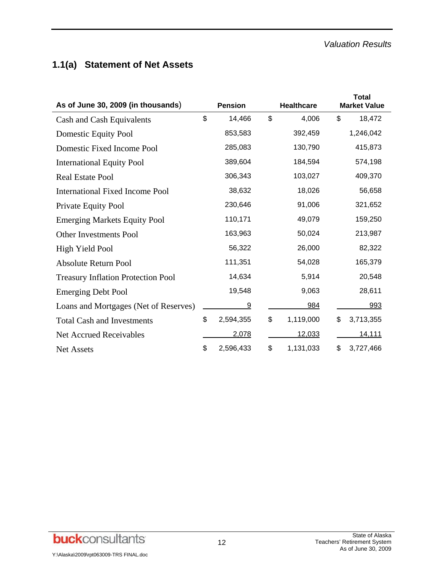### **1.1(a) Statement of Net Assets**

| As of June 30, 2009 (in thousands)        | <b>Pension</b> |           | <b>Healthcare</b> |           | <b>Total</b><br><b>Market Value</b> |               |  |
|-------------------------------------------|----------------|-----------|-------------------|-----------|-------------------------------------|---------------|--|
| Cash and Cash Equivalents                 | \$             | 14,466    | \$                | 4,006     | \$                                  | 18,472        |  |
| <b>Domestic Equity Pool</b>               |                | 853,583   |                   | 392,459   |                                     | 1,246,042     |  |
| Domestic Fixed Income Pool                |                | 285,083   |                   | 130,790   |                                     | 415,873       |  |
| <b>International Equity Pool</b>          |                | 389,604   |                   | 184,594   |                                     | 574,198       |  |
| <b>Real Estate Pool</b>                   |                | 306,343   |                   | 103,027   |                                     | 409,370       |  |
| <b>International Fixed Income Pool</b>    |                | 38,632    |                   | 18,026    |                                     | 56,658        |  |
| Private Equity Pool                       |                | 230,646   |                   | 91,006    |                                     | 321,652       |  |
| <b>Emerging Markets Equity Pool</b>       |                | 110,171   |                   | 49,079    |                                     | 159,250       |  |
| <b>Other Investments Pool</b>             |                | 163,963   |                   | 50,024    |                                     | 213,987       |  |
| High Yield Pool                           |                | 56,322    |                   | 26,000    |                                     | 82,322        |  |
| Absolute Return Pool                      |                | 111,351   |                   | 54,028    |                                     | 165,379       |  |
| <b>Treasury Inflation Protection Pool</b> |                | 14,634    |                   | 5,914     |                                     | 20,548        |  |
| <b>Emerging Debt Pool</b>                 |                | 19,548    |                   | 9,063     |                                     | 28,611        |  |
| Loans and Mortgages (Net of Reserves)     |                | 9         |                   | 984       |                                     | 993           |  |
| <b>Total Cash and Investments</b>         | \$             | 2,594,355 | \$                | 1,119,000 | \$                                  | 3,713,355     |  |
| Net Accrued Receivables                   |                | 2,078     |                   | 12,033    |                                     | <u>14,111</u> |  |
| Net Assets                                | \$             | 2,596,433 | \$                | 1,131,033 | \$                                  | 3,727,466     |  |

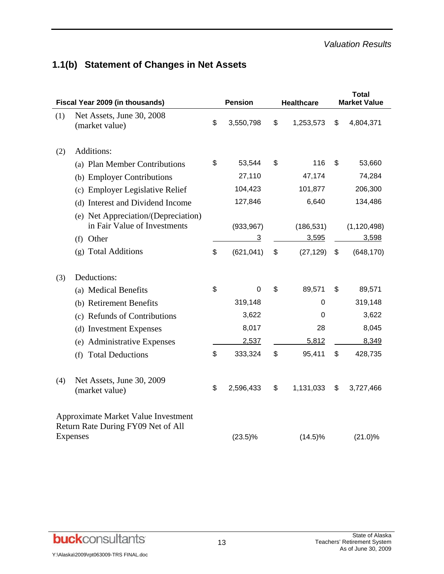### **1.1(b) Statement of Changes in Net Assets**

| Fiscal Year 2009 (in thousands) |                                                                                              | <b>Pension</b>   | <b>Healthcare</b> | <b>Total</b><br><b>Market Value</b> |               |
|---------------------------------|----------------------------------------------------------------------------------------------|------------------|-------------------|-------------------------------------|---------------|
| (1)                             | Net Assets, June 30, 2008<br>(market value)                                                  | \$<br>3,550,798  | \$<br>1,253,573   | \$                                  | 4,804,371     |
|                                 |                                                                                              |                  |                   |                                     |               |
| (2)                             | Additions:                                                                                   |                  |                   |                                     |               |
|                                 | (a) Plan Member Contributions                                                                | \$<br>53,544     | \$<br>116         | \$                                  | 53,660        |
|                                 | (b) Employer Contributions                                                                   | 27,110           | 47,174            |                                     | 74,284        |
|                                 | (c) Employer Legislative Relief                                                              | 104,423          | 101,877           |                                     | 206,300       |
|                                 | (d) Interest and Dividend Income                                                             | 127,846          | 6,640             |                                     | 134,486       |
|                                 | (e) Net Appreciation/(Depreciation)<br>in Fair Value of Investments                          | (933, 967)       | (186, 531)        |                                     | (1, 120, 498) |
|                                 | (f) Other                                                                                    | $\overline{3}$   | 3,595             |                                     | 3,598         |
|                                 | (g) Total Additions                                                                          | \$<br>(621, 041) | \$<br>(27, 129)   | \$                                  | (648, 170)    |
| (3)                             | Deductions:                                                                                  |                  |                   |                                     |               |
|                                 | (a) Medical Benefits                                                                         | \$<br>0          | \$<br>89,571      | \$                                  | 89,571        |
|                                 | (b) Retirement Benefits                                                                      | 319,148          | 0                 |                                     | 319,148       |
|                                 | (c) Refunds of Contributions                                                                 | 3,622            | 0                 |                                     | 3,622         |
|                                 | (d) Investment Expenses                                                                      | 8,017            | 28                |                                     | 8,045         |
|                                 | (e) Administrative Expenses                                                                  | 2,537            | 5,812             |                                     | 8,349         |
|                                 | <b>Total Deductions</b><br>(f)                                                               | \$<br>333,324    | \$<br>95,411      | \$                                  | 428,735       |
| (4)                             | Net Assets, June 30, 2009<br>(market value)                                                  | \$<br>2,596,433  | \$<br>1,131,033   | \$                                  | 3,727,466     |
|                                 | <b>Approximate Market Value Investment</b><br>Return Rate During FY09 Net of All<br>Expenses | $(23.5)\%$       | $(14.5)\%$        |                                     | (21.0)%       |

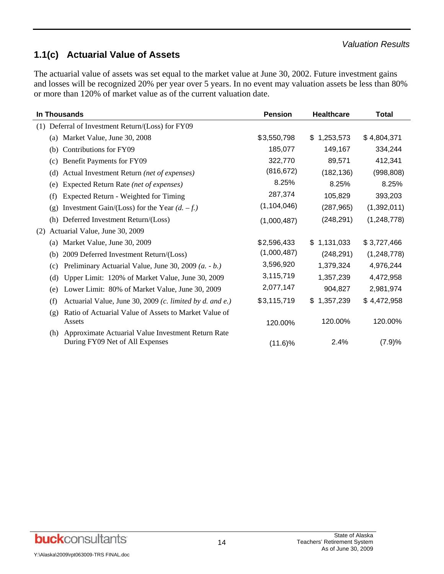### **1.1(c) Actuarial Value of Assets**

The actuarial value of assets was set equal to the market value at June 30, 2002. Future investment gains and losses will be recognized 20% per year over 5 years. In no event may valuation assets be less than 80% or more than 120% of market value as of the current valuation date.

| In Thousands                                                                                 | <b>Pension</b> | <b>Healthcare</b> | Total         |
|----------------------------------------------------------------------------------------------|----------------|-------------------|---------------|
| (1) Deferral of Investment Return/(Loss) for FY09                                            |                |                   |               |
| (a) Market Value, June 30, 2008                                                              | \$3,550,798    | \$1,253,573       | \$4,804,371   |
| Contributions for FY09<br>(b)                                                                | 185,077        | 149,167           | 334,244       |
| Benefit Payments for FY09<br>(c)                                                             | 322,770        | 89,571            | 412,341       |
| Actual Investment Return (net of expenses)<br>(d)                                            | (816, 672)     | (182, 136)        | (998, 808)    |
| Expected Return Rate (net of expenses)<br>(e)                                                | 8.25%          | 8.25%             | 8.25%         |
| Expected Return - Weighted for Timing<br>(f)                                                 | 287,374        | 105,829           | 393,203       |
| Investment Gain/(Loss) for the Year $(d. -f.)$<br>$\left( \varrho \right)$                   | (1, 104, 046)  | (287, 965)        | (1,392,011)   |
| Deferred Investment Return/(Loss)<br>(h)                                                     | (1,000,487)    | (248, 291)        | (1, 248, 778) |
| Actuarial Value, June 30, 2009<br>(2)                                                        |                |                   |               |
| Market Value, June 30, 2009<br>(a)                                                           | \$2,596,433    | \$1,131,033       | \$3,727,466   |
| 2009 Deferred Investment Return/(Loss)<br>(b)                                                | (1,000,487)    | (248, 291)        | (1,248,778)   |
| Preliminary Actuarial Value, June 30, 2009 $(a. - b.)$<br>(c)                                | 3,596,920      | 1,379,324         | 4,976,244     |
| Upper Limit: 120% of Market Value, June 30, 2009<br>(d)                                      | 3,115,719      | 1,357,239         | 4,472,958     |
| Lower Limit: 80% of Market Value, June 30, 2009<br>(e)                                       | 2,077,147      | 904,827           | 2,981,974     |
| Actuarial Value, June 30, 2009 (c. limited by d. and e.)<br>(f)                              | \$3,115,719    | \$1,357,239       | \$4,472,958   |
| Ratio of Actuarial Value of Assets to Market Value of<br>(g)<br>Assets                       | 120.00%        | 120.00%           | 120.00%       |
| Approximate Actuarial Value Investment Return Rate<br>(h)<br>During FY09 Net of All Expenses | $(11.6)\%$     | 2.4%              | (7.9)%        |

Y:\Alaska\2009\rpt063009-TRS FINAL.doc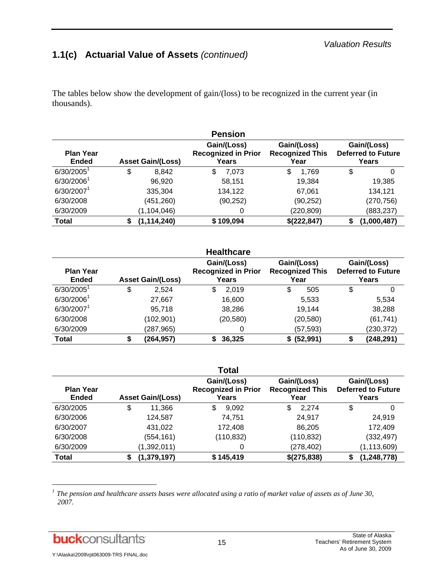### **1.1(c) Actuarial Value of Assets** *(continued)*

The tables below show the development of gain/(loss) to be recognized in the current year (in thousands).

|                                  |                          | <b>Pension</b>                                     |                                               |                                            |
|----------------------------------|--------------------------|----------------------------------------------------|-----------------------------------------------|--------------------------------------------|
| <b>Plan Year</b><br><b>Ended</b> | <b>Asset Gain/(Loss)</b> | Gain/(Loss)<br><b>Recognized in Prior</b><br>Years | Gain/(Loss)<br><b>Recognized This</b><br>Year | Gain/(Loss)<br>Deferred to Future<br>Years |
| $6/30/2005$ <sup>1</sup>         | \$<br>8,842              | \$<br>7,073                                        | \$<br>1,769                                   | \$<br>0                                    |
| 6/30/2006 <sup>1</sup>           | 96,920                   | 58,151                                             | 19,384                                        | 19,385                                     |
| 6/30/2007 <sup>1</sup>           | 335,304                  | 134,122                                            | 67,061                                        | 134,121                                    |
| 6/30/2008                        | (451, 260)               | (90, 252)                                          | (90, 252)                                     | (270, 756)                                 |
| 6/30/2009                        | (1, 104, 046)            | 0                                                  | (220, 809)                                    | (883, 237)                                 |
| <b>Total</b>                     | (1, 114, 240)<br>\$      | \$109,094                                          | \$(222,847)                                   | (1,000,487)                                |

|                                                              |    |            |                                                    | <b>Healthcare</b>                             |                                                   |    |            |
|--------------------------------------------------------------|----|------------|----------------------------------------------------|-----------------------------------------------|---------------------------------------------------|----|------------|
| <b>Plan Year</b><br><b>Ended</b><br><b>Asset Gain/(Loss)</b> |    |            | Gain/(Loss)<br><b>Recognized in Prior</b><br>Years | Gain/(Loss)<br><b>Recognized This</b><br>Year | Gain/(Loss)<br><b>Deferred to Future</b><br>Years |    |            |
| $6/30/2005^1$                                                | \$ | 2,524      | S                                                  | 2,019                                         | \$<br>505                                         | \$ | 0          |
| 6/30/2006 <sup>1</sup>                                       |    | 27,667     |                                                    | 16,600                                        | 5,533                                             |    | 5,534      |
| 6/30/2007 <sup>1</sup>                                       |    | 95,718     |                                                    | 38,286                                        | 19,144                                            |    | 38,288     |
| 6/30/2008                                                    |    | (102, 901) |                                                    | (20, 580)                                     | (20, 580)                                         |    | (61, 741)  |
| 6/30/2009                                                    |    | (287, 965) |                                                    | 0                                             | (57, 593)                                         |    | (230, 372) |
| Total                                                        |    | (264, 957) |                                                    | 36,325                                        | \$ (52,991)                                       |    | (248, 291) |

|                                  |                          | <b>Total</b>                                       |                                               |                                                   |
|----------------------------------|--------------------------|----------------------------------------------------|-----------------------------------------------|---------------------------------------------------|
| <b>Plan Year</b><br><b>Ended</b> | <b>Asset Gain/(Loss)</b> | Gain/(Loss)<br><b>Recognized in Prior</b><br>Years | Gain/(Loss)<br><b>Recognized This</b><br>Year | Gain/(Loss)<br><b>Deferred to Future</b><br>Years |
| 6/30/2005                        | \$<br>11,366             | \$<br>9,092                                        | \$<br>2,274                                   | \$<br>0                                           |
| 6/30/2006                        | 124,587                  | 74,751                                             | 24,917                                        | 24,919                                            |
| 6/30/2007                        | 431,022                  | 172,408                                            | 86,205                                        | 172,409                                           |
| 6/30/2008                        | (554, 161)               | (110, 832)                                         | (110, 832)                                    | (332, 497)                                        |
| 6/30/2009                        | (1,392,011)              | 0                                                  | (278, 402)                                    | (1, 113, 609)                                     |
| <b>Total</b>                     | (1, 379, 197)<br>S       | \$145,419                                          | \$(275,838)                                   | (1, 248, 778)                                     |

*<sup>1</sup> The pension and healthcare assets bases were allocated using a ratio of market value of assets as of June 30, 2007.*

l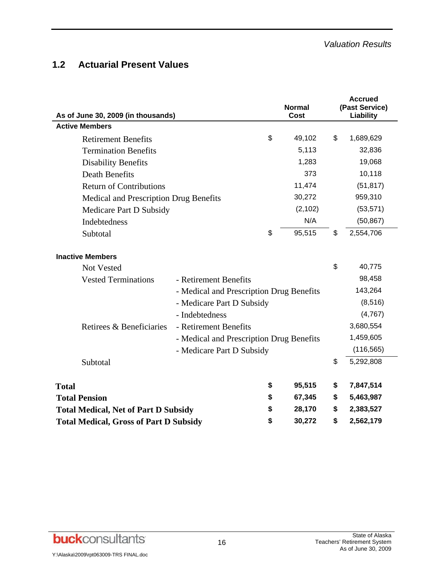### **1.2 Actuarial Present Values**

| As of June 30, 2009 (in thousands)            |                                          | <b>Normal</b><br><b>Cost</b> |          |           | <b>Accrued</b><br>(Past Service)<br>Liability |
|-----------------------------------------------|------------------------------------------|------------------------------|----------|-----------|-----------------------------------------------|
| <b>Active Members</b>                         |                                          |                              |          |           |                                               |
| <b>Retirement Benefits</b>                    |                                          | \$                           | 49,102   | \$        | 1,689,629                                     |
| <b>Termination Benefits</b>                   |                                          |                              | 5,113    |           | 32,836                                        |
| <b>Disability Benefits</b>                    |                                          |                              | 1,283    |           | 19,068                                        |
| <b>Death Benefits</b>                         |                                          |                              | 373      |           | 10,118                                        |
| <b>Return of Contributions</b>                |                                          |                              | 11,474   |           | (51, 817)                                     |
| Medical and Prescription Drug Benefits        |                                          |                              | 30,272   |           | 959,310                                       |
| Medicare Part D Subsidy                       |                                          |                              | (2, 102) |           | (53, 571)                                     |
| Indebtedness                                  |                                          |                              | N/A      |           | (50, 867)                                     |
| Subtotal                                      |                                          | \$                           | 95,515   | \$        | 2,554,706                                     |
| <b>Inactive Members</b>                       |                                          |                              |          |           |                                               |
| <b>Not Vested</b>                             |                                          |                              |          | \$        | 40,775                                        |
| <b>Vested Terminations</b>                    | - Retirement Benefits                    |                              |          |           | 98,458                                        |
|                                               | - Medical and Prescription Drug Benefits |                              |          |           | 143,264                                       |
|                                               | - Medicare Part D Subsidy                |                              |          |           | (8, 516)                                      |
|                                               | - Indebtedness                           |                              |          |           | (4,767)                                       |
| Retirees & Beneficiaries                      | - Retirement Benefits                    |                              |          |           | 3,680,554                                     |
|                                               | - Medical and Prescription Drug Benefits |                              |          |           | 1,459,605                                     |
|                                               | - Medicare Part D Subsidy                |                              |          |           | (116, 565)                                    |
| Subtotal                                      |                                          |                              |          | \$        | 5,292,808                                     |
| <b>Total</b>                                  |                                          | \$                           | 95,515   | \$        | 7,847,514                                     |
| <b>Total Pension</b>                          |                                          | \$                           | 67,345   | \$        | 5,463,987                                     |
| <b>Total Medical, Net of Part D Subsidy</b>   |                                          | \$                           | 28,170   | \$        | 2,383,527                                     |
| <b>Total Medical, Gross of Part D Subsidy</b> | \$                                       | 30,272                       | \$       | 2,562,179 |                                               |

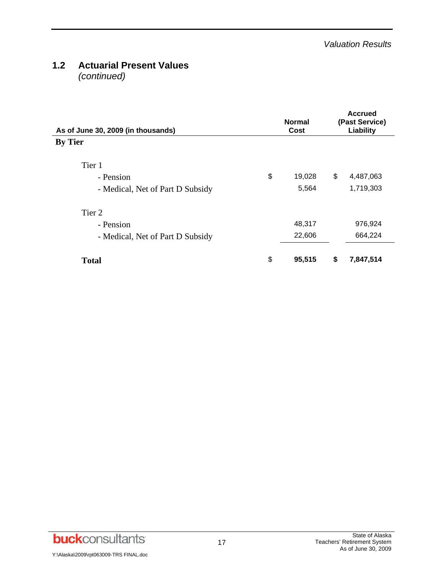## **1.2 Actuarial Present Values**

*(continued)*

| As of June 30, 2009 (in thousands) | <b>Normal</b><br>Cost | <b>Accrued</b><br>(Past Service)<br>Liability |
|------------------------------------|-----------------------|-----------------------------------------------|
| <b>By Tier</b>                     |                       |                                               |
| Tier 1                             |                       |                                               |
| - Pension                          | \$<br>19,028          | \$<br>4,487,063                               |
| - Medical, Net of Part D Subsidy   | 5,564                 | 1,719,303                                     |
| Tier 2                             |                       |                                               |
| - Pension                          | 48,317                | 976,924                                       |
| - Medical, Net of Part D Subsidy   | 22,606                | 664,224                                       |
| <b>Total</b>                       | \$<br>95,515          | \$<br>7,847,514                               |

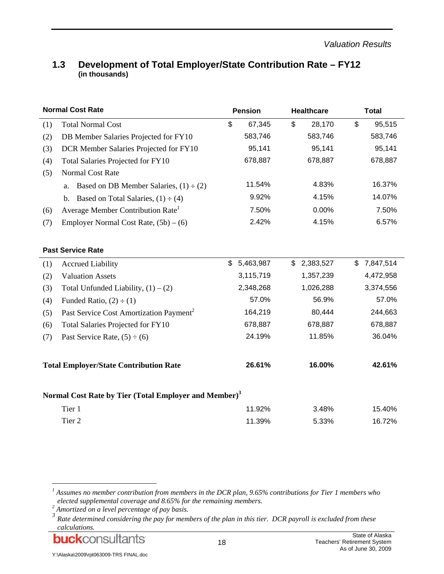#### **1.3 Development of Total Employer/State Contribution Rate – FY12 (in thousands)**

|     | <b>Normal Cost Rate</b>                                           | <b>Pension</b>  | <b>Healthcare</b> | <b>Total</b>    |
|-----|-------------------------------------------------------------------|-----------------|-------------------|-----------------|
| (1) | <b>Total Normal Cost</b>                                          | \$<br>67,345    | \$<br>28,170      | \$<br>95,515    |
| (2) | DB Member Salaries Projected for FY10                             | 583,746         | 583,746           | 583,746         |
| (3) | DCR Member Salaries Projected for FY10                            | 95,141          | 95,141            | 95,141          |
| (4) | Total Salaries Projected for FY10                                 | 678,887         | 678,887           | 678,887         |
| (5) | Normal Cost Rate                                                  |                 |                   |                 |
|     | Based on DB Member Salaries, $(1) \div (2)$<br>a.                 | 11.54%          | 4.83%             | 16.37%          |
|     | Based on Total Salaries, $(1) \div (4)$<br>b.                     | 9.92%           | 4.15%             | 14.07%          |
| (6) | Average Member Contribution Rate <sup>1</sup>                     | 7.50%           | 0.00%             | 7.50%           |
| (7) | Employer Normal Cost Rate, $(5b) - (6)$                           | 2.42%           | 4.15%             | 6.57%           |
|     |                                                                   |                 |                   |                 |
|     | <b>Past Service Rate</b>                                          |                 |                   |                 |
| (1) | <b>Accrued Liability</b>                                          | \$<br>5,463,987 | \$<br>2,383,527   | \$<br>7,847,514 |
| (2) | <b>Valuation Assets</b>                                           | 3,115,719       | 1,357,239         | 4,472,958       |
| (3) | Total Unfunded Liability, $(1) - (2)$                             | 2,348,268       | 1,026,288         | 3,374,556       |
| (4) | Funded Ratio, $(2) \div (1)$                                      | 57.0%           | 56.9%             | 57.0%           |
| (5) | Past Service Cost Amortization Payment <sup>2</sup>               | 164,219         | 80,444            | 244,663         |
| (6) | Total Salaries Projected for FY10                                 | 678,887         | 678,887           | 678,887         |
| (7) | Past Service Rate, $(5) \div (6)$                                 | 24.19%          | 11.85%            | 36.04%          |
|     | <b>Total Employer/State Contribution Rate</b>                     | 26.61%          | 16.00%            | 42.61%          |
|     | Normal Cost Rate by Tier (Total Employer and Member) <sup>3</sup> |                 |                   |                 |
|     | Tier 1                                                            | 11.92%          | 3.48%             | 15.40%          |
|     | Tier 2                                                            | 11.39%          | 5.33%             | 16.72%          |

buckconsultants

l

*<sup>1</sup> Assumes no member contribution from members in the DCR plan, 9.65% contributions for Tier 1 members who elected supplemental coverage and 8.65% for the remaining members. 2 Amortized on a level percentage of pay basis.* 

<sup>&</sup>lt;sup>3</sup> Rate determined considering the pay for members of the plan in this tier. DCR payroll is excluded from these *calculations.*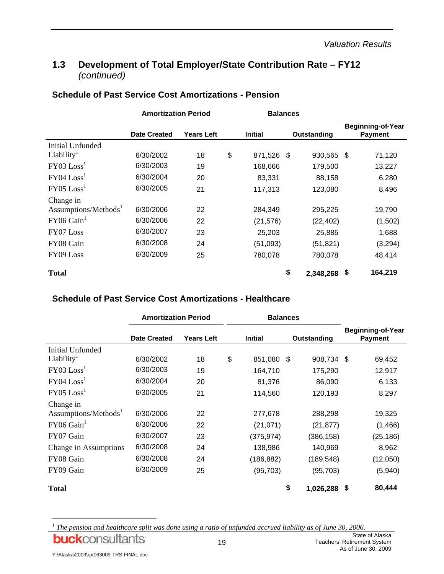### **1.3 Development of Total Employer/State Contribution Rate – FY12**  *(continued)*

|                                  | <b>Amortization Period</b> |                   | <b>Balances</b> |                |             |            |    |                                            |  |
|----------------------------------|----------------------------|-------------------|-----------------|----------------|-------------|------------|----|--------------------------------------------|--|
|                                  | <b>Date Created</b>        | <b>Years Left</b> |                 | <b>Initial</b> | Outstanding |            |    | <b>Beginning-of-Year</b><br><b>Payment</b> |  |
| Initial Unfunded                 |                            |                   |                 |                |             |            |    |                                            |  |
| Liability <sup>1</sup>           | 6/30/2002                  | 18                | \$              | 871,526 \$     |             | 930,565 \$ |    | 71,120                                     |  |
| FY03 Loss <sup>1</sup>           | 6/30/2003                  | 19                |                 | 168,666        |             | 179,500    |    | 13,227                                     |  |
| $FY04$ $Loss1$                   | 6/30/2004                  | 20                |                 | 83,331         |             | 88,158     |    | 6,280                                      |  |
| $FY05$ $Loss1$                   | 6/30/2005                  | 21                |                 | 117,313        |             | 123,080    |    | 8,496                                      |  |
| Change in                        |                            |                   |                 |                |             |            |    |                                            |  |
| Assumptions/Methods <sup>1</sup> | 6/30/2006                  | 22                |                 | 284,349        |             | 295,225    |    | 19,790                                     |  |
| $FY06$ Gain <sup>1</sup>         | 6/30/2006                  | 22                |                 | (21, 576)      |             | (22, 402)  |    | (1,502)                                    |  |
| FY07 Loss                        | 6/30/2007                  | 23                |                 | 25,203         |             | 25,885     |    | 1,688                                      |  |
| FY08 Gain                        | 6/30/2008                  | 24                |                 | (51,093)       |             | (51, 821)  |    | (3,294)                                    |  |
| FY09 Loss                        | 6/30/2009                  | 25                |                 | 780,078        |             | 780,078    |    | 48,414                                     |  |
| <b>Total</b>                     |                            |                   |                 |                | \$          | 2,348,268  | \$ | 164,219                                    |  |

### **Schedule of Past Service Cost Amortizations - Pension**

#### **Schedule of Past Service Cost Amortizations - Healthcare**

|                                  | <b>Amortization Period</b><br><b>Balances</b> |                   |    |                |    |                    |     |                                            |
|----------------------------------|-----------------------------------------------|-------------------|----|----------------|----|--------------------|-----|--------------------------------------------|
|                                  | <b>Date Created</b>                           | <b>Years Left</b> |    | <b>Initial</b> |    | <b>Outstanding</b> |     | <b>Beginning-of-Year</b><br><b>Payment</b> |
| <b>Initial Unfunded</b>          |                                               |                   |    |                |    |                    |     |                                            |
| Liability <sup>1</sup>           | 6/30/2002                                     | 18                | \$ | 851,080 \$     |    | 908,734            | -\$ | 69,452                                     |
| FY03 Loss <sup>1</sup>           | 6/30/2003                                     | 19                |    | 164,710        |    | 175,290            |     | 12,917                                     |
| $FY04$ $Loss1$                   | 6/30/2004                                     | 20                |    | 81,376         |    | 86,090             |     | 6,133                                      |
| $FY05$ $Loss1$                   | 6/30/2005                                     | 21                |    | 114,560        |    | 120,193            |     | 8,297                                      |
| Change in                        |                                               |                   |    |                |    |                    |     |                                            |
| Assumptions/Methods <sup>1</sup> | 6/30/2006                                     | 22                |    | 277,678        |    | 288,298            |     | 19,325                                     |
| $FY06$ Gain <sup>1</sup>         | 6/30/2006                                     | 22                |    | (21, 071)      |    | (21, 877)          |     | (1,466)                                    |
| FY07 Gain                        | 6/30/2007                                     | 23                |    | (375,974)      |    | (386,158)          |     | (25, 186)                                  |
| Change in Assumptions            | 6/30/2008                                     | 24                |    | 138,986        |    | 140,969            |     | 8,962                                      |
| FY08 Gain                        | 6/30/2008                                     | 24                |    | (186, 882)     |    | (189, 548)         |     | (12,050)                                   |
| FY09 Gain                        | 6/30/2009                                     | 25                |    | (95, 703)      |    | (95, 703)          |     | (5,940)                                    |
| <b>Total</b>                     |                                               |                   |    |                | \$ | 1,026,288          | \$  | 80,444                                     |

<sup>&</sup>lt;sup>1</sup> The pension and healthcare split was done using a ratio of unfunded accrued liability as of June 30, 2006. **buck**consultants

l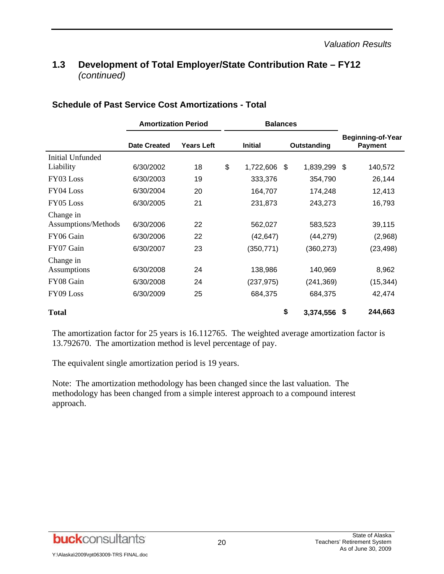### **1.3 Development of Total Employer/State Contribution Rate – FY12**  *(continued)*

|                     | <b>Amortization Period</b> |                   | <b>Balances</b> |                |    |              |     |                                            |
|---------------------|----------------------------|-------------------|-----------------|----------------|----|--------------|-----|--------------------------------------------|
|                     | <b>Date Created</b>        | <b>Years Left</b> |                 | <b>Initial</b> |    | Outstanding  |     | <b>Beginning-of-Year</b><br><b>Payment</b> |
| Initial Unfunded    |                            |                   |                 |                |    |              |     |                                            |
| Liability           | 6/30/2002                  | 18                | \$              | 1,722,606      | \$ | 1,839,299    | -\$ | 140,572                                    |
| FY03 Loss           | 6/30/2003                  | 19                |                 | 333,376        |    | 354,790      |     | 26,144                                     |
| FY04 Loss           | 6/30/2004                  | 20                |                 | 164,707        |    | 174,248      |     | 12,413                                     |
| FY05 Loss           | 6/30/2005                  | 21                |                 | 231,873        |    | 243,273      |     | 16,793                                     |
| Change in           |                            |                   |                 |                |    |              |     |                                            |
| Assumptions/Methods | 6/30/2006                  | 22                |                 | 562,027        |    | 583,523      |     | 39,115                                     |
| FY06 Gain           | 6/30/2006                  | 22                |                 | (42, 647)      |    | (44, 279)    |     | (2,968)                                    |
| FY07 Gain           | 6/30/2007                  | 23                |                 | (350, 771)     |    | (360,273)    |     | (23, 498)                                  |
| Change in           |                            |                   |                 |                |    |              |     |                                            |
| Assumptions         | 6/30/2008                  | 24                |                 | 138,986        |    | 140,969      |     | 8,962                                      |
| FY08 Gain           | 6/30/2008                  | 24                |                 | (237, 975)     |    | (241, 369)   |     | (15, 344)                                  |
| FY09 Loss           | 6/30/2009                  | 25                |                 | 684,375        |    | 684,375      |     | 42,474                                     |
| <b>Total</b>        |                            |                   |                 |                | \$ | 3,374,556 \$ |     | 244,663                                    |

#### **Schedule of Past Service Cost Amortizations - Total**

The amortization factor for 25 years is 16.112765. The weighted average amortization factor is 13.792670. The amortization method is level percentage of pay.

The equivalent single amortization period is 19 years.

Note: The amortization methodology has been changed since the last valuation. The methodology has been changed from a simple interest approach to a compound interest approach.

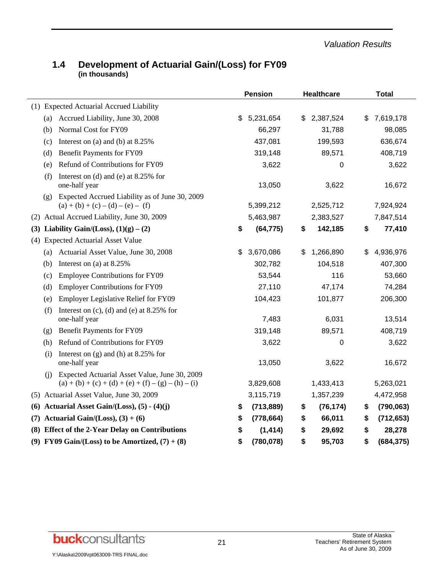*Valuation Results* 

#### **1.4 Development of Actuarial Gain/(Loss) for FY09 (in thousands)**

|                                                                                                               | <b>Pension</b>   | <b>Healthcare</b> | <b>Total</b>     |
|---------------------------------------------------------------------------------------------------------------|------------------|-------------------|------------------|
| (1) Expected Actuarial Accrued Liability                                                                      |                  |                   |                  |
| Accrued Liability, June 30, 2008<br>(a)                                                                       | \$<br>5,231,654  | \$<br>2,387,524   | 7,619,178<br>\$  |
| Normal Cost for FY09<br>(b)                                                                                   | 66,297           | 31,788            | 98,085           |
| Interest on (a) and (b) at $8.25\%$<br>(c)                                                                    | 437,081          | 199,593           | 636,674          |
| Benefit Payments for FY09<br>(d)                                                                              | 319,148          | 89,571            | 408,719          |
| Refund of Contributions for FY09<br>(e)                                                                       | 3,622            | 0                 | 3,622            |
| Interest on (d) and (e) at $8.25\%$ for<br>(f)<br>one-half year                                               | 13,050           | 3,622             | 16,672           |
| Expected Accrued Liability as of June 30, 2009<br>(g)<br>$(a) + (b) + (c) - (d) - (e) - (f)$                  | 5,399,212        | 2,525,712         | 7,924,924        |
| (2) Actual Accrued Liability, June 30, 2009                                                                   | 5,463,987        | 2,383,527         | 7,847,514        |
| (3) Liability Gain/(Loss), $(1)(g) - (2)$                                                                     | \$<br>(64, 775)  | \$<br>142,185     | \$<br>77,410     |
| (4) Expected Actuarial Asset Value                                                                            |                  |                   |                  |
| Actuarial Asset Value, June 30, 2008<br>(a)                                                                   | \$<br>3,670,086  | \$<br>1,266,890   | 4,936,976<br>\$  |
| Interest on (a) at 8.25%<br>(b)                                                                               | 302,782          | 104,518           | 407,300          |
| <b>Employee Contributions for FY09</b><br>(c)                                                                 | 53,544           | 116               | 53,660           |
| <b>Employer Contributions for FY09</b><br>(d)                                                                 | 27,110           | 47,174            | 74,284           |
| <b>Employer Legislative Relief for FY09</b><br>(e)                                                            | 104,423          | 101,877           | 206,300          |
| Interest on $(c)$ , $(d)$ and $(e)$ at 8.25% for<br>(f)<br>one-half year                                      | 7,483            | 6,031             | 13,514           |
| <b>Benefit Payments for FY09</b><br>(g)                                                                       | 319,148          | 89,571            | 408,719          |
| Refund of Contributions for FY09<br>(h)                                                                       | 3,622            | 0                 | 3,622            |
| Interest on $(g)$ and $(h)$ at 8.25% for<br>(i)<br>one-half year                                              | 13,050           | 3,622             | 16,672           |
| Expected Actuarial Asset Value, June 30, 2009<br>(i)<br>$(a) + (b) + (c) + (d) + (e) + (f) - (g) - (h) - (i)$ | 3,829,608        | 1,433,413         | 5,263,021        |
| (5) Actuarial Asset Value, June 30, 2009                                                                      | 3,115,719        | 1,357,239         | 4,472,958        |
| (6) Actuarial Asset Gain/(Loss), $(5) - (4)(j)$                                                               | (713, 889)<br>\$ | (76, 174)<br>\$   | (790, 063)<br>\$ |
| (7) Actuarial Gain/(Loss), $(3) + (6)$                                                                        | (778, 664)<br>\$ | 66,011<br>\$      | (712, 653)<br>\$ |
| (8) Effect of the 2-Year Delay on Contributions                                                               | (1, 414)<br>\$   | \$<br>29,692      | \$<br>28,278     |
| (9) FY09 Gain/(Loss) to be Amortized, $(7) + (8)$                                                             | \$<br>(780, 078) | \$<br>95,703      | \$<br>(684, 375) |

**buck**consultants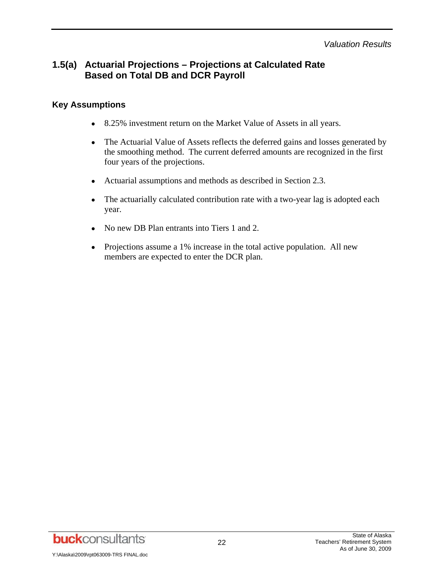*Valuation Results* 

### **1.5(a) Actuarial Projections – Projections at Calculated Rate Based on Total DB and DCR Payroll**

#### **Key Assumptions**

- 8.25% investment return on the Market Value of Assets in all years.
- The Actuarial Value of Assets reflects the deferred gains and losses generated by the smoothing method. The current deferred amounts are recognized in the first four years of the projections.
- Actuarial assumptions and methods as described in Section 2.3.
- The actuarially calculated contribution rate with a two-year lag is adopted each year.
- No new DB Plan entrants into Tiers 1 and 2.
- Projections assume a 1% increase in the total active population. All new members are expected to enter the DCR plan.

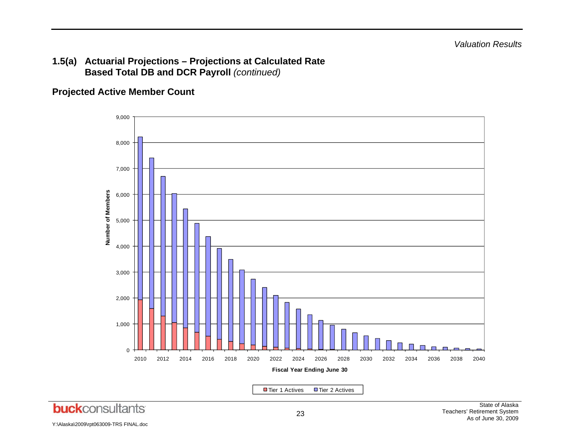#### **Projected Active Member Count**



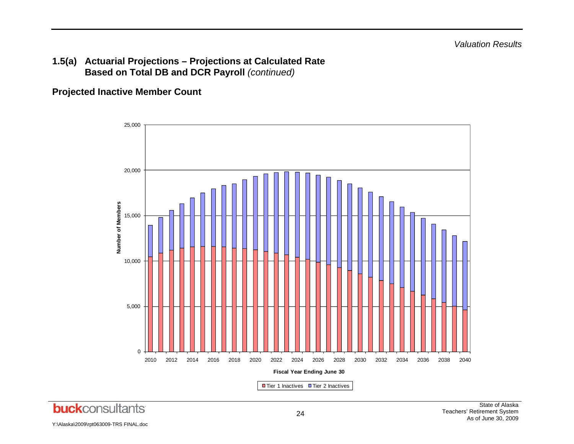#### **Projected Inactive Member Count**



24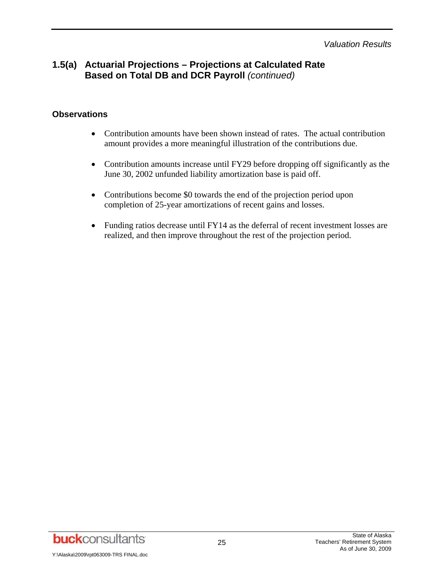*Valuation Results* 

### **1.5(a) Actuarial Projections – Projections at Calculated Rate Based on Total DB and DCR Payroll** *(continued)*

#### **Observations**

- Contribution amounts have been shown instead of rates. The actual contribution amount provides a more meaningful illustration of the contributions due.
- Contribution amounts increase until FY29 before dropping off significantly as the June 30, 2002 unfunded liability amortization base is paid off.
- Contributions become \$0 towards the end of the projection period upon completion of 25-year amortizations of recent gains and losses.
- Funding ratios decrease until FY14 as the deferral of recent investment losses are realized, and then improve throughout the rest of the projection period.

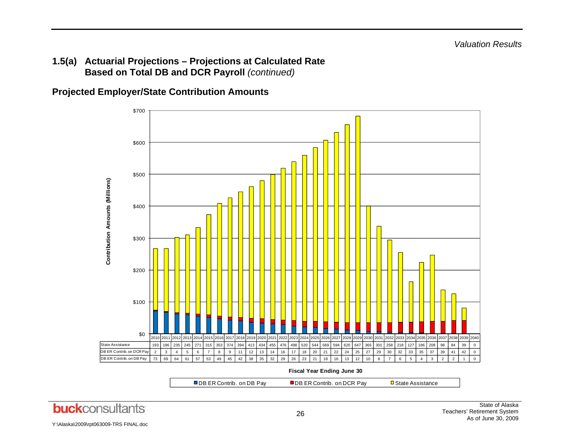**Projected Employer/State Contribution Amounts** 

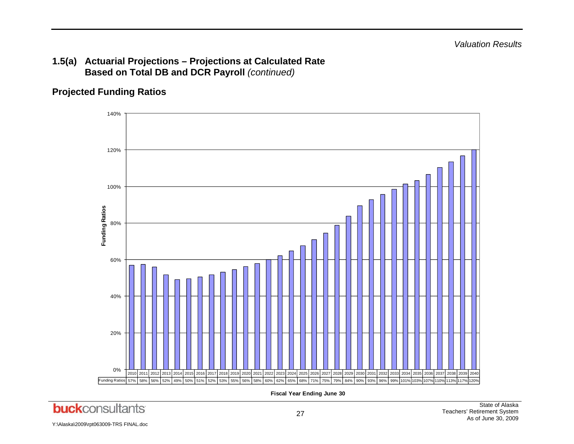### **Projected Funding Ratios**



**Fiscal Year Ending June 30**

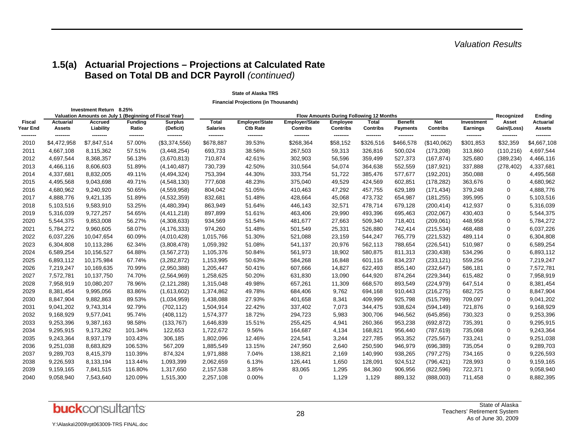#### **State of Alaska TRS**

**Financial Projections (in Thousands)**

|                           | Investment Return 8.25%<br>Valuation Amounts on July 1 (Beginning of Fiscal Year) |                          |                         |                             |                                 | <b>Flow Amounts During Following 12 Months</b> |                                          |                                    |                          |                                   |                               |                        |                                    |                               |
|---------------------------|-----------------------------------------------------------------------------------|--------------------------|-------------------------|-----------------------------|---------------------------------|------------------------------------------------|------------------------------------------|------------------------------------|--------------------------|-----------------------------------|-------------------------------|------------------------|------------------------------------|-------------------------------|
| <b>Fiscal</b><br>Year End | <b>Actuarial</b><br><b>Assets</b>                                                 | Accrued<br>Liability     | <b>Funding</b><br>Ratio | <b>Surplus</b><br>(Deficit) | <b>Total</b><br><b>Salaries</b> | <b>Employer/State</b><br><b>Ctb Rate</b>       | <b>Employer/State</b><br><b>Contribs</b> | <b>Employee</b><br><b>Contribs</b> | Total<br><b>Contribs</b> | <b>Benefit</b><br><b>Payments</b> | <b>Net</b><br><b>Contribs</b> | Investment<br>Earnings | Recognized<br>Asset<br>Gain/(Loss) | Ending<br>Actuarial<br>Assets |
| ---------<br>2010         | ---------<br>\$4,472,958                                                          | ---------<br>\$7,847,514 | ---------<br>57.00%     | ---------<br>(\$3,374,556)  | ---------<br>\$678,887          | ---------<br>39.53%                            | ---------<br>\$268,364                   | ---------<br>\$58,152              | --------<br>\$326,516    | ---------<br>\$466,578            | ---------<br>(\$140,062)      | ---------<br>\$301,853 | ---------<br>\$32,359              | \$4,667,108                   |
| 2011                      | 4,667,108                                                                         | 8,115,362                | 57.51%                  | (3,448,254)                 | 693,733                         | 38.56%                                         | 267,503                                  | 59,313                             | 326,816                  | 500,024                           | (173, 208)                    | 313,860                | (110, 216)                         | 4,697,544                     |
| 2012                      | 4,697,544                                                                         | 8,368,357                | 56.13%                  | (3,670,813)                 | 710,874                         | 42.61%                                         | 302,903                                  | 56,596                             | 359,499                  | 527,373                           | (167, 874)                    | 325,680                | (389, 234)                         | 4,466,116                     |
| 2013                      | 4,466,116                                                                         | 8,606,603                | 51.89%                  | (4, 140, 487)               | 730,739                         | 42.50%                                         | 310,564                                  | 54,074                             | 364,638                  | 552,559                           | (187, 921)                    | 337,888                | (278, 402)                         | 4,337,681                     |
| 2014                      | 4,337,681                                                                         | 8,832,005                | 49.11%                  | (4,494,324)                 | 753,394                         | 44.30%                                         | 333,754                                  | 51,722                             | 385,476                  | 577,677                           | (192, 201)                    | 350,088                | 0                                  | 4,495,568                     |
| 2015                      | 4,495,568                                                                         | 9,043,698                | 49.71%                  | (4,548,130)                 | 777,608                         | 48.23%                                         | 375,040                                  | 49,529                             | 424,569                  | 602,851                           | (178, 282)                    | 363,676                | $\mathbf 0$                        | 4,680,962                     |
| 2016                      | 4,680,962                                                                         | 9,240,920                | 50.65%                  | (4,559,958)                 | 804,042                         | 51.05%                                         | 410,463                                  | 47,292                             | 457,755                  | 629,189                           | (171, 434)                    | 379,248                | $\mathbf 0$                        | 4,888,776                     |
| 2017                      | 4,888,776                                                                         | 9,421,135                | 51.89%                  | (4,532,359)                 | 832,681                         | 51.48%                                         | 428,664                                  | 45,068                             | 473,732                  | 654,987                           | (181, 255)                    | 395,995                | $\mathbf 0$                        | 5,103,516                     |
| 2018                      | 5,103,516                                                                         | 9,583,910                | 53.25%                  | (4,480,394)                 | 863,949                         | 51.64%                                         | 446,143                                  | 32,571                             | 478,714                  | 679,128                           | (200, 414)                    | 412,937                | $\Omega$                           | 5,316,039                     |
| 2019                      | 5,316,039                                                                         | 9,727,257                | 54.65%                  | (4, 411, 218)               | 897,899                         | 51.61%                                         | 463,406                                  | 29,990                             | 493,396                  | 695,463                           | (202, 067)                    | 430,403                | $\mathbf 0$                        | 5,544,375                     |
| 2020                      | 5,544,375                                                                         | 9,853,008                | 56.27%                  | (4,308,633)                 | 934,569                         | 51.54%                                         | 481,677                                  | 27,663                             | 509,340                  | 718,401                           | (209, 061)                    | 448,958                | $\mathbf 0$                        | 5,784,272                     |
| 2021                      | 5,784,272                                                                         | 9,960,605                | 58.07%                  | (4, 176, 333)               | 974,260                         | 51.48%                                         | 501,549                                  | 25,331                             | 526,880                  | 742,414                           | (215, 534)                    | 468,488                | $\mathbf 0$                        | 6,037,226                     |
| 2022                      | 6,037,226                                                                         | 10,047,654               | 60.09%                  | (4,010,428)                 | 1,015,766                       | 51.30%                                         | 521,088                                  | 23,159                             | 544,247                  | 765,779                           | (221, 532)                    | 489,114                | $\Omega$                           | 6,304,808                     |
| 2023                      | 6,304,808                                                                         | 10,113,286               | 62.34%                  | (3,808,478)                 | 1,059,392                       | 51.08%                                         | 541,137                                  | 20,976                             | 562,113                  | 788,654                           | (226, 541)                    | 510,987                | $\Omega$                           | 6,589,254                     |
| 2024                      | 6,589,254                                                                         | 10,156,527               | 64.88%                  | (3, 567, 273)               | 1,105,376                       | 50.84%                                         | 561,973                                  | 18,902                             | 580,875                  | 811,313                           | (230, 438)                    | 534,296                | $\mathbf 0$                        | 6,893,112                     |
| 2025                      | 6,893,112                                                                         | 10,175,984               | 67.74%                  | (3,282,872)                 | 1,153,995                       | 50.63%                                         | 584,268                                  | 16,848                             | 601,116                  | 834,237                           | (233, 121)                    | 559,256                | $\mathbf 0$                        | 7,219,247                     |
| 2026                      | 7,219,247                                                                         | 10,169,635               | 70.99%                  | (2,950,388)                 | 1,205,447                       | 50.41%                                         | 607,666                                  | 14,827                             | 622,493                  | 855,140                           | (232, 647)                    | 586,181                | $\mathbf 0$                        | 7,572,781                     |
| 2027                      | 7,572,781                                                                         | 10,137,750               | 74.70%                  | (2,564,969)                 | 1,258,625                       | 50.20%                                         | 631,830                                  | 13,090                             | 644,920                  | 874,264                           | (229, 344)                    | 615,482                | $\mathbf 0$                        | 7,958,919                     |
| 2028                      | 7,958,919                                                                         | 10,080,207               | 78.96%                  | (2, 121, 288)               | 1,315,048                       | 49.98%                                         | 657,261                                  | 11,309                             | 668,570                  | 893,549                           | (224, 979)                    | 647,514                | $\mathbf 0$                        | 8,381,454                     |
| 2029                      | 8,381,454                                                                         | 9,995,056                | 83.86%                  | (1,613,602)                 | 1,374,862                       | 49.78%                                         | 684,406                                  | 9,762                              | 694,168                  | 910,443                           | (216, 275)                    | 682,725                | $\mathbf 0$                        | 8,847,904                     |
| 2030                      | 8,847,904                                                                         | 9,882,863                | 89.53%                  | (1,034,959)                 | 1,438,088                       | 27.93%                                         | 401,658                                  | 8,341                              | 409,999                  | 925,798                           | (515, 799)                    | 709,097                | $\mathbf 0$                        | 9,041,202                     |
| 2031                      | 9,041,202                                                                         | 9,743,314                | 92.79%                  | (702, 112)                  | 1,504,914                       | 22.42%                                         | 337,402                                  | 7,073                              | 344,475                  | 938,624                           | (594, 149)                    | 721,876                | $\mathbf 0$                        | 9,168,929                     |
| 2032                      | 9,168,929                                                                         | 9,577,041                | 95.74%                  | (408, 112)                  | 1,574,377                       | 18.72%                                         | 294,723                                  | 5,983                              | 300,706                  | 946,562                           | (645, 856)                    | 730,323                | $\Omega$                           | 9,253,396                     |
| 2033                      | 9,253,396                                                                         | 9,387,163                | 98.58%                  | (133, 767)                  | 1,646,839                       | 15.51%                                         | 255,425                                  | 4,941                              | 260,366                  | 953,238                           | (692, 872)                    | 735,391                | $\mathbf 0$                        | 9,295,915                     |
| 2034                      | 9,295,915                                                                         | 9,173,262                | 101.34%                 | 122,653                     | 1,722,672                       | 9.56%                                          | 164,687                                  | 4,134                              | 168,821                  | 956,440                           | (787, 619)                    | 735,068                | $\mathbf 0$                        | 9,243,364                     |
| 2035                      | 9,243,364                                                                         | 8,937,179                | 103.43%                 | 306,185                     | 1,802,096                       | 12.46%                                         | 224,541                                  | 3,244                              | 227,785                  | 953,352                           | (725, 567)                    | 733,241                | 0                                  | 9,251,038                     |
| 2036                      | 9,251,038                                                                         | 8,683,829                | 106.53%                 | 567,209                     | 1,885,549                       | 13.15%                                         | 247,950                                  | 2,640                              | 250,590                  | 946,979                           | (696, 389)                    | 735,054                | $\Omega$                           | 9,289,703                     |
| 2037                      | 9,289,703                                                                         | 8,415,379                | 110.39%                 | 874,324                     | 1,971,888                       | 7.04%                                          | 138,821                                  | 2,169                              | 140,990                  | 938,265                           | (797, 275)                    | 734,165                | 0                                  | 9,226,593                     |
| 2038                      | 9,226,593                                                                         | 8,133,194                | 113.44%                 | 1,093,399                   | 2,062,659                       | 6.13%                                          | 126,441                                  | 1,650                              | 128,091                  | 924,512                           | (796, 421)                    | 728,993                | $\mathbf 0$                        | 9,159,165                     |
| 2039                      | 9,159,165                                                                         | 7,841,515                | 116.80%                 | 1,317,650                   | 2,157,538                       | 3.85%                                          | 83,065                                   | 1,295                              | 84,360                   | 906,956                           | (822, 596)                    | 722,371                | 0                                  | 9,058,940                     |
| 2040                      | 9,058,940                                                                         | 7,543,640                | 120.09%                 | 1,515,300                   | 2,257,108                       | 0.00%                                          | $\mathbf 0$                              | 1,129                              | 1,129                    | 889,132                           | (888,003)                     | 711,458                | $\Omega$                           | 8,882,395                     |

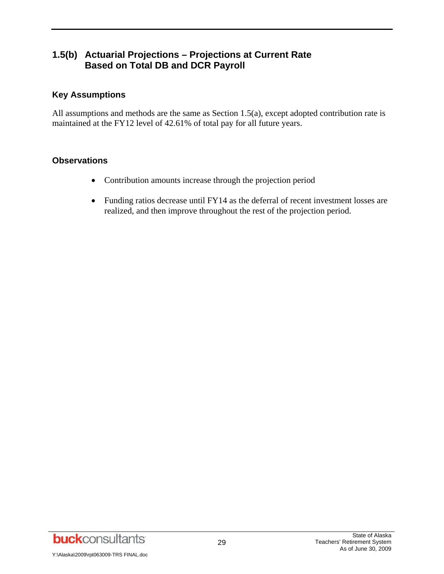### **1.5(b) Actuarial Projections – Projections at Current Rate Based on Total DB and DCR Payroll**

#### **Key Assumptions**

All assumptions and methods are the same as Section 1.5(a), except adopted contribution rate is maintained at the FY12 level of 42.61% of total pay for all future years.

#### **Observations**

- Contribution amounts increase through the projection period
- Funding ratios decrease until FY14 as the deferral of recent investment losses are realized, and then improve throughout the rest of the projection period.

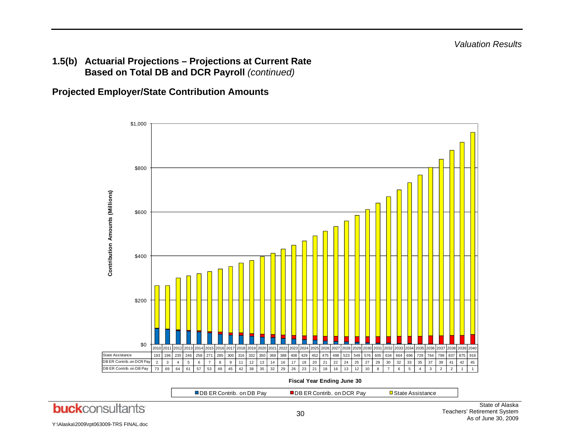**Projected Employer/State Contribution Amounts** 

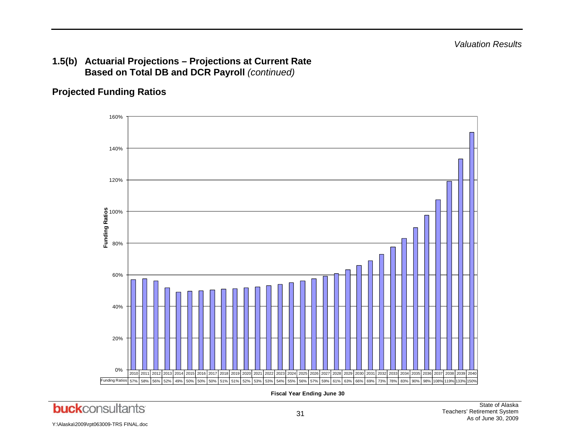### **Projected Funding Ratios**



**Fiscal Year Ending June 30**

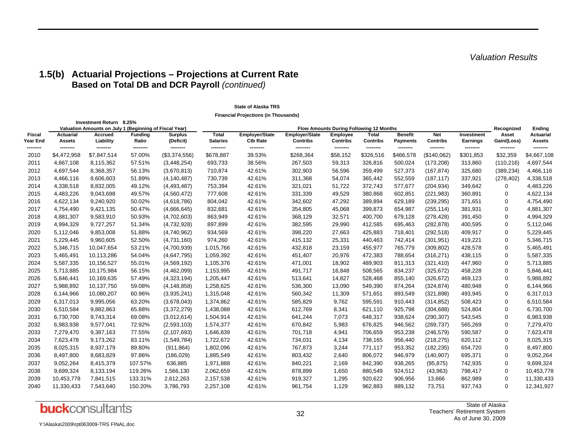### **1.5(b) Actuarial Projections – Projections at Current Rate Based on Total DB and DCR Payroll** *(continued)*

### **State of Alaska TRS**

**Financial Projections (in Thousands)**

|                    | Investment Return 8.25%<br>Valuation Amounts on July 1 (Beginning of Fiscal Year) |                             |                         |                             |                          | Flow Amounts During Following 12 Months  |                                   |                             |                                 |                                   |                               |                        |                                    |                                                    |  |
|--------------------|-----------------------------------------------------------------------------------|-----------------------------|-------------------------|-----------------------------|--------------------------|------------------------------------------|-----------------------------------|-----------------------------|---------------------------------|-----------------------------------|-------------------------------|------------------------|------------------------------------|----------------------------------------------------|--|
| Fiscal<br>Year End | Actuarial<br>Assets                                                               | <b>Accrued</b><br>Liability | <b>Funding</b><br>Ratio | <b>Surplus</b><br>(Deficit) | Total<br><b>Salaries</b> | <b>Employer/State</b><br><b>Ctb Rate</b> | <b>Employer/State</b><br>Contribs | Employee<br><b>Contribs</b> | <b>Total</b><br><b>Contribs</b> | <b>Benefit</b><br><b>Payments</b> | <b>Net</b><br><b>Contribs</b> | Investment<br>Earnings | Recognized<br>Asset<br>Gain/(Loss) | <b>Ending</b><br><b>Actuarial</b><br><b>Assets</b> |  |
| ---------<br>2010  | ---------<br>\$4,472,958                                                          | --------<br>\$7,847,514     | --------<br>57.00%      | --------<br>(\$3,374,556)   | --------<br>\$678,887    | --------<br>39.53%                       | --------<br>\$268,364             | --------<br>\$58,152        | --------<br>\$326,516           | --------<br>\$466,578             | --------<br>(\$140,062)       | --------<br>\$301,853  | ---------<br>\$32,359              | --------<br>\$4,667,108                            |  |
| 2011               | 4,667,108                                                                         | 8,115,362                   | 57.51%                  |                             | 693,733                  | 38.56%                                   | 267,503                           |                             |                                 | 500,024                           |                               |                        |                                    |                                                    |  |
| 2012               | 4,697,544                                                                         | 8,368,357                   | 56.13%                  | (3,448,254)<br>(3,670,813)  | 710,874                  | 42.61%                                   | 302,903                           | 59,313<br>56,596            | 326,816<br>359,499              | 527,373                           | (173, 208)<br>(167, 874)      | 313,860<br>325,680     | (110, 216)<br>(389, 234)           | 4,697,544<br>4,466,116                             |  |
| 2013               | 4,466,116                                                                         | 8,606,603                   | 51.89%                  | (4, 140, 487)               | 730,739                  | 42.61%                                   | 311,368                           | 54,074                      | 365,442                         | 552,559                           | (187, 117)                    | 337,921                | (278, 402)                         | 4,338,518                                          |  |
| 2014               | 4,338,518                                                                         | 8,832,005                   | 49.12%                  | (4,493,487)                 | 753,394                  | 42.61%                                   | 321,021                           | 51,722                      | 372,743                         | 577,677                           | (204, 934)                    | 349,642                | 0                                  | 4,483,226                                          |  |
| 2015               | 4,483,226                                                                         | 9,043,698                   | 49.57%                  | (4,560,472)                 | 777,608                  | 42.61%                                   | 331,339                           | 49,529                      | 380,868                         | 602,851                           | (221, 983)                    | 360,891                | 0                                  | 4,622,134                                          |  |
| 2016               | 4,622,134                                                                         | 9,240,920                   | 50.02%                  | (4,618,786)                 | 804,042                  | 42.61%                                   | 342,602                           | 47,292                      | 389,894                         | 629,189                           | (239, 295)                    | 371,651                | 0                                  | 4,754,490                                          |  |
| 2017               | 4,754,490                                                                         | 9,421,135                   | 50.47%                  | (4,666,645)                 | 832,681                  | 42.61%                                   | 354,805                           | 45,068                      | 399,873                         | 654,987                           | (255, 114)                    | 381,931                | $\mathbf 0$                        | 4,881,307                                          |  |
| 2018               | 4,881,307                                                                         | 9,583,910                   | 50.93%                  | (4,702,603)                 | 863,949                  | 42.61%                                   | 368,129                           | 32,571                      | 400,700                         | 679,128                           | (278, 428)                    | 391,450                | $\mathbf 0$                        | 4,994,329                                          |  |
| 2019               | 4,994,329                                                                         | 9,727,257                   | 51.34%                  | (4,732,928)                 | 897,899                  | 42.61%                                   | 382,595                           | 29,990                      | 412,585                         | 695,463                           | (282, 878)                    | 400,595                | 0                                  | 5,112,046                                          |  |
| 2020               | 5,112,046                                                                         | 9,853,008                   | 51.88%                  | (4,740,962)                 | 934,569                  | 42.61%                                   | 398,220                           | 27,663                      | 425,883                         | 718,401                           | (292, 518)                    | 409,917                | $\mathbf 0$                        | 5,229,445                                          |  |
| 2021               | 5,229,445                                                                         | 9,960,605                   | 52.50%                  | (4,731,160)                 | 974,260                  | 42.61%                                   | 415,132                           | 25,331                      | 440,463                         | 742,414                           | (301, 951)                    | 419,221                | 0                                  | 5,346,715                                          |  |
| 2022               | 5,346,715                                                                         | 10,047,654                  | 53.21%                  | (4,700,939)                 | 1,015,766                | 42.61%                                   | 432,818                           | 23,159                      | 455,977                         | 765,779                           | (309, 802)                    | 428,578                | 0                                  | 5,465,491                                          |  |
| 2023               | 5,465,491                                                                         | 10,113,286                  | 54.04%                  | (4,647,795)                 | 1,059,392                | 42.61%                                   | 451,407                           | 20,976                      | 472,383                         | 788,654                           | (316, 271)                    | 438,115                | 0                                  | 5,587,335                                          |  |
| 2024               | 5,587,335                                                                         | 10,156,527                  | 55.01%                  | (4, 569, 192)               | 1,105,376                | 42.61%                                   | 471,001                           | 18,902                      | 489,903                         | 811,313                           | (321, 410)                    | 447,960                | 0                                  | 5,713,885                                          |  |
| 2025               | 5,713,885                                                                         | 10,175,984                  | 56.15%                  | (4,462,099)                 | 1,153,995                | 42.61%                                   | 491,717                           | 16,848                      | 508,565                         | 834,237                           | (325, 672)                    | 458,228                | $\mathbf 0$                        | 5,846,441                                          |  |
| 2026               | 5,846,441                                                                         | 10,169,635                  | 57.49%                  | (4,323,194)                 | 1,205,447                | 42.61%                                   | 513,641                           | 14,827                      | 528,468                         | 855,140                           | (326, 672)                    | 469,123                | 0                                  | 5,988,892                                          |  |
| 2027               | 5,988,892                                                                         | 10,137,750                  | 59.08%                  | (4, 148, 858)               | 1,258,625                | 42.61%                                   | 536,300                           | 13,090                      | 549,390                         | 874,264                           | (324, 874)                    | 480,948                | $\mathbf 0$                        | 6,144,966                                          |  |
| 2028               | 6,144,966                                                                         | 10,080,207                  | 60.96%                  | (3,935,241)                 | 1,315,048                | 42.61%                                   | 560,342                           | 11,309                      | 571,651                         | 893,549                           | (321, 898)                    | 493,945                | 0                                  | 6,317,013                                          |  |
| 2029               | 6,317,013                                                                         | 9,995,056                   | 63.20%                  | (3,678,043)                 | 1,374,862                | 42.61%                                   | 585,829                           | 9,762                       | 595,591                         | 910,443                           | (314, 852)                    | 508,423                | $\mathbf 0$                        | 6,510,584                                          |  |
| 2030               | 6,510,584                                                                         | 9,882,863                   | 65.88%                  | (3,372,279)                 | 1,438,088                | 42.61%                                   | 612,769                           | 8,341                       | 621,110                         | 925,798                           | (304, 688)                    | 524,804                | 0                                  | 6,730,700                                          |  |
| 2031               | 6,730,700                                                                         | 9,743,314                   | 69.08%                  | (3,012,614)                 | 1,504,914                | 42.61%                                   | 641,244                           | 7,073                       | 648,317                         | 938,624                           | (290, 307)                    | 543,545                | $\mathbf 0$                        | 6,983,938                                          |  |
| 2032               | 6,983,938                                                                         | 9,577,041                   | 72.92%                  | (2,593,103)                 | 1,574,377                | 42.61%                                   | 670,842                           | 5,983                       | 676,825                         | 946,562                           | (269, 737)                    | 565,269                | $\mathbf 0$                        | 7,279,470                                          |  |
| 2033               | 7,279,470                                                                         | 9,387,163                   | 77.55%                  | (2, 107, 693)               | 1,646,839                | 42.61%                                   | 701,718                           | 4,941                       | 706,659                         | 953,238                           | (246, 579)                    | 590,587                | 0                                  | 7,623,478                                          |  |
| 2034               | 7,623,478                                                                         | 9,173,262                   | 83.11%                  | (1,549,784)                 | 1,722,672                | 42.61%                                   | 734,031                           | 4,134                       | 738,165                         | 956,440                           | (218, 275)                    | 620,112                | 0                                  | 8,025,315                                          |  |
| 2035               | 8,025,315                                                                         | 8,937,179                   | 89.80%                  | (911, 864)                  | 1,802,096                | 42.61%                                   | 767,873                           | 3,244                       | 771,117                         | 953,352                           | (182, 235)                    | 654,720                | 0                                  | 8,497,800                                          |  |
| 2036               | 8,497,800                                                                         | 8,683,829                   | 97.86%                  | (186, 029)                  | 1,885,549                | 42.61%                                   | 803,432                           | 2,640                       | 806,072                         | 946,979                           | (140, 907)                    | 695,371                | 0                                  | 9,052,264                                          |  |
| 2037               | 9,052,264                                                                         | 8,415,379                   | 107.57%                 | 636,885                     | 1,971,888                | 42.61%                                   | 840,221                           | 2,169                       | 842,390                         | 938,265                           | (95, 875)                     | 742,935                | $\mathbf 0$                        | 9,699,324                                          |  |
| 2038               | 9,699,324                                                                         | 8,133,194                   | 119.26%                 | 1,566,130                   | 2,062,659                | 42.61%                                   | 878,899                           | 1,650                       | 880,549                         | 924,512                           | (43,963)                      | 798,417                | $\Omega$                           | 10,453,778                                         |  |
| 2039               | 10,453,778                                                                        | 7,841,515                   | 133.31%                 | 2,612,263                   | 2,157,538                | 42.61%                                   | 919,327                           | 1,295                       | 920,622                         | 906,956                           | 13,666                        | 862,989                | $\mathbf 0$                        | 11,330,433                                         |  |
| 2040               | 11,330,433                                                                        | 7,543,640                   | 150.20%                 | 3,786,793                   | 2,257,108                | 42.61%                                   | 961,754                           | 1,129                       | 962,883                         | 889,132                           | 73,751                        | 937,743                | $\Omega$                           | 12,341,927                                         |  |
|                    |                                                                                   |                             |                         |                             |                          |                                          |                                   |                             |                                 |                                   |                               |                        |                                    |                                                    |  |

Y:\Alaska\2009\rpt063009-TRS FINAL.doc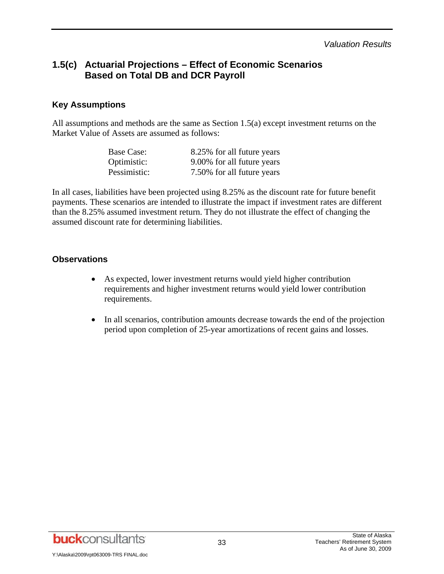*Valuation Results* 

# **1.5(c) Actuarial Projections – Effect of Economic Scenarios Based on Total DB and DCR Payroll**

## **Key Assumptions**

All assumptions and methods are the same as Section 1.5(a) except investment returns on the Market Value of Assets are assumed as follows:

| Base Case:   | 8.25% for all future years |
|--------------|----------------------------|
| Optimistic:  | 9.00% for all future years |
| Pessimistic: | 7.50% for all future years |

In all cases, liabilities have been projected using 8.25% as the discount rate for future benefit payments. These scenarios are intended to illustrate the impact if investment rates are different than the 8.25% assumed investment return. They do not illustrate the effect of changing the assumed discount rate for determining liabilities.

### **Observations**

- As expected, lower investment returns would yield higher contribution requirements and higher investment returns would yield lower contribution requirements.
- In all scenarios, contribution amounts decrease towards the end of the projection period upon completion of 25-year amortizations of recent gains and losses.

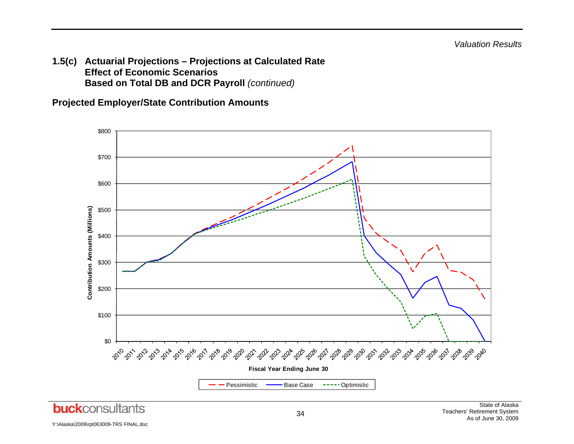**1.5(c) Actuarial Projections – Projections at Calculated Rate Effect of Economic Scenarios Based on Total DB and DCR Payroll** *(continued)* 

**Projected Employer/State Contribution Amounts** 



Y:\Alaska\2009\rpt063009-TRS FINAL.doc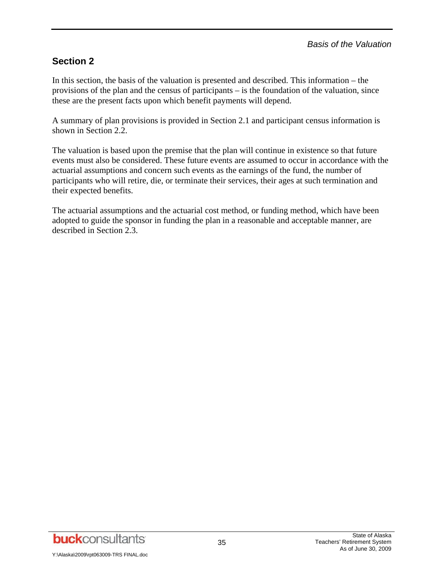# **Section 2**

In this section, the basis of the valuation is presented and described. This information – the provisions of the plan and the census of participants – is the foundation of the valuation, since these are the present facts upon which benefit payments will depend.

A summary of plan provisions is provided in Section 2.1 and participant census information is shown in Section 2.2.

The valuation is based upon the premise that the plan will continue in existence so that future events must also be considered. These future events are assumed to occur in accordance with the actuarial assumptions and concern such events as the earnings of the fund, the number of participants who will retire, die, or terminate their services, their ages at such termination and their expected benefits.

The actuarial assumptions and the actuarial cost method, or funding method, which have been adopted to guide the sponsor in funding the plan in a reasonable and acceptable manner, are described in Section 2.3.

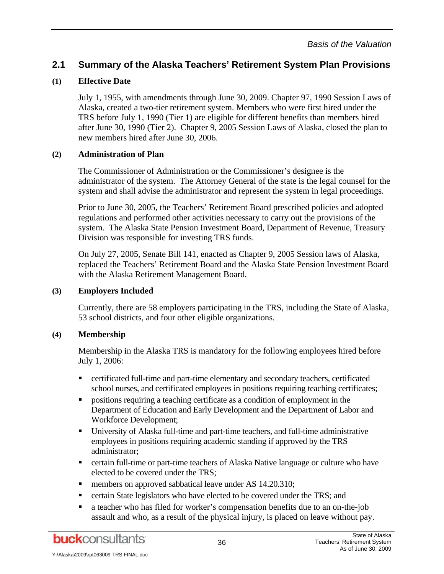# **(1) Effective Date**

July 1, 1955, with amendments through June 30, 2009. Chapter 97, 1990 Session Laws of Alaska, created a two-tier retirement system. Members who were first hired under the TRS before July 1, 1990 (Tier 1) are eligible for different benefits than members hired after June 30, 1990 (Tier 2). Chapter 9, 2005 Session Laws of Alaska, closed the plan to new members hired after June 30, 2006.

# **(2) Administration of Plan**

The Commissioner of Administration or the Commissioner's designee is the administrator of the system. The Attorney General of the state is the legal counsel for the system and shall advise the administrator and represent the system in legal proceedings.

Prior to June 30, 2005, the Teachers' Retirement Board prescribed policies and adopted regulations and performed other activities necessary to carry out the provisions of the system. The Alaska State Pension Investment Board, Department of Revenue, Treasury Division was responsible for investing TRS funds.

On July 27, 2005, Senate Bill 141, enacted as Chapter 9, 2005 Session laws of Alaska, replaced the Teachers' Retirement Board and the Alaska State Pension Investment Board with the Alaska Retirement Management Board.

# **(3) Employers Included**

Currently, there are 58 employers participating in the TRS, including the State of Alaska, 53 school districts, and four other eligible organizations.

# **(4) Membership**

Membership in the Alaska TRS is mandatory for the following employees hired before July 1, 2006:

- certificated full-time and part-time elementary and secondary teachers, certificated school nurses, and certificated employees in positions requiring teaching certificates;
- positions requiring a teaching certificate as a condition of employment in the Department of Education and Early Development and the Department of Labor and Workforce Development;
- University of Alaska full-time and part-time teachers, and full-time administrative employees in positions requiring academic standing if approved by the TRS administrator;
- certain full-time or part-time teachers of Alaska Native language or culture who have elected to be covered under the TRS;
- members on approved sabbatical leave under AS 14.20.310;
- **Exercise 1** certain State legislators who have elected to be covered under the TRS; and
- a teacher who has filed for worker's compensation benefits due to an on-the-job assault and who, as a result of the physical injury, is placed on leave without pay.

**buck**consultants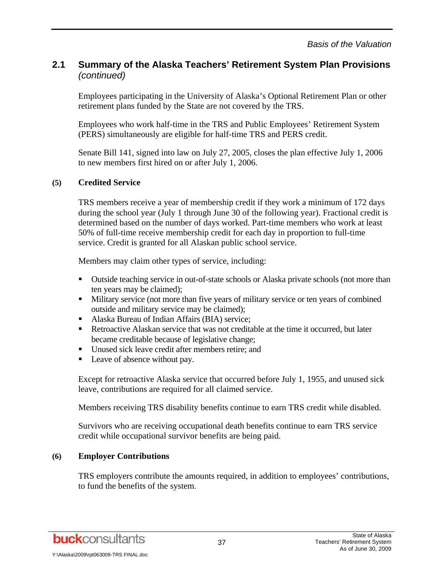Employees participating in the University of Alaska's Optional Retirement Plan or other retirement plans funded by the State are not covered by the TRS.

Employees who work half-time in the TRS and Public Employees' Retirement System (PERS) simultaneously are eligible for half-time TRS and PERS credit.

Senate Bill 141, signed into law on July 27, 2005, closes the plan effective July 1, 2006 to new members first hired on or after July 1, 2006.

### **(5) Credited Service**

TRS members receive a year of membership credit if they work a minimum of 172 days during the school year (July 1 through June 30 of the following year). Fractional credit is determined based on the number of days worked. Part-time members who work at least 50% of full-time receive membership credit for each day in proportion to full-time service. Credit is granted for all Alaskan public school service.

Members may claim other types of service, including:

- Outside teaching service in out-of-state schools or Alaska private schools (not more than ten years may be claimed);
- Military service (not more than five years of military service or ten years of combined outside and military service may be claimed);
- Alaska Bureau of Indian Affairs (BIA) service;
- Retroactive Alaskan service that was not creditable at the time it occurred, but later became creditable because of legislative change;
- Unused sick leave credit after members retire; and
- Leave of absence without pay.

Except for retroactive Alaska service that occurred before July 1, 1955, and unused sick leave, contributions are required for all claimed service.

Members receiving TRS disability benefits continue to earn TRS credit while disabled.

Survivors who are receiving occupational death benefits continue to earn TRS service credit while occupational survivor benefits are being paid.

### **(6) Employer Contributions**

TRS employers contribute the amounts required, in addition to employees' contributions, to fund the benefits of the system.

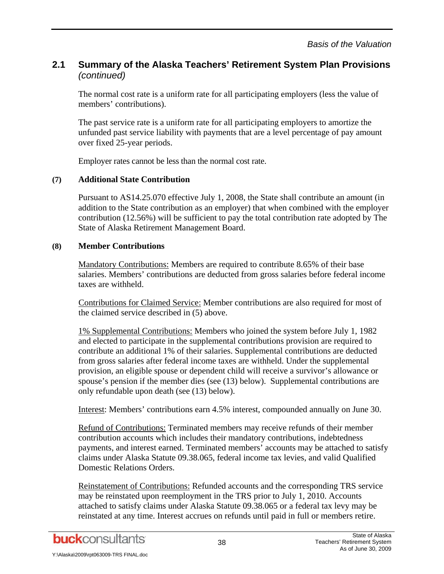The normal cost rate is a uniform rate for all participating employers (less the value of members' contributions).

The past service rate is a uniform rate for all participating employers to amortize the unfunded past service liability with payments that are a level percentage of pay amount over fixed 25-year periods.

Employer rates cannot be less than the normal cost rate.

### **(7) Additional State Contribution**

Pursuant to AS14.25.070 effective July 1, 2008, the State shall contribute an amount (in addition to the State contribution as an employer) that when combined with the employer contribution (12.56%) will be sufficient to pay the total contribution rate adopted by The State of Alaska Retirement Management Board.

### **(8) Member Contributions**

Mandatory Contributions: Members are required to contribute 8.65% of their base salaries. Members' contributions are deducted from gross salaries before federal income taxes are withheld.

Contributions for Claimed Service: Member contributions are also required for most of the claimed service described in (5) above.

1% Supplemental Contributions: Members who joined the system before July 1, 1982 and elected to participate in the supplemental contributions provision are required to contribute an additional 1% of their salaries. Supplemental contributions are deducted from gross salaries after federal income taxes are withheld. Under the supplemental provision, an eligible spouse or dependent child will receive a survivor's allowance or spouse's pension if the member dies (see (13) below). Supplemental contributions are only refundable upon death (see (13) below).

Interest: Members' contributions earn 4.5% interest, compounded annually on June 30.

Refund of Contributions: Terminated members may receive refunds of their member contribution accounts which includes their mandatory contributions, indebtedness payments, and interest earned. Terminated members' accounts may be attached to satisfy claims under Alaska Statute 09.38.065, federal income tax levies, and valid Qualified Domestic Relations Orders.

Reinstatement of Contributions: Refunded accounts and the corresponding TRS service may be reinstated upon reemployment in the TRS prior to July 1, 2010. Accounts attached to satisfy claims under Alaska Statute 09.38.065 or a federal tax levy may be reinstated at any time. Interest accrues on refunds until paid in full or members retire.

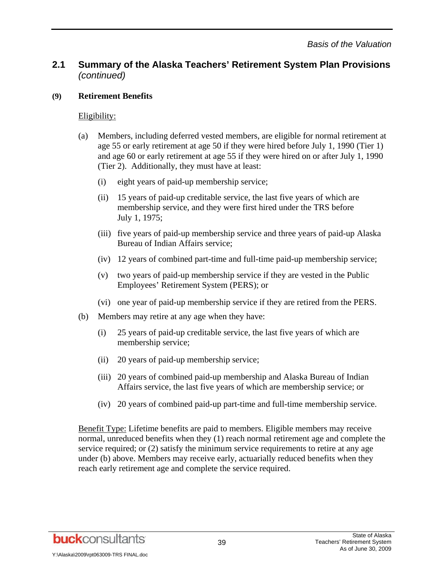### **(9) Retirement Benefits**

## Eligibility:

- (a) Members, including deferred vested members, are eligible for normal retirement at age 55 or early retirement at age 50 if they were hired before July 1, 1990 (Tier 1) and age 60 or early retirement at age 55 if they were hired on or after July 1, 1990 (Tier 2). Additionally, they must have at least:
	- (i) eight years of paid-up membership service;
	- (ii) 15 years of paid-up creditable service, the last five years of which are membership service, and they were first hired under the TRS before July 1, 1975;
	- (iii) five years of paid-up membership service and three years of paid-up Alaska Bureau of Indian Affairs service;
	- (iv) 12 years of combined part-time and full-time paid-up membership service;
	- (v) two years of paid-up membership service if they are vested in the Public Employees' Retirement System (PERS); or
	- (vi) one year of paid-up membership service if they are retired from the PERS.
- (b) Members may retire at any age when they have:
	- (i) 25 years of paid-up creditable service, the last five years of which are membership service;
	- (ii) 20 years of paid-up membership service;
	- (iii) 20 years of combined paid-up membership and Alaska Bureau of Indian Affairs service, the last five years of which are membership service; or
	- (iv) 20 years of combined paid-up part-time and full-time membership service.

Benefit Type: Lifetime benefits are paid to members. Eligible members may receive normal, unreduced benefits when they (1) reach normal retirement age and complete the service required; or (2) satisfy the minimum service requirements to retire at any age under (b) above. Members may receive early, actuarially reduced benefits when they reach early retirement age and complete the service required.

**buck**consultants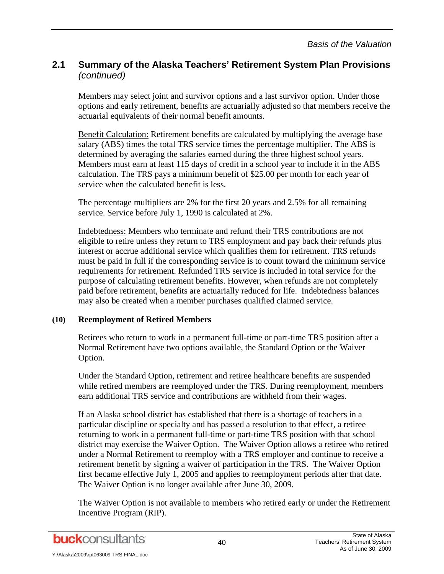Members may select joint and survivor options and a last survivor option. Under those options and early retirement, benefits are actuarially adjusted so that members receive the actuarial equivalents of their normal benefit amounts.

Benefit Calculation: Retirement benefits are calculated by multiplying the average base salary (ABS) times the total TRS service times the percentage multiplier. The ABS is determined by averaging the salaries earned during the three highest school years. Members must earn at least 115 days of credit in a school year to include it in the ABS calculation. The TRS pays a minimum benefit of \$25.00 per month for each year of service when the calculated benefit is less.

The percentage multipliers are 2% for the first 20 years and 2.5% for all remaining service. Service before July 1, 1990 is calculated at 2%.

Indebtedness: Members who terminate and refund their TRS contributions are not eligible to retire unless they return to TRS employment and pay back their refunds plus interest or accrue additional service which qualifies them for retirement. TRS refunds must be paid in full if the corresponding service is to count toward the minimum service requirements for retirement. Refunded TRS service is included in total service for the purpose of calculating retirement benefits. However, when refunds are not completely paid before retirement, benefits are actuarially reduced for life. Indebtedness balances may also be created when a member purchases qualified claimed service.

### **(10) Reemployment of Retired Members**

Retirees who return to work in a permanent full-time or part-time TRS position after a Normal Retirement have two options available, the Standard Option or the Waiver Option.

Under the Standard Option, retirement and retiree healthcare benefits are suspended while retired members are reemployed under the TRS. During reemployment, members earn additional TRS service and contributions are withheld from their wages.

If an Alaska school district has established that there is a shortage of teachers in a particular discipline or specialty and has passed a resolution to that effect, a retiree returning to work in a permanent full-time or part-time TRS position with that school district may exercise the Waiver Option. The Waiver Option allows a retiree who retired under a Normal Retirement to reemploy with a TRS employer and continue to receive a retirement benefit by signing a waiver of participation in the TRS. The Waiver Option first became effective July 1, 2005 and applies to reemployment periods after that date. The Waiver Option is no longer available after June 30, 2009.

The Waiver Option is not available to members who retired early or under the Retirement Incentive Program (RIP).

**buck**consultants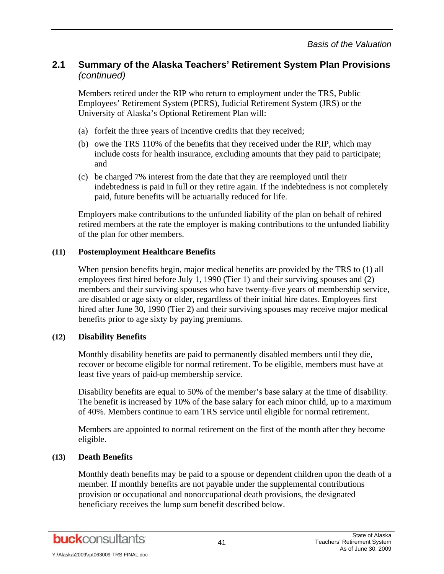Members retired under the RIP who return to employment under the TRS, Public Employees' Retirement System (PERS), Judicial Retirement System (JRS) or the University of Alaska's Optional Retirement Plan will:

- (a) forfeit the three years of incentive credits that they received;
- (b) owe the TRS 110% of the benefits that they received under the RIP, which may include costs for health insurance, excluding amounts that they paid to participate; and
- (c) be charged 7% interest from the date that they are reemployed until their indebtedness is paid in full or they retire again. If the indebtedness is not completely paid, future benefits will be actuarially reduced for life.

Employers make contributions to the unfunded liability of the plan on behalf of rehired retired members at the rate the employer is making contributions to the unfunded liability of the plan for other members.

### **(11) Postemployment Healthcare Benefits**

When pension benefits begin, major medical benefits are provided by the TRS to (1) all employees first hired before July 1, 1990 (Tier 1) and their surviving spouses and (2) members and their surviving spouses who have twenty-five years of membership service, are disabled or age sixty or older, regardless of their initial hire dates. Employees first hired after June 30, 1990 (Tier 2) and their surviving spouses may receive major medical benefits prior to age sixty by paying premiums.

# **(12) Disability Benefits**

Monthly disability benefits are paid to permanently disabled members until they die, recover or become eligible for normal retirement. To be eligible, members must have at least five years of paid-up membership service.

Disability benefits are equal to 50% of the member's base salary at the time of disability. The benefit is increased by 10% of the base salary for each minor child, up to a maximum of 40%. Members continue to earn TRS service until eligible for normal retirement.

Members are appointed to normal retirement on the first of the month after they become eligible.

# **(13) Death Benefits**

Monthly death benefits may be paid to a spouse or dependent children upon the death of a member. If monthly benefits are not payable under the supplemental contributions provision or occupational and nonoccupational death provisions, the designated beneficiary receives the lump sum benefit described below.

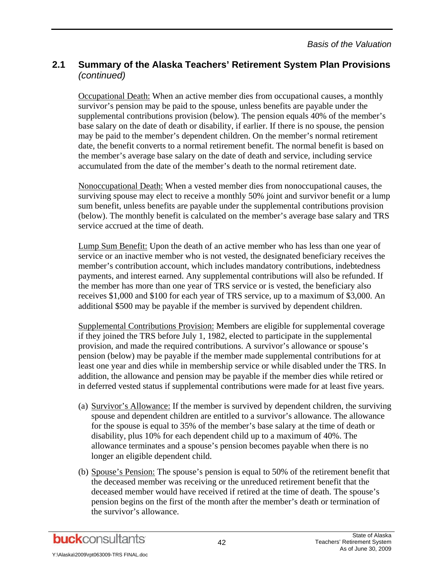Occupational Death: When an active member dies from occupational causes, a monthly survivor's pension may be paid to the spouse, unless benefits are payable under the supplemental contributions provision (below). The pension equals 40% of the member's base salary on the date of death or disability, if earlier. If there is no spouse, the pension may be paid to the member's dependent children. On the member's normal retirement date, the benefit converts to a normal retirement benefit. The normal benefit is based on the member's average base salary on the date of death and service, including service accumulated from the date of the member's death to the normal retirement date.

Nonoccupational Death: When a vested member dies from nonoccupational causes, the surviving spouse may elect to receive a monthly 50% joint and survivor benefit or a lump sum benefit, unless benefits are payable under the supplemental contributions provision (below). The monthly benefit is calculated on the member's average base salary and TRS service accrued at the time of death.

Lump Sum Benefit: Upon the death of an active member who has less than one year of service or an inactive member who is not vested, the designated beneficiary receives the member's contribution account, which includes mandatory contributions, indebtedness payments, and interest earned. Any supplemental contributions will also be refunded. If the member has more than one year of TRS service or is vested, the beneficiary also receives \$1,000 and \$100 for each year of TRS service, up to a maximum of \$3,000. An additional \$500 may be payable if the member is survived by dependent children.

Supplemental Contributions Provision: Members are eligible for supplemental coverage if they joined the TRS before July 1, 1982, elected to participate in the supplemental provision, and made the required contributions. A survivor's allowance or spouse's pension (below) may be payable if the member made supplemental contributions for at least one year and dies while in membership service or while disabled under the TRS. In addition, the allowance and pension may be payable if the member dies while retired or in deferred vested status if supplemental contributions were made for at least five years.

- (a) Survivor's Allowance: If the member is survived by dependent children, the surviving spouse and dependent children are entitled to a survivor's allowance. The allowance for the spouse is equal to 35% of the member's base salary at the time of death or disability, plus 10% for each dependent child up to a maximum of 40%. The allowance terminates and a spouse's pension becomes payable when there is no longer an eligible dependent child.
- (b) Spouse's Pension: The spouse's pension is equal to 50% of the retirement benefit that the deceased member was receiving or the unreduced retirement benefit that the deceased member would have received if retired at the time of death. The spouse's pension begins on the first of the month after the member's death or termination of the survivor's allowance.

Y:\Alaska\2009\rpt063009-TRS FINAL.doc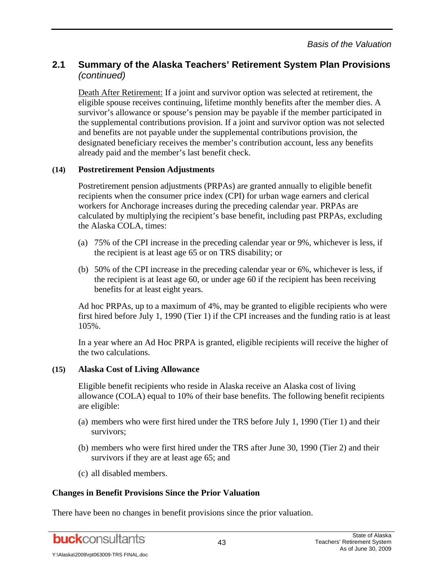Death After Retirement: If a joint and survivor option was selected at retirement, the eligible spouse receives continuing, lifetime monthly benefits after the member dies. A survivor's allowance or spouse's pension may be payable if the member participated in the supplemental contributions provision. If a joint and survivor option was not selected and benefits are not payable under the supplemental contributions provision, the designated beneficiary receives the member's contribution account, less any benefits already paid and the member's last benefit check.

### **(14) Postretirement Pension Adjustments**

Postretirement pension adjustments (PRPAs) are granted annually to eligible benefit recipients when the consumer price index (CPI) for urban wage earners and clerical workers for Anchorage increases during the preceding calendar year. PRPAs are calculated by multiplying the recipient's base benefit, including past PRPAs, excluding the Alaska COLA, times:

- (a) 75% of the CPI increase in the preceding calendar year or 9%, whichever is less, if the recipient is at least age 65 or on TRS disability; or
- (b) 50% of the CPI increase in the preceding calendar year or 6%, whichever is less, if the recipient is at least age 60, or under age 60 if the recipient has been receiving benefits for at least eight years.

Ad hoc PRPAs, up to a maximum of 4%, may be granted to eligible recipients who were first hired before July 1, 1990 (Tier 1) if the CPI increases and the funding ratio is at least 105%.

In a year where an Ad Hoc PRPA is granted, eligible recipients will receive the higher of the two calculations.

### **(15) Alaska Cost of Living Allowance**

Eligible benefit recipients who reside in Alaska receive an Alaska cost of living allowance (COLA) equal to 10% of their base benefits. The following benefit recipients are eligible:

- (a) members who were first hired under the TRS before July 1, 1990 (Tier 1) and their survivors;
- (b) members who were first hired under the TRS after June 30, 1990 (Tier 2) and their survivors if they are at least age 65; and
- (c) all disabled members.

### **Changes in Benefit Provisions Since the Prior Valuation**

There have been no changes in benefit provisions since the prior valuation.

**buck**consultants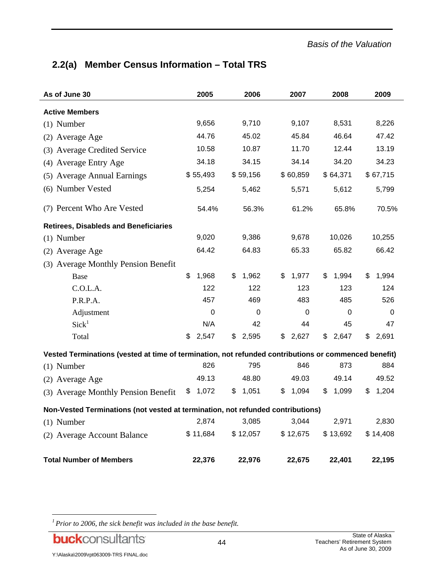# **2.2(a) Member Census Information – Total TRS**

| As of June 30                                                                                        | 2005        | 2006        | 2007        | 2008        | 2009        |
|------------------------------------------------------------------------------------------------------|-------------|-------------|-------------|-------------|-------------|
| <b>Active Members</b>                                                                                |             |             |             |             |             |
| $(1)$ Number                                                                                         | 9,656       | 9,710       | 9,107       | 8,531       | 8,226       |
| (2) Average Age                                                                                      | 44.76       | 45.02       | 45.84       | 46.64       | 47.42       |
| (3) Average Credited Service                                                                         | 10.58       | 10.87       | 11.70       | 12.44       | 13.19       |
| (4) Average Entry Age                                                                                | 34.18       | 34.15       | 34.14       | 34.20       | 34.23       |
| (5) Average Annual Earnings                                                                          | \$55,493    | \$59,156    | \$60,859    | \$64,371    | \$67,715    |
| (6) Number Vested                                                                                    | 5,254       | 5,462       | 5,571       | 5,612       | 5,799       |
| (7) Percent Who Are Vested                                                                           | 54.4%       | 56.3%       | 61.2%       | 65.8%       | 70.5%       |
| <b>Retirees, Disableds and Beneficiaries</b>                                                         |             |             |             |             |             |
| $(1)$ Number                                                                                         | 9,020       | 9,386       | 9,678       | 10,026      | 10,255      |
| (2) Average Age                                                                                      | 64.42       | 64.83       | 65.33       | 65.82       | 66.42       |
| (3) Average Monthly Pension Benefit                                                                  |             |             |             |             |             |
| Base                                                                                                 | \$<br>1,968 | \$<br>1,962 | \$<br>1,977 | \$<br>1,994 | \$<br>1,994 |
| C.O.L.A.                                                                                             | 122         | 122         | 123         | 123         | 124         |
| P.R.P.A.                                                                                             | 457         | 469         | 483         | 485         | 526         |
| Adjustment                                                                                           | 0           | 0           | 0           | 0           | 0           |
| Sick <sup>1</sup>                                                                                    | N/A         | 42          | 44          | 45          | 47          |
| Total                                                                                                | \$2,547     | \$2,595     | \$<br>2,627 | \$<br>2,647 | \$<br>2,691 |
| Vested Terminations (vested at time of termination, not refunded contributions or commenced benefit) |             |             |             |             |             |
| $(1)$ Number                                                                                         | 826         | 795         | 846         | 873         | 884         |
| (2) Average Age                                                                                      | 49.13       | 48.80       | 49.03       | 49.14       | 49.52       |
| (3) Average Monthly Pension Benefit                                                                  | \$<br>1,072 | \$<br>1,051 | \$<br>1,094 | \$<br>1,099 | \$<br>1,204 |
| Non-Vested Terminations (not vested at termination, not refunded contributions)                      |             |             |             |             |             |
| $(1)$ Number                                                                                         | 2,874       | 3,085       | 3,044       | 2,971       | 2,830       |
| (2) Average Account Balance                                                                          | \$11,684    | \$12,057    | \$12,675    | \$13,692    | \$14,408    |
| <b>Total Number of Members</b>                                                                       | 22,376      | 22,976      | 22,675      | 22,401      | 22,195      |

*1 Prior to 2006, the sick benefit was included in the base benefit.* 

**buck**consultants

l

Y:\Alaska\2009\rpt063009-TRS FINAL.doc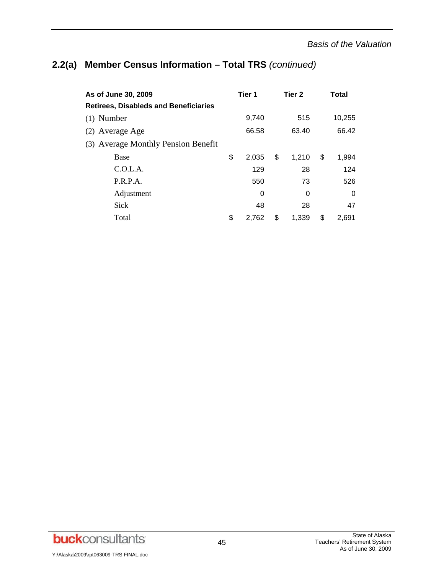# **2.2(a) Member Census Information – Total TRS** *(continued)*

| As of June 30, 2009                          | Tier 1      |    | Tier 2 |    | Total  |
|----------------------------------------------|-------------|----|--------|----|--------|
| <b>Retirees, Disableds and Beneficiaries</b> |             |    |        |    |        |
| $(1)$ Number                                 | 9,740       |    | 515    |    | 10,255 |
| (2) Average Age                              | 66.58       |    | 63.40  |    | 66.42  |
| (3) Average Monthly Pension Benefit          |             |    |        |    |        |
| Base                                         | \$<br>2,035 | \$ | 1,210  | \$ | 1,994  |
| C.O.L.A.                                     | 129         |    | 28     |    | 124    |
| P.R.P.A.                                     | 550         |    | 73     |    | 526    |
| Adjustment                                   | 0           |    | 0      |    | 0      |
| Sick                                         | 48          |    | 28     |    | 47     |
| Total                                        | \$<br>2,762 | \$ | 1.339  | \$ | 2,691  |

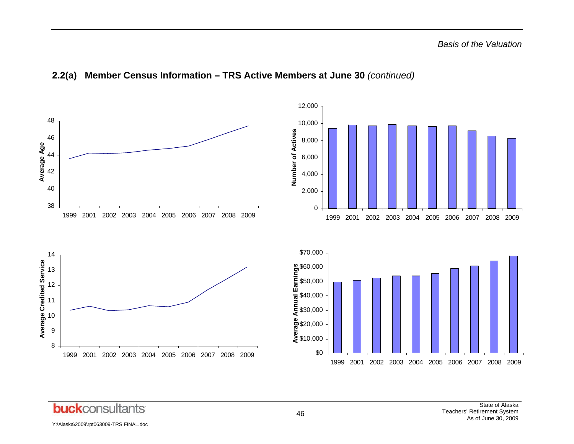# **2.2(a) Member Census Information – TRS Active Members at June 30** *(continued)*



Y:\Alaska\2009\rpt063009-TRS FINAL.doc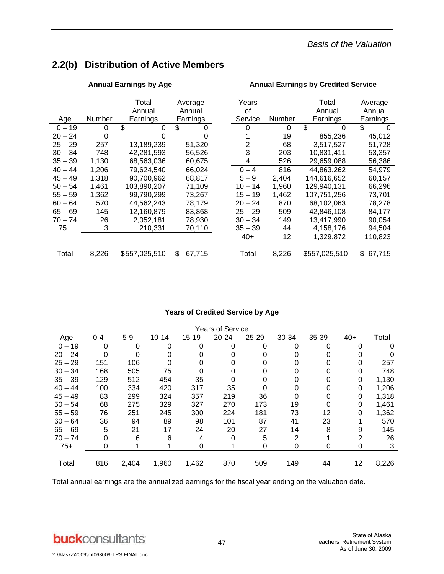# **2.2(b) Distribution of Active Members**

### Annual Earnings by Age **Annual Earnings by Credited Service Annual Earnings by Credited Service**

| Age       | Number   | Total<br>Annual<br>Earnings | Average<br>Annual<br>Earnings | Years<br>οf<br>Service | Number | Total<br>Annual<br>Earnings | Average<br>Annual<br>Earnings |
|-----------|----------|-----------------------------|-------------------------------|------------------------|--------|-----------------------------|-------------------------------|
| $0 - 19$  | 0        | \$<br>0                     | \$<br>0                       | 0                      | 0      | \$<br>0                     | \$<br>$\Omega$                |
| $20 - 24$ | $\Omega$ |                             | O                             |                        | 19     | 855,236                     | 45,012                        |
| $25 - 29$ | 257      | 13,189,239                  | 51,320                        | 2                      | 68     | 3,517,527                   | 51,728                        |
| $30 - 34$ | 748      | 42,281,593                  | 56,526                        | 3                      | 203    | 10,831,411                  | 53,357                        |
| $35 - 39$ | 1,130    | 68,563,036                  | 60,675                        | 4                      | 526    | 29,659,088                  | 56,386                        |
| $40 - 44$ | 1.206    | 79.624.540                  | 66,024                        | $0 - 4$                | 816    | 44.863.262                  | 54,979                        |
| $45 - 49$ | 1,318    | 90,700,962                  | 68,817                        | $5 - 9$                | 2,404  | 144,616,652                 | 60,157                        |
| $50 - 54$ | 1,461    | 103,890,207                 | 71,109                        | $10 - 14$              | 1,960  | 129,940,131                 | 66,296                        |
| $55 - 59$ | 1,362    | 99,790,299                  | 73,267                        | $15 - 19$              | 1,462  | 107,751,256                 | 73,701                        |
| $60 - 64$ | 570      | 44.562.243                  | 78.179                        | $20 - 24$              | 870    | 68,102,063                  | 78,278                        |
| $65 - 69$ | 145      | 12,160,879                  | 83,868                        | $25 - 29$              | 509    | 42,846,108                  | 84,177                        |
| $70 - 74$ | 26       | 2,052,181                   | 78,930                        | $30 - 34$              | 149    | 13,417,990                  | 90,054                        |
| $75+$     | 3        | 210,331                     | 70,110                        | $35 - 39$              | 44     | 4,158,176                   | 94,504                        |
|           |          |                             |                               | $40+$                  | 12     | 1,329,872                   | 110,823                       |
| Total     | 8,226    | \$557,025,510               | \$<br>67,715                  | Total                  | 8,226  | \$557,025,510               | \$<br>67,715                  |

### **Years of Credited Service by Age**

| <b>Years of Service</b> |         |       |           |           |           |       |                |          |       |       |
|-------------------------|---------|-------|-----------|-----------|-----------|-------|----------------|----------|-------|-------|
| Age                     | $0 - 4$ | $5-9$ | $10 - 14$ | $15 - 19$ | $20 - 24$ | 25-29 | 30-34          | 35-39    | $40+$ | Total |
| $0 - 19$                | 0       | 0     | 0         | 0         | 0         | 0     | 0              | $\Omega$ | 0     | 0     |
| $20 - 24$               | 0       | 0     |           | 0         | 0         | 0     | 0              | 0        | 0     |       |
| $25 - 29$               | 151     | 106   |           | 0         | 0         | 0     | 0              | 0        | 0     | 257   |
| $30 - 34$               | 168     | 505   | 75        | 0         | 0         | 0     | 0              | 0        | 0     | 748   |
| $35 - 39$               | 129     | 512   | 454       | 35        |           | 0     |                | 0        | 0     | 1,130 |
| $40 - 44$               | 100     | 334   | 420       | 317       | 35        | 0     | 0              | 0        | 0     | 1,206 |
| $45 - 49$               | 83      | 299   | 324       | 357       | 219       | 36    |                | 0        | 0     | 1,318 |
| $50 - 54$               | 68      | 275   | 329       | 327       | 270       | 173   | 19             | 0        | 0     | 1,461 |
| $55 - 59$               | 76      | 251   | 245       | 300       | 224       | 181   | 73             | 12       | 0     | 1,362 |
| $60 - 64$               | 36      | 94    | 89        | 98        | 101       | 87    | 41             | 23       |       | 570   |
| $65 - 69$               | 5       | 21    | 17        | 24        | 20        | 27    | 14             | 8        | 9     | 145   |
| $70 - 74$               | 0       | 6     | 6         | 4         | $\Omega$  | 5     | $\overline{2}$ |          | 2     | 26    |
| $75+$                   | 0       |       |           | 0         |           | 0     | 0              | 0        | 0     | 3     |
|                         |         |       |           |           |           |       |                |          |       |       |
| Total                   | 816     | 2,404 | 1,960     | 1,462     | 870       | 509   | 149            | 44       | 12    | 8,226 |

Total annual earnings are the annualized earnings for the fiscal year ending on the valuation date.

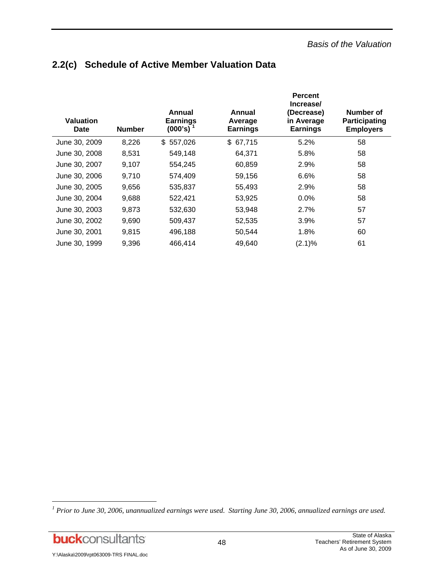# **2.2(c) Schedule of Active Member Valuation Data**

| <b>Valuation</b><br><b>Date</b> | <b>Number</b> | Annual<br><b>Earnings</b><br>(000's) | Annual<br>Average<br><b>Earnings</b> | <b>Percent</b><br>Increase/<br>(Decrease)<br>in Average<br><b>Earnings</b> | Number of<br>Participating<br><b>Employers</b> |
|---------------------------------|---------------|--------------------------------------|--------------------------------------|----------------------------------------------------------------------------|------------------------------------------------|
| June 30, 2009                   | 8,226         | \$557,026                            | \$67,715                             | 5.2%                                                                       | 58                                             |
| June 30, 2008                   | 8,531         | 549,148                              | 64,371                               | 5.8%                                                                       | 58                                             |
| June 30, 2007                   | 9,107         | 554,245                              | 60,859                               | 2.9%                                                                       | 58                                             |
| June 30, 2006                   | 9,710         | 574,409                              | 59,156                               | 6.6%                                                                       | 58                                             |
| June 30, 2005                   | 9,656         | 535,837                              | 55,493                               | 2.9%                                                                       | 58                                             |
| June 30, 2004                   | 9,688         | 522,421                              | 53,925                               | 0.0%                                                                       | 58                                             |
| June 30, 2003                   | 9,873         | 532,630                              | 53,948                               | 2.7%                                                                       | 57                                             |
| June 30, 2002                   | 9,690         | 509,437                              | 52,535                               | 3.9%                                                                       | 57                                             |
| June 30, 2001                   | 9,815         | 496,188                              | 50,544                               | 1.8%                                                                       | 60                                             |
| June 30, 1999                   | 9,396         | 466,414                              | 49,640                               | (2.1)%                                                                     | 61                                             |

**buck**consultants

l

<sup>&</sup>lt;sup>1</sup> Prior to June 30, 2006, unannualized earnings were used. Starting June 30, 2006, annualized earnings are used.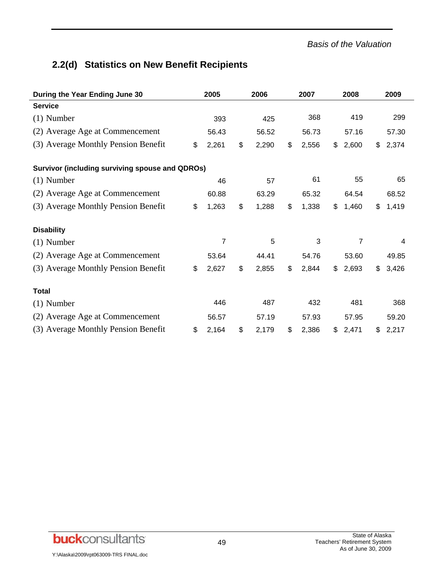# **2.2(d) Statistics on New Benefit Recipients**

| During the Year Ending June 30                         | 2005        | 2006 |       | 2007 |       | 2008 |       | 2009 |       |
|--------------------------------------------------------|-------------|------|-------|------|-------|------|-------|------|-------|
| <b>Service</b>                                         |             |      |       |      |       |      |       |      |       |
| $(1)$ Number                                           | 393         |      | 425   |      | 368   |      | 419   |      | 299   |
| (2) Average Age at Commencement                        | 56.43       |      | 56.52 |      | 56.73 |      | 57.16 |      | 57.30 |
| (3) Average Monthly Pension Benefit                    | \$<br>2,261 | \$   | 2,290 | \$   | 2,556 | \$   | 2,600 | \$   | 2,374 |
| <b>Survivor (including surviving spouse and QDROs)</b> |             |      |       |      |       |      |       |      |       |
| $(1)$ Number                                           | 46          |      | 57    |      | 61    |      | 55    |      | 65    |
| (2) Average Age at Commencement                        | 60.88       |      | 63.29 |      | 65.32 |      | 64.54 |      | 68.52 |
| (3) Average Monthly Pension Benefit                    | \$<br>1,263 | \$   | 1,288 | \$   | 1,338 | \$   | 1,460 | \$   | 1,419 |
| <b>Disability</b>                                      |             |      |       |      |       |      |       |      |       |
| $(1)$ Number                                           | 7           |      | 5     |      | 3     |      | 7     |      | 4     |
| (2) Average Age at Commencement                        | 53.64       |      | 44.41 |      | 54.76 |      | 53.60 |      | 49.85 |
| (3) Average Monthly Pension Benefit                    | \$<br>2,627 | \$   | 2,855 | \$   | 2,844 | \$   | 2,693 | \$   | 3,426 |
| <b>Total</b>                                           |             |      |       |      |       |      |       |      |       |
| $(1)$ Number                                           | 446         |      | 487   |      | 432   |      | 481   |      | 368   |
| (2) Average Age at Commencement                        | 56.57       |      | 57.19 |      | 57.93 |      | 57.95 |      | 59.20 |
| (3) Average Monthly Pension Benefit                    | \$<br>2,164 | \$   | 2,179 | \$   | 2,386 | \$   | 2,471 | \$   | 2,217 |

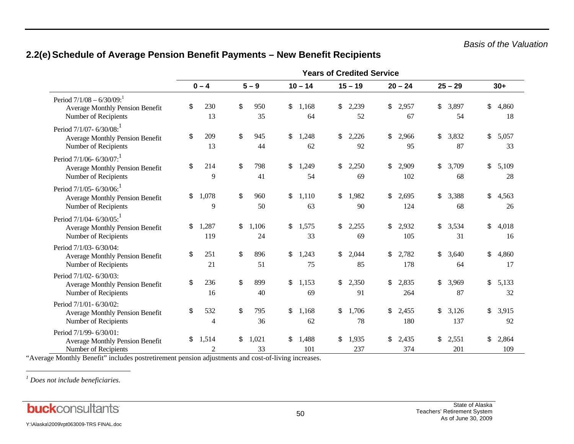|                                                                                               | <b>Years of Credited Service</b> |              |    |             |    |              |    |              |    |              |                    |                    |  |
|-----------------------------------------------------------------------------------------------|----------------------------------|--------------|----|-------------|----|--------------|----|--------------|----|--------------|--------------------|--------------------|--|
|                                                                                               |                                  | $0 - 4$      |    | $5 - 9$     |    | $10 - 14$    |    | $15 - 19$    |    | $20 - 24$    | $25 - 29$          | $30+$              |  |
| Period $7/1/08 - 6/30/09$ ;<br>Average Monthly Pension Benefit<br>Number of Recipients        | \$                               | 230<br>13    | \$ | 950<br>35   | \$ | 1,168<br>64  | \$ | 2,239<br>52  | \$ | 2,957<br>67  | \$<br>3,897<br>54  | \$<br>4,860<br>18  |  |
| Period 7/1/07-6/30/08:<br><b>Average Monthly Pension Benefit</b><br>Number of Recipients      | \$                               | 209<br>13    | \$ | 945<br>44   | \$ | 1,248<br>62  | \$ | 2,226<br>92  | \$ | 2,966<br>95  | \$<br>3,832<br>87  | \$<br>5,057<br>33  |  |
| Period 7/1/06-6/30/07:<br><b>Average Monthly Pension Benefit</b><br>Number of Recipients      | \$                               | 214<br>9     | \$ | 798<br>41   | \$ | 1,249<br>54  | \$ | 2,250<br>69  | \$ | 2,909<br>102 | \$<br>3,709<br>68  | \$<br>5,109<br>28  |  |
| Period $7/1/05 - 6/30/06$ :<br><b>Average Monthly Pension Benefit</b><br>Number of Recipients | \$                               | 1,078<br>9   | \$ | 960<br>50   | \$ | 1,110<br>63  | \$ | 1,982<br>90  | \$ | 2,695<br>124 | \$<br>3,388<br>68  | \$<br>4,563<br>26  |  |
| Period $7/1/04 - 6/30/05$ :<br><b>Average Monthly Pension Benefit</b><br>Number of Recipients | \$                               | 1,287<br>119 | \$ | 1,106<br>24 | \$ | 1,575<br>33  | \$ | 2,255<br>69  | \$ | 2,932<br>105 | \$<br>3,534<br>31  | \$<br>4,018<br>16  |  |
| Period 7/1/03-6/30/04:<br><b>Average Monthly Pension Benefit</b><br>Number of Recipients      | \$                               | 251<br>21    | \$ | 896<br>51   | \$ | 1,243<br>75  | \$ | 2,044<br>85  | \$ | 2,782<br>178 | \$<br>3,640<br>64  | \$<br>4,860<br>17  |  |
| Period 7/1/02-6/30/03:<br><b>Average Monthly Pension Benefit</b><br>Number of Recipients      | \$                               | 236<br>16    | \$ | 899<br>40   | \$ | 1,153<br>69  | \$ | 2,350<br>91  | \$ | 2,835<br>264 | \$<br>3,969<br>87  | \$<br>5,133<br>32  |  |
| Period 7/1/01-6/30/02:<br><b>Average Monthly Pension Benefit</b><br>Number of Recipients      | \$                               | 532<br>4     | \$ | 795<br>36   | \$ | 1,168<br>62  | \$ | 1,706<br>78  | \$ | 2,455<br>180 | \$<br>3,126<br>137 | \$<br>3,915<br>92  |  |
| Period 7/1/99-6/30/01:<br><b>Average Monthly Pension Benefit</b><br>Number of Recipients      | \$                               | 1,514<br>2   | \$ | 1,021<br>33 | \$ | 1,488<br>101 | \$ | 1,935<br>237 | \$ | 2,435<br>374 | \$<br>2,551<br>201 | \$<br>2,864<br>109 |  |

# **2.2(e) Schedule of Average Pension Benefit Payments – New Benefit Recipients**

"Average Monthly Benefit" includes postretirement pension adjustments and cost-of-living increases.

*1 Does not include beneficiaries.*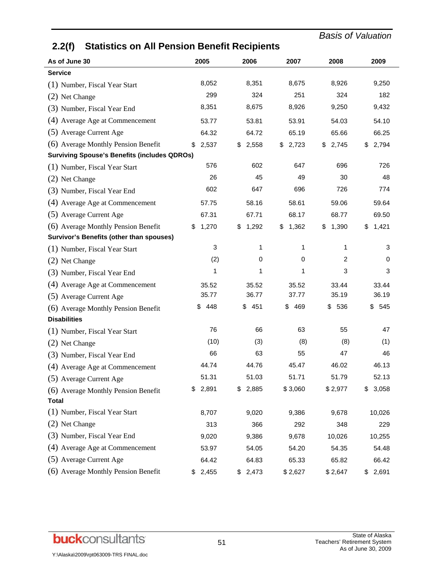| <b>Statistics on All Pension Benefit Recipients</b><br>2.2(f) |             |             |             |             |             |
|---------------------------------------------------------------|-------------|-------------|-------------|-------------|-------------|
| As of June 30                                                 | 2005        | 2006        | 2007        | 2008        | 2009        |
| <b>Service</b>                                                |             |             |             |             |             |
| (1) Number, Fiscal Year Start                                 | 8,052       | 8,351       | 8,675       | 8,926       | 9,250       |
| (2) Net Change                                                | 299         | 324         | 251         | 324         | 182         |
| (3) Number, Fiscal Year End                                   | 8,351       | 8,675       | 8,926       | 9,250       | 9,432       |
| (4) Average Age at Commencement                               | 53.77       | 53.81       | 53.91       | 54.03       | 54.10       |
| (5) Average Current Age                                       | 64.32       | 64.72       | 65.19       | 65.66       | 66.25       |
| (6) Average Monthly Pension Benefit                           | 2,537<br>\$ | 2,558<br>\$ | 2,723<br>\$ | 2,745<br>\$ | 2,794<br>S  |
| <b>Surviving Spouse's Benefits (includes QDROs)</b>           |             |             |             |             |             |
| (1) Number, Fiscal Year Start                                 | 576         | 602         | 647         | 696         | 726         |
| (2) Net Change                                                | 26          | 45          | 49          | 30          | 48          |
| (3) Number, Fiscal Year End                                   | 602         | 647         | 696         | 726         | 774         |
| (4) Average Age at Commencement                               | 57.75       | 58.16       | 58.61       | 59.06       | 59.64       |
| (5) Average Current Age                                       | 67.31       | 67.71       | 68.17       | 68.77       | 69.50       |
| (6) Average Monthly Pension Benefit                           | \$<br>1,270 | 1,292<br>\$ | 1,362<br>\$ | 1,390<br>\$ | \$<br>1,421 |
| Survivor's Benefits (other than spouses)                      |             |             |             |             |             |
| (1) Number, Fiscal Year Start                                 | 3           | 1           | 1           | 1           | 3           |
| (2) Net Change                                                | (2)         | 0           | 0           | 2           | 0           |
| (3) Number, Fiscal Year End                                   | 1           | 1           | 1           | 3           | 3           |
| (4) Average Age at Commencement                               | 35.52       | 35.52       | 35.52       | 33.44       | 33.44       |
| (5) Average Current Age                                       | 35.77       | 36.77       | 37.77       | 35.19       | 36.19       |
| (6) Average Monthly Pension Benefit                           | 448<br>\$   | \$<br>451   | \$<br>469   | \$<br>536   | \$<br>545   |
| <b>Disabilities</b>                                           |             |             |             |             |             |
| (1) Number, Fiscal Year Start                                 | 76          | 66          | 63          | 55          | 47          |
| (2) Net Change                                                | (10)        | (3)         | (8)         | (8)         | (1)         |
| (3) Number, Fiscal Year End                                   | 66          | 63          | 55          | 47          | 46          |
| (4) Average Age at Commencement                               | 44.74       | 44.76       | 45.47       | 46.02       | 46.13       |
| (5) Average Current Age                                       | 51.31       | 51.03       | 51.71       | 51.79       | 52.13       |
| (6) Average Monthly Pension Benefit                           | 2,891<br>\$ | \$2,885     | \$3,060     | \$2,977     | 3,058<br>\$ |
| <b>Total</b>                                                  |             |             |             |             |             |
| (1) Number, Fiscal Year Start                                 | 8,707       | 9,020       | 9,386       | 9,678       | 10,026      |
| (2) Net Change                                                | 313         | 366         | 292         | 348         | 229         |
| (3) Number, Fiscal Year End                                   | 9,020       | 9,386       | 9,678       | 10,026      | 10,255      |
| (4) Average Age at Commencement                               | 53.97       | 54.05       | 54.20       | 54.35       | 54.48       |
| (5) Average Current Age                                       | 64.42       | 64.83       | 65.33       | 65.82       | 66.42       |
| (6) Average Monthly Pension Benefit                           | \$2,455     | \$2,473     | \$2,627     | \$2,647     | \$2,691     |

**buck**consultants

*Basis of Valuation*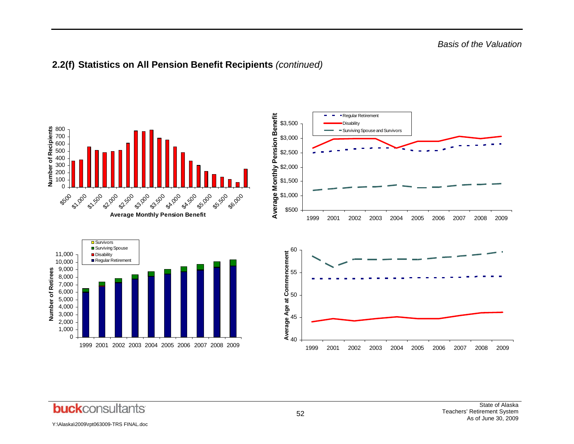# **2.2(f) Statistics on All Pension Benefit Recipients** *(continued)*



Y:\Alaska\2009\rpt063009-TRS FINAL.doc

52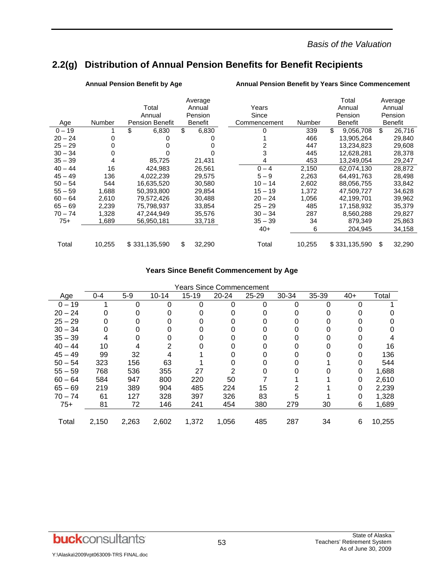# **2.2(g) Distribution of Annual Pension Benefits for Benefit Recipients**

|           |        | Total<br>Annual        | Average<br>Annual<br>Pension |  | Years<br>Since |        | Total<br>Annual<br>Pension | Average<br>Annual<br>Pension |
|-----------|--------|------------------------|------------------------------|--|----------------|--------|----------------------------|------------------------------|
| Age       | Number | <b>Pension Benefit</b> | <b>Benefit</b>               |  | Commencement   | Number | <b>Benefit</b>             | <b>Benefit</b>               |
| $0 - 19$  | 1      | \$<br>6,830            | \$<br>6.830                  |  | 0              | 339    | \$<br>9,056,708            | \$<br>26,716                 |
| $20 - 24$ | 0      |                        |                              |  |                | 466    | 13.905.264                 | 29,840                       |
| $25 - 29$ | 0      |                        |                              |  |                | 447    | 13,234,823                 | 29,608                       |
| $30 - 34$ | 0      |                        |                              |  | 3              | 445    | 12,628,281                 | 28,378                       |
| $35 - 39$ | 4      | 85,725                 | 21,431                       |  | 4              | 453    | 13,249,054                 | 29,247                       |
| $40 - 44$ | 16     | 424.983                | 26,561                       |  | $0 - 4$        | 2,150  | 62.074.130                 | 28,872                       |
| $45 - 49$ | 136    | 4,022,239              | 29,575                       |  | $5 - 9$        | 2,263  | 64,491,763                 | 28,498                       |
| $50 - 54$ | 544    | 16.635.520             | 30.580                       |  | $10 - 14$      | 2.602  | 88.056.755                 | 33,842                       |
| $55 - 59$ | 1,688  | 50,393,800             | 29,854                       |  | $15 - 19$      | 1,372  | 47,509,727                 | 34,628                       |
| $60 - 64$ | 2,610  | 79,572,426             | 30,488                       |  | $20 - 24$      | 1,056  | 42,199,701                 | 39,962                       |
| $65 - 69$ | 2,239  | 75.798.937             | 33,854                       |  | $25 - 29$      | 485    | 17.158.932                 | 35,379                       |
| $70 - 74$ | 1,328  | 47,244,949             | 35,576                       |  | $30 - 34$      | 287    | 8,560,288                  | 29,827                       |
| $75+$     | 1,689  | 56,950,181             | 33,718                       |  | $35 - 39$      | 34     | 879.349                    | 25,863                       |
|           |        |                        |                              |  | 40+            | 6      | 204,945                    | 34,158                       |
| Total     | 10,255 | \$331,135,590          | \$<br>32,290                 |  | Total          | 10,255 | \$331,135,590              | \$<br>32,290                 |

Annual Pension Benefit by Age **Annual Pension Benefit by Years Since Commencement** 

### **Years Since Benefit Commencement by Age**

| <b>Years Since Commencement</b> |  |
|---------------------------------|--|
|---------------------------------|--|

| Age       | $0 - 4$ | $5-9$ | $10 - 14$ | $15-19$ | $20 - 24$ | $25 - 29$ | 30-34 | 35-39 | $40+$ | Total  |
|-----------|---------|-------|-----------|---------|-----------|-----------|-------|-------|-------|--------|
| $0 - 19$  |         | 0     |           | 0       | 0         | 0         |       |       |       |        |
| $20 - 24$ | 0       |       |           |         |           |           |       |       |       |        |
| $25 - 29$ |         |       |           |         |           |           |       |       |       |        |
| $30 - 34$ |         |       |           |         |           |           |       |       |       |        |
| $35 - 39$ | 4       |       |           |         |           |           |       |       |       |        |
| $40 - 44$ | 10      | 4     |           |         |           |           |       |       |       | 16     |
| $45 - 49$ | 99      | 32    |           |         |           |           |       |       |       | 136    |
| $50 - 54$ | 323     | 156   | 63        |         |           |           |       |       |       | 544    |
| $55 - 59$ | 768     | 536   | 355       | 27      |           |           |       |       | 0     | 1,688  |
| $60 - 64$ | 584     | 947   | 800       | 220     | 50        |           |       |       |       | 2,610  |
| $65 - 69$ | 219     | 389   | 904       | 485     | 224       | 15        |       |       |       | 2,239  |
| $70 - 74$ | 61      | 127   | 328       | 397     | 326       | 83        | 5     |       | 0     | 1,328  |
| $75+$     | 81      | 72    | 146       | 241     | 454       | 380       | 279   | 30    | 6     | 1,689  |
|           |         |       |           |         |           |           |       |       |       |        |
| Total     | 2,150   | 2,263 | 2,602     | 1,372   | 1,056     | 485       | 287   | 34    | 6     | 10,255 |

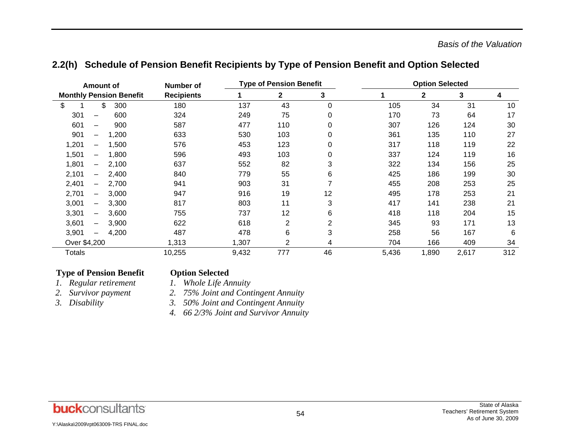|  |  |  |  | 2.2(h) Schedule of Pension Benefit Recipients by Type of Pension Benefit and Option Selected |
|--|--|--|--|----------------------------------------------------------------------------------------------|
|--|--|--|--|----------------------------------------------------------------------------------------------|

| Amount of                                  |                   | <b>Type of Pension Benefit</b> |                | <b>Option Selected</b> |       |              |       |     |
|--------------------------------------------|-------------------|--------------------------------|----------------|------------------------|-------|--------------|-------|-----|
| <b>Monthly Pension Benefit</b>             | <b>Recipients</b> |                                | $\mathbf 2$    | 3                      |       | $\mathbf{2}$ | 3     | 4   |
| \$<br>\$<br>300                            | 180               | 137                            | 43             | 0                      | 105   | 34           | 31    | 10  |
| 600<br>301<br>$\overline{\phantom{0}}$     | 324               | 249                            | 75             | 0                      | 170   | 73           | 64    | 17  |
| 601<br>900<br>$\overline{\phantom{0}}$     | 587               | 477                            | 110            | 0                      | 307   | 126          | 124   | 30  |
| 901<br>1,200<br>—                          | 633               | 530                            | 103            | 0                      | 361   | 135          | 110   | 27  |
| 1,201<br>1,500<br>—                        | 576               | 453                            | 123            | 0                      | 317   | 118          | 119   | 22  |
| 1,501<br>1,800<br>$\overline{\phantom{0}}$ | 596               | 493                            | 103            | 0                      | 337   | 124          | 119   | 16  |
| 1,801<br>2,100<br>-                        | 637               | 552                            | 82             | 3                      | 322   | 134          | 156   | 25  |
| 2,101<br>2,400<br>-                        | 840               | 779                            | 55             | 6                      | 425   | 186          | 199   | 30  |
| 2,401<br>2,700<br>-                        | 941               | 903                            | 31             | 7                      | 455   | 208          | 253   | 25  |
| 2,701<br>3,000<br>$\qquad \qquad -$        | 947               | 916                            | 19             | 12                     | 495   | 178          | 253   | 21  |
| 3,001<br>3,300<br>$\qquad \qquad -$        | 817               | 803                            | 11             | 3                      | 417   | 141          | 238   | 21  |
| 3,301<br>3,600<br>$\qquad \qquad -$        | 755               | 737                            | 12             | 6                      | 418   | 118          | 204   | 15  |
| 3,601<br>3,900<br>$\overline{\phantom{0}}$ | 622               | 618                            | $\overline{2}$ | $\overline{2}$         | 345   | 93           | 171   | 13  |
| 3,901<br>4,200<br>$\overline{\phantom{0}}$ | 487               | 478                            | 6              | 3                      | 258   | 56           | 167   | 6   |
| Over \$4,200                               | 1,313             | 1,307                          | $\overline{2}$ | 4                      | 704   | 166          | 409   | 34  |
| <b>Totals</b>                              | 10,255            | 9,432                          | 777            | 46                     | 5,436 | 1,890        | 2,617 | 312 |

### **Type of Pension Benefit Option Selected**

- *1.*
- *Regular retirement 1. Whole Life Annuity*
- *2.*
- *3.*
- 2. 75% Joint and Contingent Annuity
- *Disability 3. 50% Joint and Contingent Annuity*
- *4. 66 2/3% Joint and Survivor Annuity*

Y:\Alaska\2009\rpt063009-TRS FINAL.doc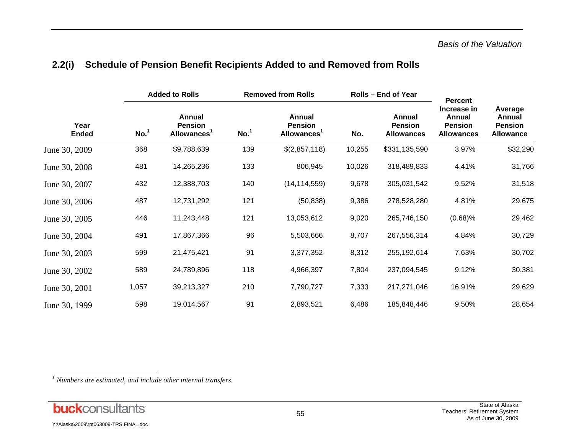# **2.2(i) Schedule of Pension Benefit Recipients Added to and Removed from Rolls**

|                      |                  | <b>Added to Rolls</b>                               |                  | <b>Removed from Rolls</b>                           |        | Rolls - End of Year                                  | <b>Percent</b>                                               |                                                         |
|----------------------|------------------|-----------------------------------------------------|------------------|-----------------------------------------------------|--------|------------------------------------------------------|--------------------------------------------------------------|---------------------------------------------------------|
| Year<br><b>Ended</b> | No. <sup>1</sup> | Annual<br><b>Pension</b><br>Allowances <sup>1</sup> | No. <sup>1</sup> | Annual<br><b>Pension</b><br>Allowances <sup>1</sup> | No.    | <b>Annual</b><br><b>Pension</b><br><b>Allowances</b> | Increase in<br>Annual<br><b>Pension</b><br><b>Allowances</b> | Average<br>Annual<br><b>Pension</b><br><b>Allowance</b> |
| June 30, 2009        | 368              | \$9,788,639                                         | 139              | \$(2,857,118)                                       | 10,255 | \$331,135,590                                        | 3.97%                                                        | \$32,290                                                |
| June 30, 2008        | 481              | 14,265,236                                          | 133              | 806,945                                             | 10,026 | 318,489,833                                          | 4.41%                                                        | 31,766                                                  |
| June 30, 2007        | 432              | 12,388,703                                          | 140              | (14, 114, 559)                                      | 9,678  | 305,031,542                                          | 9.52%                                                        | 31,518                                                  |
| June 30, 2006        | 487              | 12,731,292                                          | 121              | (50, 838)                                           | 9,386  | 278,528,280                                          | 4.81%                                                        | 29,675                                                  |
| June 30, 2005        | 446              | 11,243,448                                          | 121              | 13,053,612                                          | 9,020  | 265,746,150                                          | (0.68)%                                                      | 29,462                                                  |
| June 30, 2004        | 491              | 17,867,366                                          | 96               | 5,503,666                                           | 8,707  | 267,556,314                                          | 4.84%                                                        | 30,729                                                  |
| June 30, 2003        | 599              | 21,475,421                                          | 91               | 3,377,352                                           | 8,312  | 255, 192, 614                                        | 7.63%                                                        | 30,702                                                  |
| June 30, 2002        | 589              | 24,789,896                                          | 118              | 4,966,397                                           | 7,804  | 237,094,545                                          | 9.12%                                                        | 30,381                                                  |
| June 30, 2001        | 1,057            | 39,213,327                                          | 210              | 7,790,727                                           | 7,333  | 217,271,046                                          | 16.91%                                                       | 29,629                                                  |
| June 30, 1999        | 598              | 19,014,567                                          | 91               | 2,893,521                                           | 6,486  | 185,848,446                                          | 9.50%                                                        | 28,654                                                  |

*1 Numbers are estimated, and include other internal transfers.*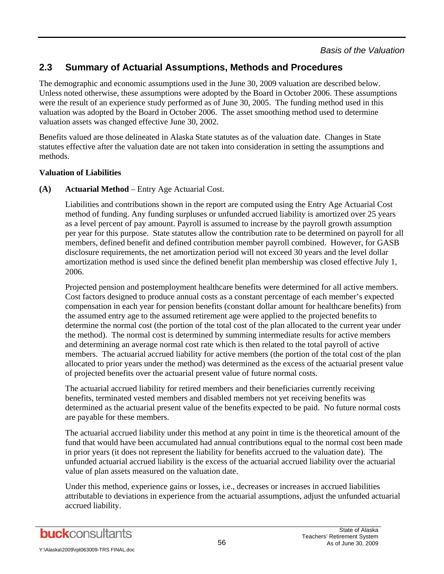The demographic and economic assumptions used in the June 30, 2009 valuation are described below. Unless noted otherwise, these assumptions were adopted by the Board in October 2006. These assumptions were the result of an experience study performed as of June 30, 2005. The funding method used in this valuation was adopted by the Board in October 2006. The asset smoothing method used to determine valuation assets was changed effective June 30, 2002.

Benefits valued are those delineated in Alaska State statutes as of the valuation date. Changes in State statutes effective after the valuation date are not taken into consideration in setting the assumptions and methods.

### **Valuation of Liabilities**

### **(A) Actuarial Method** – Entry Age Actuarial Cost.

Liabilities and contributions shown in the report are computed using the Entry Age Actuarial Cost method of funding. Any funding surpluses or unfunded accrued liability is amortized over 25 years as a level percent of pay amount. Payroll is assumed to increase by the payroll growth assumption per year for this purpose. State statutes allow the contribution rate to be determined on payroll for all members, defined benefit and defined contribution member payroll combined. However, for GASB disclosure requirements, the net amortization period will not exceed 30 years and the level dollar amortization method is used since the defined benefit plan membership was closed effective July 1, 2006.

Projected pension and postemployment healthcare benefits were determined for all active members. Cost factors designed to produce annual costs as a constant percentage of each member's expected compensation in each year for pension benefits (constant dollar amount for healthcare benefits) from the assumed entry age to the assumed retirement age were applied to the projected benefits to determine the normal cost (the portion of the total cost of the plan allocated to the current year under the method). The normal cost is determined by summing intermediate results for active members and determining an average normal cost rate which is then related to the total payroll of active members. The actuarial accrued liability for active members (the portion of the total cost of the plan allocated to prior years under the method) was determined as the excess of the actuarial present value of projected benefits over the actuarial present value of future normal costs.

The actuarial accrued liability for retired members and their beneficiaries currently receiving benefits, terminated vested members and disabled members not yet receiving benefits was determined as the actuarial present value of the benefits expected to be paid. No future normal costs are payable for these members.

The actuarial accrued liability under this method at any point in time is the theoretical amount of the fund that would have been accumulated had annual contributions equal to the normal cost been made in prior years (it does not represent the liability for benefits accrued to the valuation date). The unfunded actuarial accrued liability is the excess of the actuarial accrued liability over the actuarial value of plan assets measured on the valuation date.

Under this method, experience gains or losses, i.e., decreases or increases in accrued liabilities attributable to deviations in experience from the actuarial assumptions, adjust the unfunded actuarial accrued liability.

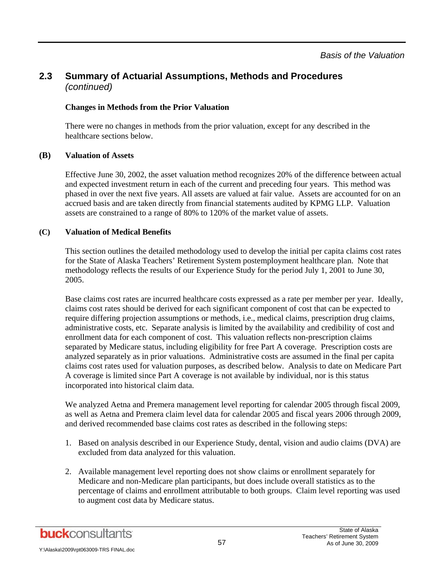### **Changes in Methods from the Prior Valuation**

 There were no changes in methods from the prior valuation, except for any described in the healthcare sections below.

### **(B) Valuation of Assets**

Effective June 30, 2002, the asset valuation method recognizes 20% of the difference between actual and expected investment return in each of the current and preceding four years. This method was phased in over the next five years. All assets are valued at fair value. Assets are accounted for on an accrued basis and are taken directly from financial statements audited by KPMG LLP. Valuation assets are constrained to a range of 80% to 120% of the market value of assets.

### **(C) Valuation of Medical Benefits**

This section outlines the detailed methodology used to develop the initial per capita claims cost rates for the State of Alaska Teachers' Retirement System postemployment healthcare plan. Note that methodology reflects the results of our Experience Study for the period July 1, 2001 to June 30, 2005.

Base claims cost rates are incurred healthcare costs expressed as a rate per member per year. Ideally, claims cost rates should be derived for each significant component of cost that can be expected to require differing projection assumptions or methods, i.e., medical claims, prescription drug claims, administrative costs, etc. Separate analysis is limited by the availability and credibility of cost and enrollment data for each component of cost. This valuation reflects non-prescription claims separated by Medicare status, including eligibility for free Part A coverage. Prescription costs are analyzed separately as in prior valuations. Administrative costs are assumed in the final per capita claims cost rates used for valuation purposes, as described below. Analysis to date on Medicare Part A coverage is limited since Part A coverage is not available by individual, nor is this status incorporated into historical claim data.

We analyzed Aetna and Premera management level reporting for calendar 2005 through fiscal 2009, as well as Aetna and Premera claim level data for calendar 2005 and fiscal years 2006 through 2009, and derived recommended base claims cost rates as described in the following steps:

- 1. Based on analysis described in our Experience Study, dental, vision and audio claims (DVA) are excluded from data analyzed for this valuation.
- 2. Available management level reporting does not show claims or enrollment separately for Medicare and non-Medicare plan participants, but does include overall statistics as to the percentage of claims and enrollment attributable to both groups. Claim level reporting was used to augment cost data by Medicare status.

**buck**consultants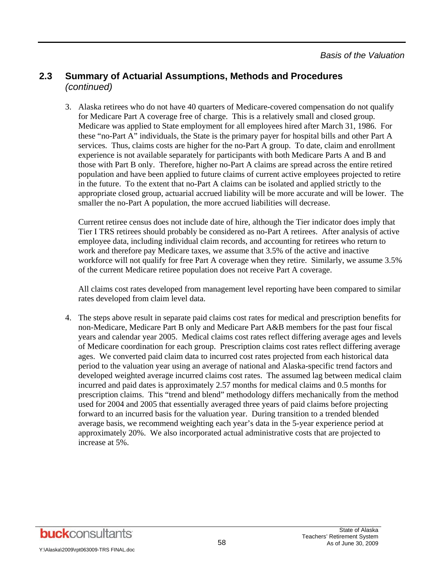3. Alaska retirees who do not have 40 quarters of Medicare-covered compensation do not qualify for Medicare Part A coverage free of charge. This is a relatively small and closed group. Medicare was applied to State employment for all employees hired after March 31, 1986. For these "no-Part A" individuals, the State is the primary payer for hospital bills and other Part A services. Thus, claims costs are higher for the no-Part A group. To date, claim and enrollment experience is not available separately for participants with both Medicare Parts A and B and those with Part B only. Therefore, higher no-Part A claims are spread across the entire retired population and have been applied to future claims of current active employees projected to retire in the future. To the extent that no-Part A claims can be isolated and applied strictly to the appropriate closed group, actuarial accrued liability will be more accurate and will be lower. The smaller the no-Part A population, the more accrued liabilities will decrease.

Current retiree census does not include date of hire, although the Tier indicator does imply that Tier I TRS retirees should probably be considered as no-Part A retirees. After analysis of active employee data, including individual claim records, and accounting for retirees who return to work and therefore pay Medicare taxes, we assume that 3.5% of the active and inactive workforce will not qualify for free Part A coverage when they retire. Similarly, we assume 3.5% of the current Medicare retiree population does not receive Part A coverage.

All claims cost rates developed from management level reporting have been compared to similar rates developed from claim level data.

4. The steps above result in separate paid claims cost rates for medical and prescription benefits for non-Medicare, Medicare Part B only and Medicare Part A&B members for the past four fiscal years and calendar year 2005. Medical claims cost rates reflect differing average ages and levels of Medicare coordination for each group. Prescription claims cost rates reflect differing average ages. We converted paid claim data to incurred cost rates projected from each historical data period to the valuation year using an average of national and Alaska-specific trend factors and developed weighted average incurred claims cost rates. The assumed lag between medical claim incurred and paid dates is approximately 2.57 months for medical claims and 0.5 months for prescription claims. This "trend and blend" methodology differs mechanically from the method used for 2004 and 2005 that essentially averaged three years of paid claims before projecting forward to an incurred basis for the valuation year. During transition to a trended blended average basis, we recommend weighting each year's data in the 5-year experience period at approximately 20%. We also incorporated actual administrative costs that are projected to increase at 5%.



Y:\Alaska\2009\rpt063009-TRS FINAL.doc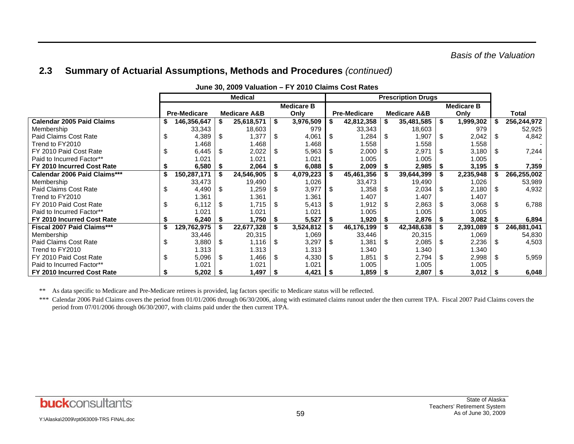|                                   | <b>Medical</b> |                     |      |                         | <b>Prescription Drugs</b> |                   |      |                     |    |                         |     |                   |     |             |
|-----------------------------------|----------------|---------------------|------|-------------------------|---------------------------|-------------------|------|---------------------|----|-------------------------|-----|-------------------|-----|-------------|
|                                   |                |                     |      |                         |                           | <b>Medicare B</b> |      |                     |    |                         |     | <b>Medicare B</b> |     |             |
|                                   |                | <b>Pre-Medicare</b> |      | <b>Medicare A&amp;B</b> |                           | Only              |      | <b>Pre-Medicare</b> |    | <b>Medicare A&amp;B</b> |     | Only              |     | Total       |
| <b>Calendar 2005 Paid Claims</b>  | \$             | 146,356,647         |      | 25,618,571              | S                         | 3,976,509         |      | 42,812,358          | \$ | 35,481,585              | -\$ | 1,999,302         | S.  | 256,244,972 |
| Membership                        |                | 33,343              |      | 18,603                  |                           | 979               |      | 33,343              |    | 18,603                  |     | 979               |     | 52,925      |
| Paid Claims Cost Rate             | \$             | 4,389               | \$   | 1,377                   | ß.                        | 4,061             | -\$  | 1,284               | \$ | 1,907                   | \$  | 2,042             | \$  | 4,842       |
| Trend to FY2010                   |                | 1.468               |      | 1.468                   |                           | 1.468             |      | 1.558               |    | 1.558                   |     | 1.558             |     |             |
| FY 2010 Paid Cost Rate            | \$             | 6,445               | \$.  | 2,022                   |                           | 5,963             | - \$ | 2,000               | \$ | 2,971                   | \$  | 3,180             | \$  | 7,244       |
| Paid to Incurred Factor**         |                | 1.021               |      | 1.021                   |                           | 1.021             |      | 1.005               |    | 1.005                   |     | 1.005             |     |             |
| FY 2010 Incurred Cost Rate        |                | 6,580               | - 56 | 2,064                   |                           | 6,088             |      | 2,009               |    | 2,985                   |     | 3,195             |     | 7,359       |
| Calendar 2006 Paid Claims***      | \$             | 150,287,171         |      | 24,546,905              |                           | 4,079,223         |      | 45,461,356          |    | 39,644,399              |     | 2,235,948         |     | 266,255,002 |
| Membership                        |                | 33,473              |      | 19,490                  |                           | 1,026             |      | 33,473              |    | 19,490                  |     | 1,026             |     | 53,989      |
| Paid Claims Cost Rate             | \$             | 4,490               | - \$ | 1,259                   | S                         | 3,977             | - \$ | 1,358               | -S | 2,034                   | \$. | 2,180             | -S  | 4,932       |
| Trend to FY2010                   |                | 1.361               |      | 1.361                   |                           | 1.361             |      | 1.407               |    | 1.407                   |     | 1.407             |     |             |
| FY 2010 Paid Cost Rate            | \$             | 6,112               | - \$ | 1,715                   | \$.                       | 5,413             |      | 1,912               | \$ | 2,863                   | \$. | 3,068             | \$  | 6,788       |
| Paid to Incurred Factor**         |                | 1.021               |      | 1.021                   |                           | 1.021             |      | 1.005               |    | 1.005                   |     | 1.005             |     |             |
| FY 2010 Incurred Cost Rate        |                | 6,240               |      | 1,750                   |                           | 5,527             |      | 1,920               |    | 2,876                   |     | 3,082             |     | 6,894       |
| <b>Fiscal 2007 Paid Claims***</b> |                | 129,762,975         |      | 22,677,328              |                           | 3,524,812         |      | 46,176,199          |    | 42,348,638              |     | 2,391,089         |     | 246,881,041 |
| Membership                        |                | 33,446              |      | 20,315                  |                           | 1,069             |      | 33,446              |    | 20,315                  |     | 1,069             |     | 54,830      |
| Paid Claims Cost Rate             | S              | 3,880               | -S   | 1,116                   | ß.                        | 3,297             | -S   | 1,381               | \$ | 2,085                   | \$. | 2,236             | \$  | 4,503       |
| Trend to FY2010                   |                | 1.313               |      | 1.313                   |                           | 1.313             |      | 1.340               |    | 1.340                   |     | 1.340             |     |             |
| FY 2010 Paid Cost Rate            | \$             | 5,096               | \$.  | ,466                    | ß.                        | 4,330             | - \$ | 1,851               | \$ | 2,794                   | \$  | 2,998             | \$  | 5,959       |
| Paid to Incurred Factor**         |                | 1.021               |      | 1.021                   |                           | 1.021             |      | 1.005               |    | 1.005                   |     | 1.005             |     |             |
| FY 2010 Incurred Cost Rate        |                | 5,202               | - 5  | 1,497                   | -5                        | 4,421             | l S  | 1,859               | 5  | 2,807                   | - 5 | 3,012             | - 5 | 6,048       |

**June 30, 2009 Valuation – FY 2010 Claims Cost Rates** 

\*\* As data specific to Medicare and Pre-Medicare retirees is provided, lag factors specific to Medicare status will be reflected.

\*\*\* Calendar 2006 Paid Claims covers the period from 01/01/2006 through 06/30/2006, along with estimated claims runout under the then current TPA. Fiscal 2007 Paid Claims covers the period from 07/01/2006 through 06/30/2007, with claims paid under the then current TPA.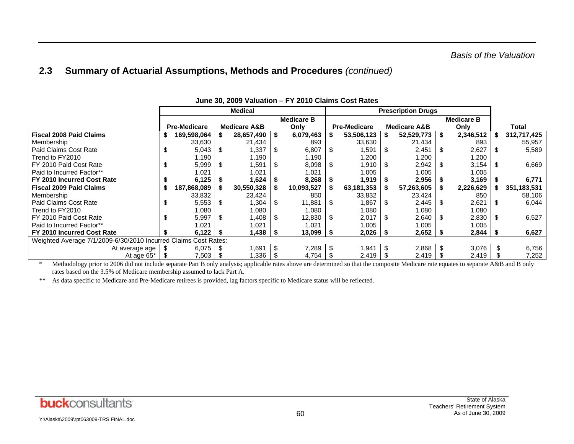|                                                                 |    |                     |      | <b>Medical</b>          |      |            |      |                     |      | <b>Prescription Drugs</b> |     |           |      |               |
|-----------------------------------------------------------------|----|---------------------|------|-------------------------|------|------------|------|---------------------|------|---------------------------|-----|-----------|------|---------------|
|                                                                 |    |                     |      | <b>Medicare B</b>       |      |            |      | <b>Medicare B</b>   |      |                           |     |           |      |               |
|                                                                 |    | <b>Pre-Medicare</b> |      | <b>Medicare A&amp;B</b> |      | Only       |      | <b>Pre-Medicare</b> |      | <b>Medicare A&amp;B</b>   |     | Only      |      | Total         |
| <b>Fiscal 2008 Paid Claims</b>                                  |    | 169,598,064         |      | 28,657,490              | -S   | 6,079,463  |      | 53,506,123          |      | 52,529,773                | -S  | 2,346,512 |      | 312,717,425   |
| Membership                                                      |    | 33,630              |      | 21,434                  |      | 893        |      | 33,630              |      | 21,434                    |     | 893       |      | 55,957        |
| Paid Claims Cost Rate                                           | \$ | 5,043               | \$   | 1,337                   | \$   | 6,807      | -S   | 1,591               | \$.  | 2,451                     | \$. | 2,627     | S    | 5,589         |
| Trend to FY2010                                                 |    | 1.190               |      | 1.190                   |      | 1.190      |      | 1.200               |      | 1.200                     |     | 1.200     |      |               |
| FY 2010 Paid Cost Rate                                          | \$ | 5,999               | - \$ | 1,591                   | -S   | 8,098      |      | 1,910               |      | 2,942                     |     | 3,154     | \$   | 6,669         |
| Paid to Incurred Factor**                                       |    | 1.021               |      | 1.021                   |      | 1.021      |      | 1.005               |      | 1.005                     |     | 1.005     |      |               |
| FY 2010 Incurred Cost Rate                                      |    | 6,125               |      | 1,624                   |      | 8,268      |      | 1,919               |      | 2,956                     |     | 3,169     |      | 6,771         |
| <b>Fiscal 2009 Paid Claims</b>                                  | \$ | 187,868,089         |      | 30,550,328              |      | 10,093,527 |      | 63,181,353          |      | 57,263,605                |     | 2,226,629 |      | 351, 183, 531 |
| Membership                                                      |    | 33,832              |      | 23,424                  |      | 850        |      | 33,832              |      | 23,424                    |     | 850       |      | 58,106        |
| Paid Claims Cost Rate                                           | \$ | 5,553               | - \$ | 1,304                   | - \$ | 11,881     | - \$ | 1,867               | -S   | 2,445                     | -\$ | 2,621     | -S   | 6,044         |
| Trend to FY2010                                                 |    | 1.080               |      | 1.080                   |      | 1.080      |      | 1.080               |      | 1.080                     |     | 1.080     |      |               |
| FY 2010 Paid Cost Rate                                          | \$ | 5,997               | - \$ | 408.                    | - \$ | 12,830     |      | 2,017               |      | 2,640                     |     | 2,830     | -\$  | 6,527         |
| Paid to Incurred Factor**                                       |    | 1.021               |      | 1.021                   |      | 1.021      |      | 1.005               |      | 1.005                     |     | 1.005     |      |               |
| FY 2010 Incurred Cost Rate                                      |    | $6,122$   \$        |      | $1,438$   \$            |      | 13,099     | IS.  | 2,026               | - 55 | 2,652                     |     | 2,844     | - 56 | 6,627         |
| Weighted Average 7/1/2009-6/30/2010 Incurred Claims Cost Rates: |    |                     |      |                         |      |            |      |                     |      |                           |     |           |      |               |
| At average age                                                  |    | $6,075$   \$        |      | 1,691                   |      | 7,289      |      | 1,941               |      | 2,868                     |     | 3,076     |      | 6,756         |
| At age 65*                                                      |    | $7,503$   \$        |      | .336                    |      | 4,754      |      | 2,419               |      | 2,419                     |     | 2,419     |      | 7,252         |

**June 30, 2009 Valuation – FY 2010 Claims Cost Rates** 

\* Methodology prior to 2006 did not include separate Part B only analysis; applicable rates above are determined so that the composite Medicare rate equates to separate A&B and B only rates based on the 3.5% of Medicare membership assumed to lack Part A.

\*\* As data specific to Medicare and Pre-Medicare retirees is provided, lag factors specific to Medicare status will be reflected.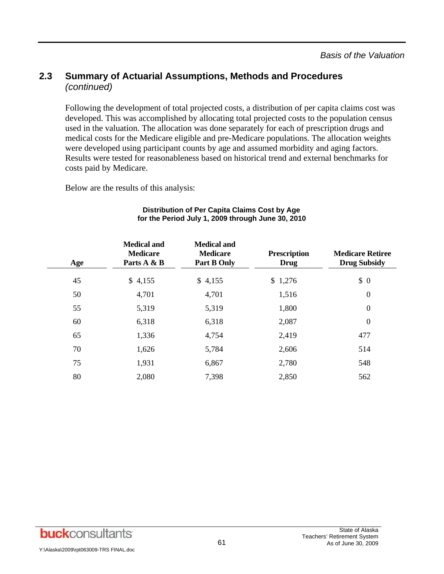Following the development of total projected costs, a distribution of per capita claims cost was developed. This was accomplished by allocating total projected costs to the population census used in the valuation. The allocation was done separately for each of prescription drugs and medical costs for the Medicare eligible and pre-Medicare populations. The allocation weights were developed using participant counts by age and assumed morbidity and aging factors. Results were tested for reasonableness based on historical trend and external benchmarks for costs paid by Medicare.

Below are the results of this analysis:

| Age | <b>Medical and</b><br><b>Medicare</b><br>Parts A & B | <b>Medical and</b><br><b>Medicare</b><br><b>Part B Only</b> | <b>Prescription</b><br>Drug | <b>Medicare Retiree</b><br><b>Drug Subsidy</b> |
|-----|------------------------------------------------------|-------------------------------------------------------------|-----------------------------|------------------------------------------------|
| 45  | \$4,155                                              | \$4,155                                                     | \$1,276                     | \$0                                            |
| 50  | 4,701                                                | 4,701                                                       | 1,516                       | $\boldsymbol{0}$                               |
| 55  | 5,319                                                | 5,319                                                       | 1,800                       | $\boldsymbol{0}$                               |
| 60  | 6,318                                                | 6,318                                                       | 2,087                       | $\boldsymbol{0}$                               |
| 65  | 1,336                                                | 4,754                                                       | 2,419                       | 477                                            |
| 70  | 1,626                                                | 5,784                                                       | 2,606                       | 514                                            |
| 75  | 1,931                                                | 6,867                                                       | 2,780                       | 548                                            |
| 80  | 2,080                                                | 7,398                                                       | 2,850                       | 562                                            |

### **Distribution of Per Capita Claims Cost by Age for the Period July 1, 2009 through June 30, 2010**

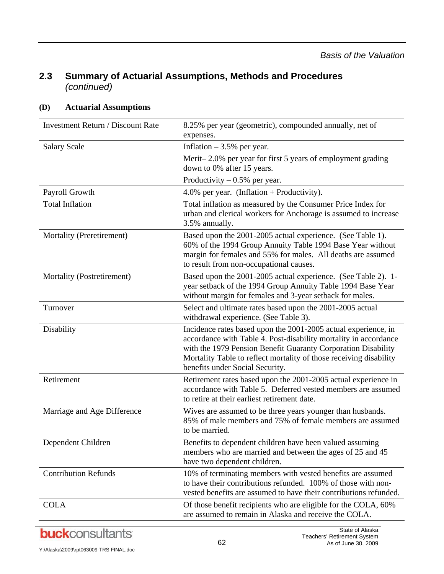### **(D) Actuarial Assumptions**

| <b>Investment Return / Discount Rate</b> | 8.25% per year (geometric), compounded annually, net of<br>expenses.                                                                                                                                                                                                                                         |
|------------------------------------------|--------------------------------------------------------------------------------------------------------------------------------------------------------------------------------------------------------------------------------------------------------------------------------------------------------------|
| <b>Salary Scale</b>                      | Inflation $-3.5%$ per year.                                                                                                                                                                                                                                                                                  |
|                                          | Merit-2.0% per year for first 5 years of employment grading<br>down to 0% after 15 years.                                                                                                                                                                                                                    |
|                                          | Productivity $-0.5%$ per year.                                                                                                                                                                                                                                                                               |
| Payroll Growth                           | 4.0% per year. (Inflation + Productivity).                                                                                                                                                                                                                                                                   |
| <b>Total Inflation</b>                   | Total inflation as measured by the Consumer Price Index for<br>urban and clerical workers for Anchorage is assumed to increase<br>3.5% annually.                                                                                                                                                             |
| Mortality (Preretirement)                | Based upon the 2001-2005 actual experience. (See Table 1).<br>60% of the 1994 Group Annuity Table 1994 Base Year without<br>margin for females and 55% for males. All deaths are assumed<br>to result from non-occupational causes.                                                                          |
| Mortality (Postretirement)               | Based upon the 2001-2005 actual experience. (See Table 2). 1-<br>year setback of the 1994 Group Annuity Table 1994 Base Year<br>without margin for females and 3-year setback for males.                                                                                                                     |
| Turnover                                 | Select and ultimate rates based upon the 2001-2005 actual<br>withdrawal experience. (See Table 3).                                                                                                                                                                                                           |
| Disability                               | Incidence rates based upon the 2001-2005 actual experience, in<br>accordance with Table 4. Post-disability mortality in accordance<br>with the 1979 Pension Benefit Guaranty Corporation Disability<br>Mortality Table to reflect mortality of those receiving disability<br>benefits under Social Security. |
| Retirement                               | Retirement rates based upon the 2001-2005 actual experience in<br>accordance with Table 5. Deferred vested members are assumed<br>to retire at their earliest retirement date.                                                                                                                               |
| Marriage and Age Difference              | Wives are assumed to be three years younger than husbands.<br>85% of male members and 75% of female members are assumed<br>to be married.                                                                                                                                                                    |
| Dependent Children                       | Benefits to dependent children have been valued assuming<br>members who are married and between the ages of 25 and 45<br>have two dependent children.                                                                                                                                                        |
| <b>Contribution Refunds</b>              | 10% of terminating members with vested benefits are assumed<br>to have their contributions refunded. 100% of those with non-<br>vested benefits are assumed to have their contributions refunded.                                                                                                            |
| <b>COLA</b>                              | Of those benefit recipients who are eligible for the COLA, 60%<br>are assumed to remain in Alaska and receive the COLA.                                                                                                                                                                                      |

# **buck**consultants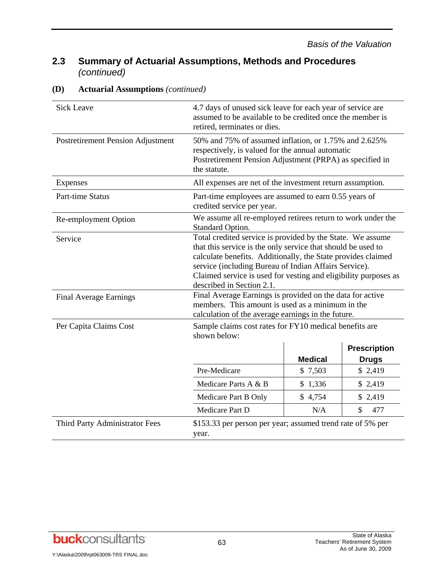| <b>Sick Leave</b>                        | retired, terminates or dies.                                                                                                                                                                                                                                                                                                                                                                                                                                                                                               | 4.7 days of unused sick leave for each year of service are<br>assumed to be available to be credited once the member is |                                  |  |  |  |  |  |
|------------------------------------------|----------------------------------------------------------------------------------------------------------------------------------------------------------------------------------------------------------------------------------------------------------------------------------------------------------------------------------------------------------------------------------------------------------------------------------------------------------------------------------------------------------------------------|-------------------------------------------------------------------------------------------------------------------------|----------------------------------|--|--|--|--|--|
| <b>Postretirement Pension Adjustment</b> | 50% and 75% of assumed inflation, or 1.75% and 2.625%<br>respectively, is valued for the annual automatic<br>Postretirement Pension Adjustment (PRPA) as specified in<br>the statute.                                                                                                                                                                                                                                                                                                                                      |                                                                                                                         |                                  |  |  |  |  |  |
| <b>Expenses</b>                          | All expenses are net of the investment return assumption.                                                                                                                                                                                                                                                                                                                                                                                                                                                                  |                                                                                                                         |                                  |  |  |  |  |  |
| <b>Part-time Status</b>                  | Part-time employees are assumed to earn 0.55 years of<br>credited service per year.                                                                                                                                                                                                                                                                                                                                                                                                                                        |                                                                                                                         |                                  |  |  |  |  |  |
| Re-employment Option                     | We assume all re-employed retirees return to work under the<br>Standard Option.                                                                                                                                                                                                                                                                                                                                                                                                                                            |                                                                                                                         |                                  |  |  |  |  |  |
| Service<br><b>Final Average Earnings</b> | Total credited service is provided by the State. We assume<br>that this service is the only service that should be used to<br>calculate benefits. Additionally, the State provides claimed<br>service (including Bureau of Indian Affairs Service).<br>Claimed service is used for vesting and eligibility purposes as<br>described in Section 2.1.<br>Final Average Earnings is provided on the data for active<br>members. This amount is used as a minimum in the<br>calculation of the average earnings in the future. |                                                                                                                         |                                  |  |  |  |  |  |
| Per Capita Claims Cost                   | Sample claims cost rates for FY10 medical benefits are<br>shown below:                                                                                                                                                                                                                                                                                                                                                                                                                                                     |                                                                                                                         |                                  |  |  |  |  |  |
|                                          |                                                                                                                                                                                                                                                                                                                                                                                                                                                                                                                            |                                                                                                                         | <b>Prescription</b>              |  |  |  |  |  |
|                                          |                                                                                                                                                                                                                                                                                                                                                                                                                                                                                                                            | <b>Medical</b>                                                                                                          | <b>Drugs</b>                     |  |  |  |  |  |
|                                          | Pre-Medicare                                                                                                                                                                                                                                                                                                                                                                                                                                                                                                               | \$7,503                                                                                                                 | \$2,419                          |  |  |  |  |  |
|                                          | Medicare Parts A & B                                                                                                                                                                                                                                                                                                                                                                                                                                                                                                       | \$1,336                                                                                                                 | \$2,419                          |  |  |  |  |  |
|                                          | Medicare Part B Only                                                                                                                                                                                                                                                                                                                                                                                                                                                                                                       | \$4,754                                                                                                                 | \$2,419                          |  |  |  |  |  |
|                                          | Medicare Part D                                                                                                                                                                                                                                                                                                                                                                                                                                                                                                            | N/A                                                                                                                     | $\boldsymbol{\mathsf{S}}$<br>477 |  |  |  |  |  |
| Third Party Administrator Fees           | \$153.33 per person per year; assumed trend rate of 5% per<br>year.                                                                                                                                                                                                                                                                                                                                                                                                                                                        |                                                                                                                         |                                  |  |  |  |  |  |

# **(D) Actuarial Assumptions** *(continued)*

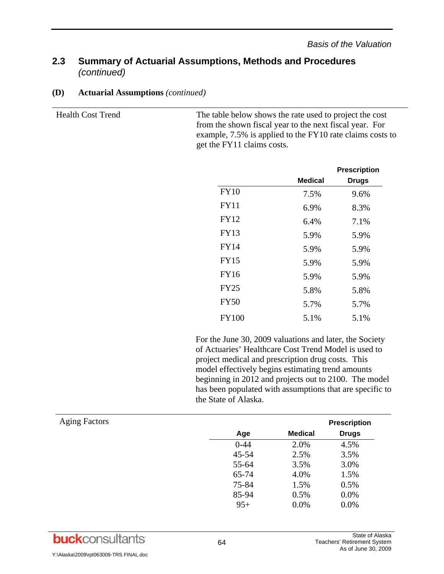### **(D) Actuarial Assumptions** *(continued)*

Health Cost Trend The table below shows the rate used to project the cost from the shown fiscal year to the next fiscal year. For example, 7.5% is applied to the FY10 rate claims costs to get the FY11 claims costs.

|              |                | <b>Prescription</b> |
|--------------|----------------|---------------------|
|              | <b>Medical</b> | <b>Drugs</b>        |
| FY10         | 7.5%           | 9.6%                |
| <b>FY11</b>  | 6.9%           | 8.3%                |
| <b>FY12</b>  | $6.4\%$        | 7.1%                |
| <b>FY13</b>  | 5.9%           | 5.9%                |
| FY14         | 5.9%           | 5.9%                |
| <b>FY15</b>  | 5.9%           | 5.9%                |
| <b>FY16</b>  | 5.9%           | 5.9%                |
| <b>FY25</b>  | 5.8%           | 5.8%                |
| <b>FY50</b>  | 5.7%           | 5.7%                |
| <b>FY100</b> | 5.1%           | 5.1%                |

 For the June 30, 2009 valuations and later, the Society of Actuaries' Healthcare Cost Trend Model is used to project medical and prescription drug costs. This model effectively begins estimating trend amounts beginning in 2012 and projects out to 2100. The model has been populated with assumptions that are specific to the State of Alaska.

| <b>Aging Factors</b> |          |                | <b>Prescription</b> |
|----------------------|----------|----------------|---------------------|
|                      | Age      | <b>Medical</b> | <b>Drugs</b>        |
|                      | $0 - 44$ | 2.0%           | 4.5%                |
|                      | 45-54    | 2.5%           | 3.5%                |
|                      | 55-64    | 3.5%           | 3.0%                |
|                      | 65-74    | 4.0%           | 1.5%                |
|                      | 75-84    | 1.5%           | 0.5%                |
|                      | 85-94    | 0.5%           | 0.0%                |
|                      | $95+$    | 0.0%           | 0.0%                |

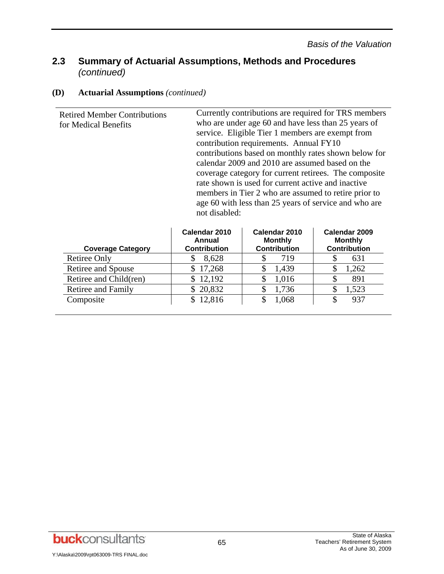# **(D) Actuarial Assumptions** *(continued)*

| <b>Retired Member Contributions</b><br>for Medical Benefits | Currently contributions are required for TRS members<br>who are under age 60 and have less than 25 years of<br>service. Eligible Tier 1 members are exempt from |
|-------------------------------------------------------------|-----------------------------------------------------------------------------------------------------------------------------------------------------------------|
|                                                             | contribution requirements. Annual FY10                                                                                                                          |
|                                                             | contributions based on monthly rates shown below for                                                                                                            |
|                                                             | calendar 2009 and 2010 are assumed based on the                                                                                                                 |
|                                                             | coverage category for current retirees. The composite                                                                                                           |
|                                                             | rate shown is used for current active and inactive                                                                                                              |
|                                                             | members in Tier 2 who are assumed to retire prior to<br>age 60 with less than 25 years of service and who are<br>not disabled:                                  |
|                                                             |                                                                                                                                                                 |

| <b>Coverage Category</b>  | Calendar 2010<br>Annual<br><b>Contribution</b> | Calendar 2010<br><b>Monthly</b><br><b>Contribution</b> | Calendar 2009<br><b>Monthly</b><br><b>Contribution</b> |
|---------------------------|------------------------------------------------|--------------------------------------------------------|--------------------------------------------------------|
| Retiree Only              | 8,628                                          | 719                                                    | 631                                                    |
| Retiree and Spouse        | \$17,268                                       | 1,439                                                  | 1,262                                                  |
| Retiree and Child(ren)    | 12,192<br>S.                                   | 1,016                                                  | 891                                                    |
| <b>Retiree and Family</b> | \$20,832                                       | 1,736                                                  | .523                                                   |
| Composite                 | \$12,816                                       | 1.068                                                  | 937                                                    |

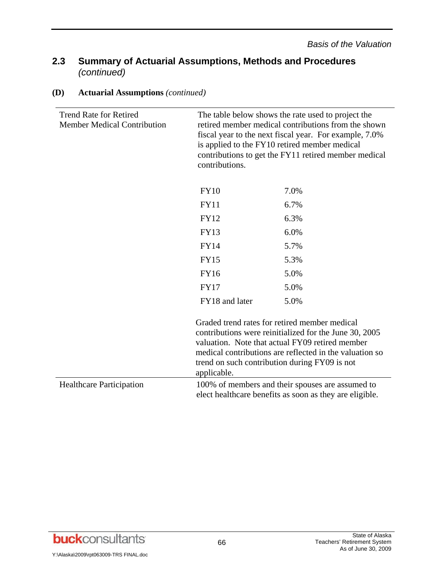| <b>Trend Rate for Retired</b><br><b>Member Medical Contribution</b> | The table below shows the rate used to project the<br>retired member medical contributions from the shown<br>fiscal year to the next fiscal year. For example, 7.0%<br>is applied to the FY10 retired member medical<br>contributions to get the FY11 retired member medical<br>contributions. |      |
|---------------------------------------------------------------------|------------------------------------------------------------------------------------------------------------------------------------------------------------------------------------------------------------------------------------------------------------------------------------------------|------|
|                                                                     | <b>FY10</b>                                                                                                                                                                                                                                                                                    | 7.0% |
|                                                                     | <b>FY11</b>                                                                                                                                                                                                                                                                                    | 6.7% |
|                                                                     | <b>FY12</b>                                                                                                                                                                                                                                                                                    | 6.3% |
|                                                                     | <b>FY13</b>                                                                                                                                                                                                                                                                                    | 6.0% |
|                                                                     | <b>FY14</b>                                                                                                                                                                                                                                                                                    | 5.7% |
|                                                                     | <b>FY15</b>                                                                                                                                                                                                                                                                                    | 5.3% |
|                                                                     | <b>FY16</b>                                                                                                                                                                                                                                                                                    | 5.0% |
|                                                                     | <b>FY17</b>                                                                                                                                                                                                                                                                                    | 5.0% |
|                                                                     | FY18 and later                                                                                                                                                                                                                                                                                 | 5.0% |
|                                                                     | Graded trend rates for retired member medical<br>contributions were reinitialized for the June 30, 2005<br>valuation. Note that actual FY09 retired member<br>medical contributions are reflected in the valuation so<br>trend on such contribution during FY09 is not<br>applicable.          |      |
| <b>Healthcare Participation</b>                                     | 100% of members and their spouses are assumed to<br>elect healthcare benefits as soon as they are eligible.                                                                                                                                                                                    |      |

# **(D) Actuarial Assumptions** *(continued)*

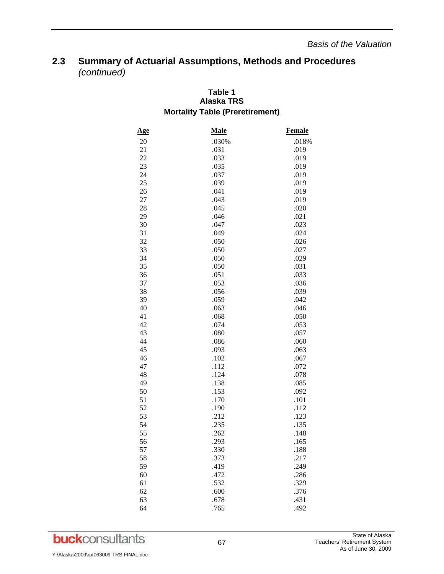### **Table 1 Alaska TRS Mortality Table (Preretirement)**

| <u>Age</u> | <b>Male</b> | <b>Female</b> |
|------------|-------------|---------------|
| 20         | .030%       | .018%         |
| 21         | .031        | .019          |
| 22         | .033        | .019          |
| 23         | .035        | .019          |
| 24         | .037        | .019          |
| 25         | .039        | .019          |
| 26         | .041        | .019          |
| 27         | .043        | .019          |
| 28         | .045        | .020          |
| 29         | .046        | .021          |
| 30         | .047        | .023          |
| 31         | .049        | .024          |
| 32         | .050        | .026          |
| 33         | .050        | .027          |
| 34         | .050        | .029          |
| 35         | .050        | .031          |
| 36         | .051        | .033          |
| 37         | .053        | .036          |
| 38         | .056        | .039          |
| 39         | .059        | .042          |
| 40         | .063        | .046          |
| 41         | .068        | .050          |
| 42         | .074        | .053          |
| 43         | .080        | .057          |
| 44         | .086        | .060          |
| 45         | .093        | .063          |
| 46         | .102        | .067          |
| 47         | .112        | .072          |
| 48         | .124        | .078          |
| 49         | .138        | .085          |
| 50         | .153        | .092          |
| 51         | .170        | .101          |
| 52         | .190        | .112          |
| 53         | .212        | .123          |
| 54         | .235        | .135          |
| 55         | .262        | .148          |
| 56         | .293        | .165          |
| 57         | 330         | .188          |
| 58         | .373        | .217          |
| 59         | .419        | .249          |
| 60         | .472        | .286          |
| 61         | .532        | .329          |
| 62         | .600        | .376          |
| 63         | .678        | .431          |
| 64         | .765        | .492          |
|            |             |               |

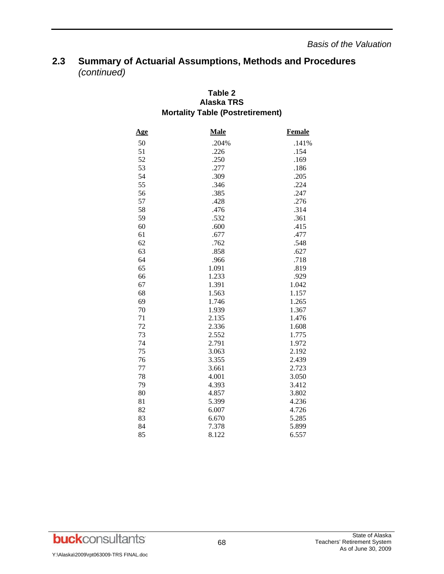### **Table 2 Alaska TRS Mortality Table (Postretirement)**

| <u>Age</u> | <b>Male</b> | Female |
|------------|-------------|--------|
| 50         | .204%       | .141%  |
| 51         | .226        | .154   |
| 52         | .250        | .169   |
| 53         | .277        | .186   |
| 54         | .309        | .205   |
| 55         | .346        | .224   |
| 56         | .385        | .247   |
| 57         | .428        | .276   |
| 58         | .476        | .314   |
| 59         | .532        | .361   |
| 60         | .600        | .415   |
| 61         | .677        | .477   |
| 62         | .762        | .548   |
| 63         | .858        | .627   |
| 64         | .966        | .718   |
| 65         | 1.091       | .819   |
| 66         | 1.233       | .929   |
| 67         | 1.391       | 1.042  |
| 68         | 1.563       | 1.157  |
| 69         | 1.746       | 1.265  |
| 70         | 1.939       | 1.367  |
| 71         | 2.135       | 1.476  |
| 72         | 2.336       | 1.608  |
| 73         | 2.552       | 1.775  |
| 74         | 2.791       | 1.972  |
| 75         | 3.063       | 2.192  |
| 76         | 3.355       | 2.439  |
| 77         | 3.661       | 2.723  |
| 78         | 4.001       | 3.050  |
| 79         | 4.393       | 3.412  |
| 80         | 4.857       | 3.802  |
| 81         | 5.399       | 4.236  |
| 82         | 6.007       | 4.726  |
| 83         | 6.670       | 5.285  |
| 84         | 7.378       | 5.899  |
| 85         | 8.122       | 6.557  |

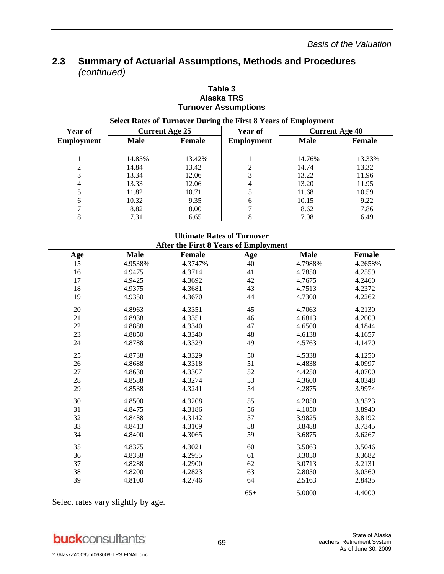| <b>Select Rates of Turnover During the First 8 Years of Employment</b> |                       |        |                   |                       |               |  |  |  |
|------------------------------------------------------------------------|-----------------------|--------|-------------------|-----------------------|---------------|--|--|--|
| <b>Year of</b>                                                         | <b>Current Age 25</b> |        | <b>Year of</b>    | <b>Current Age 40</b> |               |  |  |  |
| <b>Employment</b>                                                      | Male                  | Female | <b>Employment</b> | <b>Male</b>           | <b>Female</b> |  |  |  |
|                                                                        |                       |        |                   |                       |               |  |  |  |
|                                                                        | 14.85%                | 13.42% |                   | 14.76%                | 13.33%        |  |  |  |
|                                                                        | 14.84                 | 13.42  |                   | 14.74                 | 13.32         |  |  |  |
| 3                                                                      | 13.34                 | 12.06  |                   | 13.22                 | 11.96         |  |  |  |
| 4                                                                      | 13.33                 | 12.06  |                   | 13.20                 | 11.95         |  |  |  |
| 5                                                                      | 11.82                 | 10.71  |                   | 11.68                 | 10.59         |  |  |  |
| 6                                                                      | 10.32                 | 9.35   | 6                 | 10.15                 | 9.22          |  |  |  |
|                                                                        | 8.82                  | 8.00   |                   | 8.62                  | 7.86          |  |  |  |
| 8                                                                      | 7.31                  | 6.65   | 8                 | 7.08                  | 6.49          |  |  |  |

### **Table 3 Alaska TRS Turnover Assumptions**

#### **Select Rates of Turnover During the First 8 Years of Employment**

#### **Ultimate Rates of Turnover After the First 8 Years of Employment**

| <u>Age</u>      | <b>Male</b> | <b>Female</b> | Age   | <b>Male</b> | <b>Female</b> |
|-----------------|-------------|---------------|-------|-------------|---------------|
| $\overline{15}$ | 4.9538%     | 4.3747%       | 40    | 4.7988%     | 4.2658%       |
| 16              | 4.9475      | 4.3714        | 41    | 4.7850      | 4.2559        |
| 17              | 4.9425      | 4.3692        | 42    | 4.7675      | 4.2460        |
| 18              | 4.9375      | 4.3681        | 43    | 4.7513      | 4.2372        |
| 19              | 4.9350      | 4.3670        | 44    | 4.7300      | 4.2262        |
| $20\,$          | 4.8963      | 4.3351        | 45    | 4.7063      | 4.2130        |
| 21              | 4.8938      | 4.3351        | 46    | 4.6813      | 4.2009        |
| 22              | 4.8888      | 4.3340        | 47    | 4.6500      | 4.1844        |
| 23              | 4.8850      | 4.3340        | 48    | 4.6138      | 4.1657        |
| 24              | 4.8788      | 4.3329        | 49    | 4.5763      | 4.1470        |
| 25              | 4.8738      | 4.3329        | 50    | 4.5338      | 4.1250        |
| 26              | 4.8688      | 4.3318        | 51    | 4.4838      | 4.0997        |
| 27              | 4.8638      | 4.3307        | 52    | 4.4250      | 4.0700        |
| $28\,$          | 4.8588      | 4.3274        | 53    | 4.3600      | 4.0348        |
| 29              | 4.8538      | 4.3241        | 54    | 4.2875      | 3.9974        |
| 30              | 4.8500      | 4.3208        | 55    | 4.2050      | 3.9523        |
| 31              | 4.8475      | 4.3186        | 56    | 4.1050      | 3.8940        |
| 32              | 4.8438      | 4.3142        | 57    | 3.9825      | 3.8192        |
| 33              | 4.8413      | 4.3109        | 58    | 3.8488      | 3.7345        |
| 34              | 4.8400      | 4.3065        | 59    | 3.6875      | 3.6267        |
| 35              | 4.8375      | 4.3021        | 60    | 3.5063      | 3.5046        |
| 36              | 4.8338      | 4.2955        | 61    | 3.3050      | 3.3682        |
| 37              | 4.8288      | 4.2900        | 62    | 3.0713      | 3.2131        |
| 38              | 4.8200      | 4.2823        | 63    | 2.8050      | 3.0360        |
| 39              | 4.8100      | 4.2746        | 64    | 2.5163      | 2.8435        |
|                 |             |               | $65+$ | 5.0000      | 4.4000        |

Select rates vary slightly by age.

**buck**consultants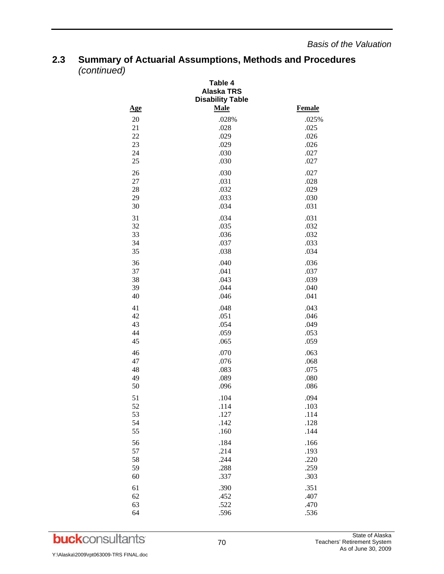| Table 4<br><b>Alaska TRS</b><br><b>Disability Table</b> |              |               |  |  |  |  |  |
|---------------------------------------------------------|--------------|---------------|--|--|--|--|--|
| Age                                                     | <b>Male</b>  | <b>Female</b> |  |  |  |  |  |
| 20                                                      | .028%        | .025%         |  |  |  |  |  |
| 21                                                      | .028         | .025          |  |  |  |  |  |
| 22                                                      | .029         | .026          |  |  |  |  |  |
| 23                                                      | .029         | .026          |  |  |  |  |  |
| 24<br>25                                                | .030<br>.030 | .027<br>.027  |  |  |  |  |  |
| 26                                                      | .030         | .027          |  |  |  |  |  |
| 27                                                      | .031         | .028          |  |  |  |  |  |
| 28                                                      | .032         | .029          |  |  |  |  |  |
| 29                                                      | .033         | .030          |  |  |  |  |  |
| 30                                                      | .034         | .031          |  |  |  |  |  |
| 31                                                      | .034         | .031          |  |  |  |  |  |
| 32<br>33                                                | .035         | .032          |  |  |  |  |  |
| 34                                                      | .036<br>.037 | .032<br>.033  |  |  |  |  |  |
| 35                                                      | .038         | .034          |  |  |  |  |  |
| 36                                                      | .040         | .036          |  |  |  |  |  |
| 37                                                      | .041         | .037          |  |  |  |  |  |
| 38                                                      | .043         | .039          |  |  |  |  |  |
| 39                                                      | .044         | .040          |  |  |  |  |  |
| 40                                                      | .046         | .041          |  |  |  |  |  |
| 41                                                      | .048         | .043          |  |  |  |  |  |
| 42<br>43                                                | .051<br>.054 | .046<br>.049  |  |  |  |  |  |
| 44                                                      | .059         | .053          |  |  |  |  |  |
| 45                                                      | .065         | .059          |  |  |  |  |  |
| 46                                                      | .070         | .063          |  |  |  |  |  |
| 47                                                      | .076         | .068          |  |  |  |  |  |
| 48                                                      | .083         | .075          |  |  |  |  |  |
| 49                                                      | .089         | .080          |  |  |  |  |  |
| 50                                                      | .096         | .086          |  |  |  |  |  |
| 51                                                      | .104         | .094          |  |  |  |  |  |
| 52                                                      | .114         | .103          |  |  |  |  |  |
| 53<br>54                                                | .127<br>.142 | .114<br>.128  |  |  |  |  |  |
| 55                                                      | .160         | .144          |  |  |  |  |  |
| 56                                                      | .184         | .166          |  |  |  |  |  |
| 57                                                      | .214         | .193          |  |  |  |  |  |
| 58                                                      | .244         | .220          |  |  |  |  |  |
| 59                                                      | .288         | .259          |  |  |  |  |  |
| 60                                                      | .337         | .303          |  |  |  |  |  |
| 61                                                      | .390         | .351          |  |  |  |  |  |
| 62                                                      | .452         | .407          |  |  |  |  |  |
| 63                                                      | .522         | .470          |  |  |  |  |  |
| 64                                                      | .596         | .536          |  |  |  |  |  |

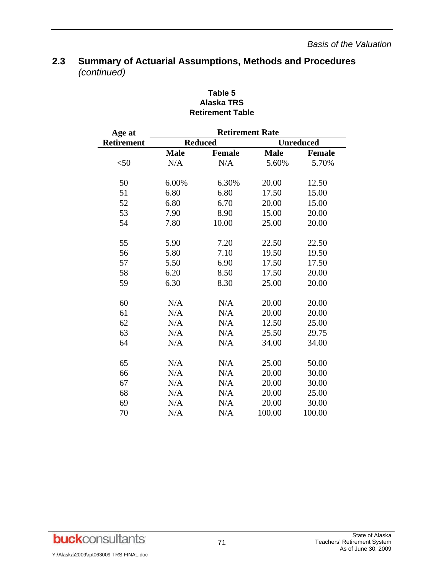| Age at     |             | <b>Retirement Rate</b> |             |                  |
|------------|-------------|------------------------|-------------|------------------|
| Retirement |             | <b>Reduced</b>         |             | <b>Unreduced</b> |
|            | <b>Male</b> | <b>Female</b>          | <b>Male</b> | <b>Female</b>    |
| $<$ 50     | N/A         | N/A                    | 5.60%       | 5.70%            |
| 50         | 6.00%       | 6.30%                  | 20.00       | 12.50            |
| 51         | 6.80        | 6.80                   | 17.50       | 15.00            |
| 52         | 6.80        | 6.70                   | 20.00       | 15.00            |
| 53         | 7.90        | 8.90                   | 15.00       | 20.00            |
| 54         | 7.80        | 10.00                  | 25.00       | 20.00            |
| 55         | 5.90        | 7.20                   | 22.50       | 22.50            |
| 56         | 5.80        | 7.10                   | 19.50       | 19.50            |
| 57         | 5.50        | 6.90                   | 17.50       | 17.50            |
| 58         | 6.20        | 8.50                   | 17.50       | 20.00            |
| 59         | 6.30        | 8.30                   | 25.00       | 20.00            |
| 60         | N/A         | N/A                    | 20.00       | 20.00            |
| 61         | N/A         | N/A                    | 20.00       | 20.00            |
| 62         | N/A         | N/A                    | 12.50       | 25.00            |
| 63         | N/A         | N/A                    | 25.50       | 29.75            |
| 64         | N/A         | N/A                    | 34.00       | 34.00            |
| 65         | N/A         | N/A                    | 25.00       | 50.00            |
| 66         | N/A         | N/A                    | 20.00       | 30.00            |
| 67         | N/A         | N/A                    | 20.00       | 30.00            |
| 68         | N/A         | N/A                    | 20.00       | 25.00            |
| 69         | N/A         | N/A                    | 20.00       | 30.00            |
| 70         | N/A         | N/A                    | 100.00      | 100.00           |

### **Table 5 Alaska TRS Retirement Table**

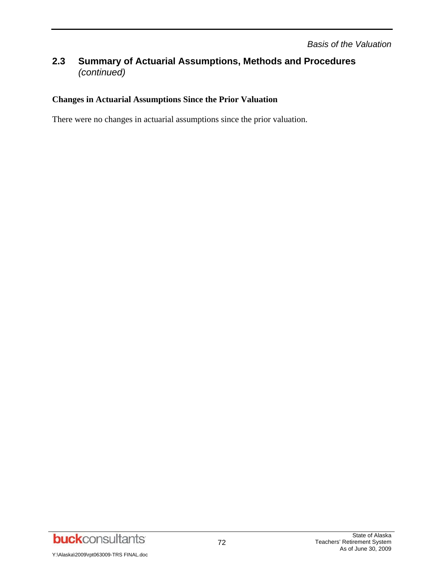### **Changes in Actuarial Assumptions Since the Prior Valuation**

There were no changes in actuarial assumptions since the prior valuation.

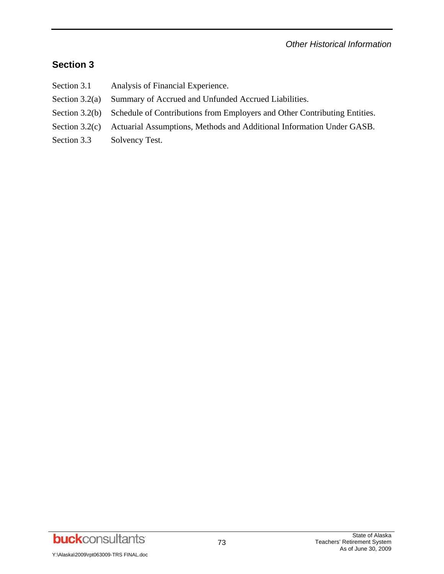*Other Historical Information* 

# **Section 3**

- Section 3.1 Analysis of Financial Experience.
- Section 3.2(a) Summary of Accrued and Unfunded Accrued Liabilities.
- Section 3.2(b) Schedule of Contributions from Employers and Other Contributing Entities.
- Section 3.2(c) Actuarial Assumptions, Methods and Additional Information Under GASB.
- Section 3.3 Solvency Test.

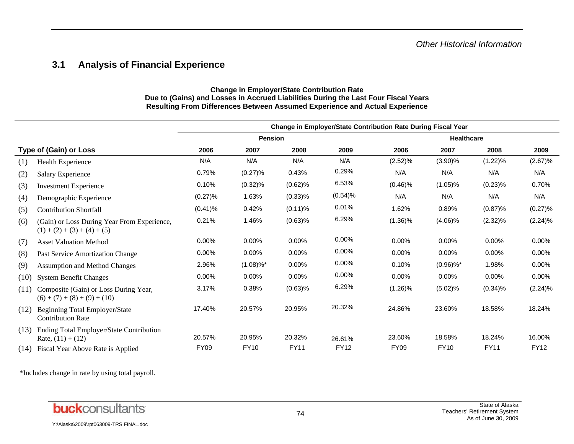### **3.1 Analysis of Financial Experience**

#### **Change in Employer/State Contribution Rate Due to (Gains) and Losses in Accrued Liabilities During the Last Four Fiscal Years Resulting From Differences Between Assumed Experience and Actual Experience**

|      |                                                                              | <b>Change in Employer/State Contribution Rate During Fiscal Year</b> |                |             |             |             |                   |             |             |  |  |
|------|------------------------------------------------------------------------------|----------------------------------------------------------------------|----------------|-------------|-------------|-------------|-------------------|-------------|-------------|--|--|
|      |                                                                              |                                                                      | <b>Pension</b> |             |             |             | <b>Healthcare</b> |             |             |  |  |
|      | <b>Type of (Gain) or Loss</b>                                                | 2006                                                                 | 2007           | 2008        | 2009        | 2006        | 2007              | 2008        | 2009        |  |  |
| (1)  | Health Experience                                                            | N/A                                                                  | N/A            | N/A         | N/A         | (2.52)%     | $(3.90)\%$        | $(1.22)\%$  | (2.67)%     |  |  |
| (2)  | Salary Experience                                                            | 0.79%                                                                | (0.27)%        | 0.43%       | 0.29%       | N/A         | N/A               | N/A         | N/A         |  |  |
| (3)  | <b>Investment Experience</b>                                                 | 0.10%                                                                | $(0.32)\%$     | (0.62)%     | 6.53%       | $(0.46)\%$  | $(1.05)\%$        | (0.23)%     | 0.70%       |  |  |
| (4)  | Demographic Experience                                                       | (0.27)%                                                              | 1.63%          | $(0.33)\%$  | (0.54)%     | N/A         | N/A               | N/A         | N/A         |  |  |
| (5)  | <b>Contribution Shortfall</b>                                                | $(0.41)\%$                                                           | 0.42%          | $(0.11)\%$  | 0.01%       | 1.62%       | 0.89%             | (0.87)%     | (0.27)%     |  |  |
| (6)  | (Gain) or Loss During Year From Experience,<br>$(1) + (2) + (3) + (4) + (5)$ | 0.21%                                                                | 1.46%          | $(0.63)$ %  | 6.29%       | $(1.36)\%$  | $(4.06)\%$        | $(2.32)\%$  | $(2.24)\%$  |  |  |
| (7)  | <b>Asset Valuation Method</b>                                                | 0.00%                                                                | 0.00%          | $0.00\%$    | 0.00%       | 0.00%       | 0.00%             | $0.00\%$    | 0.00%       |  |  |
| (8)  | Past Service Amortization Change                                             | 0.00%                                                                | $0.00\%$       | 0.00%       | $0.00\%$    | 0.00%       | 0.00%             | 0.00%       | 0.00%       |  |  |
| (9)  | <b>Assumption and Method Changes</b>                                         | 2.96%                                                                | $(1.08) \%$ *  | 0.00%       | $0.00\%$    | 0.10%       | $(0.96)\%$ *      | 1.98%       | 0.00%       |  |  |
| (10) | <b>System Benefit Changes</b>                                                | 0.00%                                                                | 0.00%          | 0.00%       | $0.00\%$    | 0.00%       | 0.00%             | 0.00%       | 0.00%       |  |  |
| (11) | Composite (Gain) or Loss During Year,<br>$(6) + (7) + (8) + (9) + (10)$      | 3.17%                                                                | 0.38%          | $(0.63)$ %  | 6.29%       | $(1.26)\%$  | $(5.02)\%$        | $(0.34)\%$  | $(2.24)\%$  |  |  |
| (12) | Beginning Total Employer/State<br><b>Contribution Rate</b>                   | 17.40%                                                               | 20.57%         | 20.95%      | 20.32%      | 24.86%      | 23.60%            | 18.58%      | 18.24%      |  |  |
| (13) | Ending Total Employer/State Contribution<br>Rate, $(11) + (12)$              | 20.57%                                                               | 20.95%         | 20.32%      | 26.61%      | 23.60%      | 18.58%            | 18.24%      | 16.00%      |  |  |
| (14) | Fiscal Year Above Rate is Applied                                            | <b>FY09</b>                                                          | <b>FY10</b>    | <b>FY11</b> | <b>FY12</b> | <b>FY09</b> | <b>FY10</b>       | <b>FY11</b> | <b>FY12</b> |  |  |

\*Includes change in rate by using total payroll.

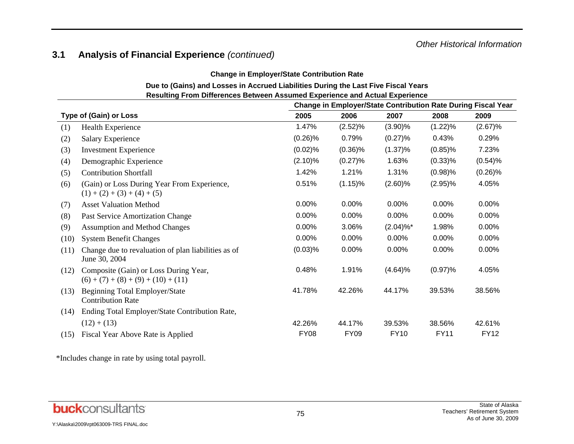### *Other Historical Information*

## **3.1 Analysis of Financial Experience** *(continued)*

**Change in Employer/State Contribution Rate** 

#### **Due to (Gains) and Losses in Accrued Liabilities During the Last Five Fiscal Years Resulting From Differences Between Assumed Experience and Actual Experience**

|      |                                                                                | <b>Change in Employer/State Contribution Rate During Fiscal Year</b> |             |                         |             |             |  |
|------|--------------------------------------------------------------------------------|----------------------------------------------------------------------|-------------|-------------------------|-------------|-------------|--|
|      | <b>Type of (Gain) or Loss</b>                                                  | 2005                                                                 | 2006        | 2007                    | 2008        | 2009        |  |
| (1)  | Health Experience                                                              | 1.47%                                                                | (2.52)%     | $(3.90)\%$              | $(1.22)\%$  | (2.67)%     |  |
| (2)  | <b>Salary Experience</b>                                                       | $(0.26)\%$                                                           | 0.79%       | (0.27)%                 | 0.43%       | 0.29%       |  |
| (3)  | <b>Investment Experience</b>                                                   | (0.02)%                                                              | $(0.36)\%$  | $(1.37)\%$              | $(0.85)\%$  | 7.23%       |  |
| (4)  | Demographic Experience                                                         | $(2.10)\%$                                                           | (0.27)%     | 1.63%                   | $(0.33)\%$  | (0.54)%     |  |
| (5)  | <b>Contribution Shortfall</b>                                                  | 1.42%                                                                | 1.21%       | 1.31%                   | $(0.98)$ %  | $(0.26)\%$  |  |
| (6)  | (Gain) or Loss During Year From Experience,<br>$(1) + (2) + (3) + (4) + (5)$   | 0.51%                                                                | $(1.15)\%$  | $(2.60)\%$              | $(2.95)\%$  | 4.05%       |  |
| (7)  | <b>Asset Valuation Method</b>                                                  | 0.00%                                                                | 0.00%       | 0.00%                   | 0.00%       | 0.00%       |  |
| (8)  | Past Service Amortization Change                                               | 0.00%                                                                | 0.00%       | 0.00%                   | 0.00%       | 0.00%       |  |
| (9)  | <b>Assumption and Method Changes</b>                                           | 0.00%                                                                | 3.06%       | $(2.04)\%$ <sup>*</sup> | 1.98%       | 0.00%       |  |
| (10) | <b>System Benefit Changes</b>                                                  | 0.00%                                                                | 0.00%       | 0.00%                   | 0.00%       | 0.00%       |  |
| (11) | Change due to revaluation of plan liabilities as of<br>June 30, 2004           | (0.03)%                                                              | 0.00%       | 0.00%                   | 0.00%       | 0.00%       |  |
| (12) | Composite (Gain) or Loss During Year,<br>$(6) + (7) + (8) + (9) + (10) + (11)$ | 0.48%                                                                | 1.91%       | (4.64)%                 | $(0.97)\%$  | 4.05%       |  |
| (13) | <b>Beginning Total Employer/State</b><br><b>Contribution Rate</b>              | 41.78%                                                               | 42.26%      | 44.17%                  | 39.53%      | 38.56%      |  |
| (14) | Ending Total Employer/State Contribution Rate,                                 |                                                                      |             |                         |             |             |  |
|      | $(12) + (13)$                                                                  | 42.26%                                                               | 44.17%      | 39.53%                  | 38.56%      | 42.61%      |  |
| (15) | Fiscal Year Above Rate is Applied                                              | <b>FY08</b>                                                          | <b>FY09</b> | <b>FY10</b>             | <b>FY11</b> | <b>FY12</b> |  |

\*Includes change in rate by using total payroll.

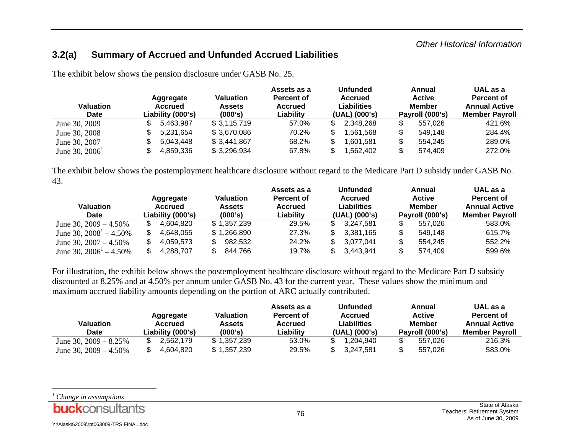### **3.2(a) Summary of Accrued and Unfunded Accrued Liabilities**

| <b>Valuation</b><br>Date | Aggregate<br><b>Accrued</b><br>Liability (000's) | <b>Valuation</b><br><b>Assets</b><br>(000's) | Assets as a<br><b>Percent of</b><br><b>Accrued</b><br>Liability | <b>Unfunded</b><br>Accrued<br>Liabilities<br>(UAL) (000's) |   | Annual<br><b>Active</b><br>Member<br>Payroll (000's) | UAL as a<br>Percent of<br><b>Annual Active</b><br><b>Member Payroll</b> |
|--------------------------|--------------------------------------------------|----------------------------------------------|-----------------------------------------------------------------|------------------------------------------------------------|---|------------------------------------------------------|-------------------------------------------------------------------------|
| June 30, 2009            | 5.463.987                                        | \$3,115,719                                  | 57.0%                                                           | 2,348,268                                                  |   | 557.026                                              | 421.6%                                                                  |
| June 30, 2008            | 5,231,654                                        | \$3,670,086                                  | 70.2%                                                           | 1,561,568                                                  | S | 549,148                                              | 284.4%                                                                  |
| June 30, 2007            | 5.043.448                                        | \$3,441,867                                  | 68.2%                                                           | .601,581                                                   |   | 554.245                                              | 289.0%                                                                  |
| June 30, $2006^1$        | 4,859,336                                        | \$3,296,934                                  | 67.8%                                                           | 562,402                                                    |   | 574.409                                              | 272.0%                                                                  |

The exhibit below shows the pension disclosure under GASB No. 25.

The exhibit below shows the postemployment healthcare disclosure without regard to the Medicare Part D subsidy under GASB No. 43.

| Valuation<br><b>Date</b>   | Aggregate<br>Accrued<br>Liability (000's) | Valuation<br><b>Assets</b><br>(000's) | Assets as a<br><b>Percent of</b><br><b>Accrued</b><br>Liabilitv | <b>Unfunded</b><br><b>Accrued</b><br>Liabilities<br>(UAL) (000's) | Annual<br><b>Active</b><br><b>Member</b><br>Payroll (000's) | UAL as a<br>Percent of<br><b>Annual Active</b><br><b>Member Pavroll</b> |
|----------------------------|-------------------------------------------|---------------------------------------|-----------------------------------------------------------------|-------------------------------------------------------------------|-------------------------------------------------------------|-------------------------------------------------------------------------|
| June 30, $2009 - 4.50\%$   | 4,604,820                                 | \$1,357,239                           | 29.5%                                                           | 3.247.581                                                         | 557.026                                                     | 583.0%                                                                  |
| June 30, $2008^1 - 4.50\%$ | 4.648.055                                 | \$1,266,890                           | 27.3%                                                           | 3,381,165                                                         | 549,148                                                     | 615.7%                                                                  |
| June 30, $2007 - 4.50\%$   | 4,059,573                                 | 982.532                               | 24.2%                                                           | 3.077.041                                                         | 554.245                                                     | 552.2%                                                                  |
| June 30, $2006^1 - 4.50\%$ | 4.288.707                                 | 844.766                               | 19.7%                                                           | 3,443,941                                                         | 574.409                                                     | 599.6%                                                                  |

For illustration, the exhibit below shows the postemployment healthcare disclosure without regard to the Medicare Part D subsidy discounted at 8.25% and at 4.50% per annum under GASB No. 43 for the current year. These values show the minimum and maximum accrued liability amounts depending on the portion of ARC actually contributed.

| Valuation<br>Date        | Aggregate<br>Accrued<br>Liability (000's) | Valuation<br>Assets<br>(000's) | Assets as a<br>Percent of<br>Accrued<br>Liabilitv | Unfunded<br><b>Accrued</b><br>Liabilities<br>$(UAL)$ $(000's)$ | Annual<br><b>Active</b><br>Member<br>Payroll (000's) | UAL as a<br>Percent of<br><b>Annual Active</b><br><b>Member Pavroll</b> |
|--------------------------|-------------------------------------------|--------------------------------|---------------------------------------------------|----------------------------------------------------------------|------------------------------------------------------|-------------------------------------------------------------------------|
| June 30, $2009 - 8.25\%$ | 2.562.179                                 | \$1,357,239                    | 53.0%                                             | 1.204.940                                                      | 557.026                                              | 216.3%                                                                  |
| June 30, $2009 - 4.50\%$ | 4.604.820                                 | \$1,357,239                    | 29.5%                                             | 3.247.581                                                      | 557.026                                              | 583.0%                                                                  |

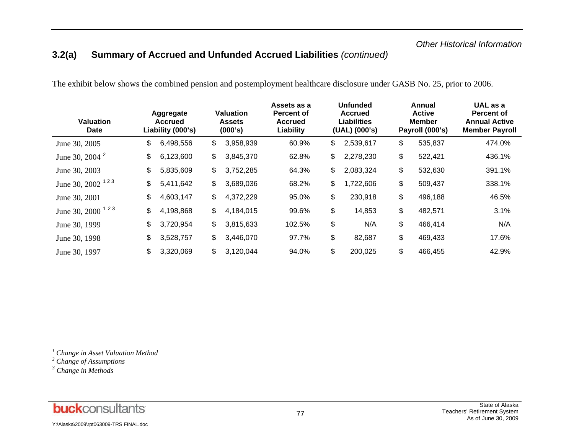# **3.2(a) Summary of Accrued and Unfunded Accrued Liabilities** *(continued)*

The exhibit below shows the combined pension and postemployment healthcare disclosure under GASB No. 25, prior to 2006.

| <b>Valuation</b><br><b>Date</b> | Aggregate<br><b>Accrued</b><br>Liability (000's) | <b>Valuation</b><br><b>Assets</b><br>(000's) | Assets as a<br><b>Percent of</b><br><b>Accrued</b><br>Liability | <b>Unfunded</b><br><b>Accrued</b><br><b>Liabilities</b><br>(UAL) (000's) | Annual<br><b>Active</b><br><b>Member</b><br>Payroll (000's) | UAL as a<br><b>Percent of</b><br><b>Annual Active</b><br><b>Member Payroll</b> |
|---------------------------------|--------------------------------------------------|----------------------------------------------|-----------------------------------------------------------------|--------------------------------------------------------------------------|-------------------------------------------------------------|--------------------------------------------------------------------------------|
| June 30, 2005                   | \$<br>6,498,556                                  | \$<br>3,958,939                              | 60.9%                                                           | \$<br>2,539,617                                                          | \$<br>535,837                                               | 474.0%                                                                         |
| June 30, 2004 <sup>2</sup>      | \$<br>6,123,600                                  | \$<br>3,845,370                              | 62.8%                                                           | \$<br>2,278,230                                                          | \$<br>522,421                                               | 436.1%                                                                         |
| June 30, 2003                   | \$<br>5,835,609                                  | \$<br>3,752,285                              | 64.3%                                                           | \$<br>2,083,324                                                          | \$<br>532,630                                               | 391.1%                                                                         |
| June 30, 2002 <sup>123</sup>    | \$<br>5,411,642                                  | \$<br>3,689,036                              | 68.2%                                                           | \$<br>1,722,606                                                          | \$<br>509,437                                               | 338.1%                                                                         |
| June 30, 2001                   | \$<br>4,603,147                                  | \$<br>4,372,229                              | 95.0%                                                           | \$<br>230,918                                                            | \$<br>496,188                                               | 46.5%                                                                          |
| June 30, 2000 <sup>123</sup>    | \$<br>4,198,868                                  | \$<br>4,184,015                              | 99.6%                                                           | \$<br>14,853                                                             | \$<br>482,571                                               | 3.1%                                                                           |
| June 30, 1999                   | \$<br>3,720,954                                  | \$<br>3,815,633                              | 102.5%                                                          | \$<br>N/A                                                                | \$<br>466,414                                               | N/A                                                                            |
| June 30, 1998                   | \$<br>3,528,757                                  | \$<br>3,446,070                              | 97.7%                                                           | \$<br>82,687                                                             | \$<br>469,433                                               | 17.6%                                                                          |
| June 30, 1997                   | \$<br>3,320,069                                  | \$<br>3,120,044                              | 94.0%                                                           | \$<br>200,025                                                            | \$<br>466,455                                               | 42.9%                                                                          |

*1 Change in Asset Valuation Method* 

*2 Change of Assumptions* 

*3 Change in Methods*

Y:\Alaska\2009\rpt063009-TRS FINAL.doc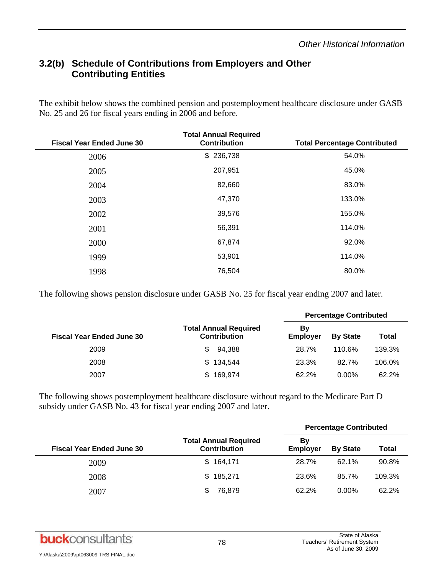## **3.2(b) Schedule of Contributions from Employers and Other Contributing Entities**

The exhibit below shows the combined pension and postemployment healthcare disclosure under GASB No. 25 and 26 for fiscal years ending in 2006 and before.

| <b>Fiscal Year Ended June 30</b> | <b>Total Annual Required</b><br><b>Contribution</b> | <b>Total Percentage Contributed</b> |
|----------------------------------|-----------------------------------------------------|-------------------------------------|
| 2006                             | \$236,738                                           | 54.0%                               |
| 2005                             | 207,951                                             | 45.0%                               |
| 2004                             | 82,660                                              | 83.0%                               |
| 2003                             | 47,370                                              | 133.0%                              |
| 2002                             | 39,576                                              | 155.0%                              |
| 2001                             | 56,391                                              | 114.0%                              |
| 2000                             | 67,874                                              | 92.0%                               |
| 1999                             | 53,901                                              | 114.0%                              |
| 1998                             | 76,504                                              | 80.0%                               |

The following shows pension disclosure under GASB No. 25 for fiscal year ending 2007 and later.

|                                  |                                                     | <b>Percentage Contributed</b> |                 |              |  |
|----------------------------------|-----------------------------------------------------|-------------------------------|-----------------|--------------|--|
| <b>Fiscal Year Ended June 30</b> | <b>Total Annual Required</b><br><b>Contribution</b> | Bν<br><b>Employer</b>         | <b>By State</b> | <b>Total</b> |  |
| 2009                             | 94,388<br>\$                                        | 28.7%                         | 110.6%          | 139.3%       |  |
| 2008                             | \$134,544                                           | 23.3%                         | 82.7%           | 106.0%       |  |
| 2007                             | 169,974<br>\$.                                      | 62.2%                         | $0.00\%$        | 62.2%        |  |

The following shows postemployment healthcare disclosure without regard to the Medicare Part D subsidy under GASB No. 43 for fiscal year ending 2007 and later.

|                                  |                                                     |                       | <b>Percentage Contributed</b> |              |
|----------------------------------|-----------------------------------------------------|-----------------------|-------------------------------|--------------|
| <b>Fiscal Year Ended June 30</b> | <b>Total Annual Required</b><br><b>Contribution</b> | Bγ<br><b>Employer</b> | <b>By State</b>               | <b>Total</b> |
| 2009                             | \$164,171                                           | 28.7%                 | 62.1%                         | 90.8%        |
| 2008                             | \$185,271                                           | 23.6%                 | 85.7%                         | 109.3%       |
| 2007                             | 76,879<br>S                                         | 62.2%                 | $0.00\%$                      | 62.2%        |

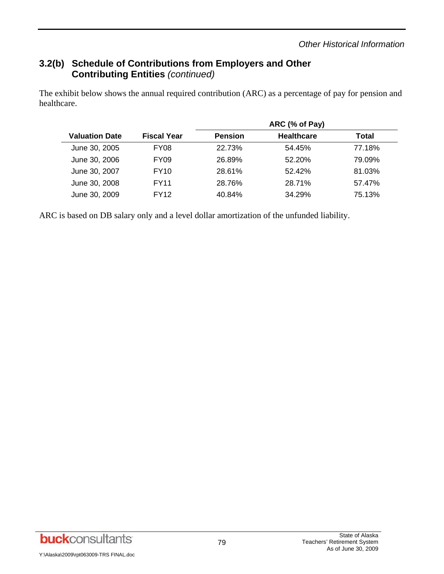### **3.2(b) Schedule of Contributions from Employers and Other Contributing Entities** *(continued)*

The exhibit below shows the annual required contribution (ARC) as a percentage of pay for pension and healthcare.

|                       |                    | ARC (% of Pay) |                   |        |  |  |  |  |
|-----------------------|--------------------|----------------|-------------------|--------|--|--|--|--|
| <b>Valuation Date</b> | <b>Fiscal Year</b> | <b>Pension</b> | <b>Healthcare</b> | Total  |  |  |  |  |
| June 30, 2005         | FY08               | 22.73%         | 54.45%            | 77.18% |  |  |  |  |
| June 30, 2006         | FY09               | 26.89%         | 52.20%            | 79.09% |  |  |  |  |
| June 30, 2007         | FY10               | 28.61%         | 52.42%            | 81.03% |  |  |  |  |
| June 30, 2008         | FY11               | 28.76%         | 28.71%            | 57.47% |  |  |  |  |
| June 30, 2009         | FY12               | 40.84%         | 34.29%            | 75.13% |  |  |  |  |

ARC is based on DB salary only and a level dollar amortization of the unfunded liability.

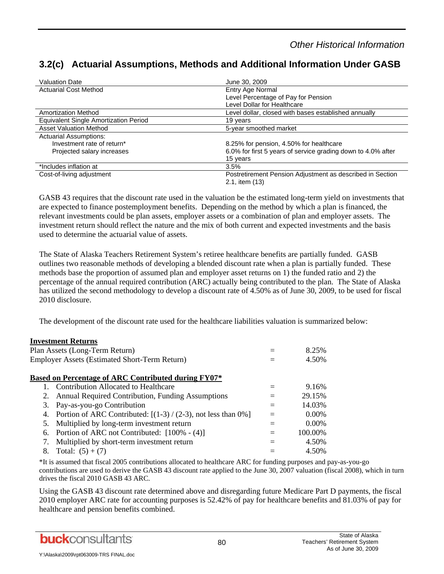### *Other Historical Information*

# **3.2(c) Actuarial Assumptions, Methods and Additional Information Under GASB**

| <b>Valuation Date</b>                        | June 30, 2009                                                |
|----------------------------------------------|--------------------------------------------------------------|
| <b>Actuarial Cost Method</b>                 | Entry Age Normal                                             |
|                                              | Level Percentage of Pay for Pension                          |
|                                              | Level Dollar for Healthcare                                  |
| <b>Amortization Method</b>                   | Level dollar, closed with bases established annually         |
| <b>Equivalent Single Amortization Period</b> | 19 years                                                     |
| <b>Asset Valuation Method</b>                | 5-year smoothed market                                       |
| <b>Actuarial Assumptions:</b>                |                                                              |
| Investment rate of return*                   | 8.25% for pension, 4.50% for healthcare                      |
| Projected salary increases                   | 6.0% for first 5 years of service grading down to 4.0% after |
|                                              | 15 years                                                     |
| *Includes inflation at                       | 3.5%                                                         |
| Cost-of-living adjustment                    | Postretirement Pension Adjustment as described in Section    |
|                                              | 2.1, item (13)                                               |

GASB 43 requires that the discount rate used in the valuation be the estimated long-term yield on investments that are expected to finance postemployment benefits. Depending on the method by which a plan is financed, the relevant investments could be plan assets, employer assets or a combination of plan and employer assets. The investment return should reflect the nature and the mix of both current and expected investments and the basis used to determine the actuarial value of assets.

The State of Alaska Teachers Retirement System's retiree healthcare benefits are partially funded. GASB outlines two reasonable methods of developing a blended discount rate when a plan is partially funded. These methods base the proportion of assumed plan and employer asset returns on 1) the funded ratio and 2) the percentage of the annual required contribution (ARC) actually being contributed to the plan. The State of Alaska has utilized the second methodology to develop a discount rate of 4.50% as of June 30, 2009, to be used for fiscal 2010 disclosure.

The development of the discount rate used for the healthcare liabilities valuation is summarized below:

#### **Investment Returns**

|                                                      | ні у свенісне тесеп нв                                            |     |          |
|------------------------------------------------------|-------------------------------------------------------------------|-----|----------|
|                                                      | Plan Assets (Long-Term Return)                                    |     | 8.25%    |
| <b>Employer Assets (Estimated Short-Term Return)</b> |                                                                   |     | 4.50%    |
|                                                      |                                                                   |     |          |
|                                                      | Based on Percentage of ARC Contributed during FY07*               |     |          |
|                                                      | 1. Contribution Allocated to Healthcare                           |     | 9.16%    |
| 2.                                                   | Annual Required Contribution, Funding Assumptions                 |     | 29.15%   |
| 3.                                                   | Pay-as-you-go Contribution                                        |     | 14.03%   |
|                                                      | 4. Portion of ARC Contributed: $[(1-3)/(2-3)]$ , not less than 0% | $=$ | $0.00\%$ |
| 5.                                                   | Multiplied by long-term investment return                         |     | $0.00\%$ |
| 6.                                                   | Portion of ARC not Contributed: [100% - (4)]                      |     | 100.00%  |
| 7.                                                   | Multiplied by short-term investment return                        |     | 4.50%    |
| 8.                                                   | Total: $(5) + (7)$                                                |     | 4.50%    |

\*It is assumed that fiscal 2005 contributions allocated to healthcare ARC for funding purposes and pay-as-you-go contributions are used to derive the GASB 43 discount rate applied to the June 30, 2007 valuation (fiscal 2008), which in turn drives the fiscal 2010 GASB 43 ARC.

Using the GASB 43 discount rate determined above and disregarding future Medicare Part D payments, the fiscal 2010 employer ARC rate for accounting purposes is 52.42% of pay for healthcare benefits and 81.03% of pay for healthcare and pension benefits combined.

Y:\Alaska\2009\rpt063009-TRS FINAL.doc